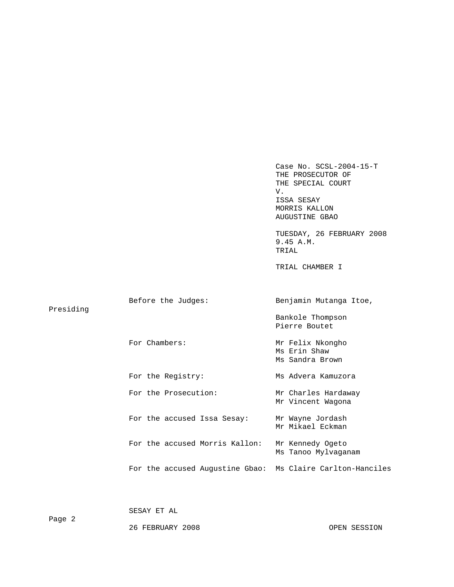Case No. SCSL-2004-15-T THE PROSECUTOR OF THE SPECIAL COURT V. ISSA SESAY MORRIS KALLON AUGUSTINE GBAO TUESDAY, 26 FEBRUARY 2008 9.45 A.M. TRIAL TRIAL CHAMBER I Before the Judges: Benjamin Mutanga Itoe, For Chambers: The Mr Felix Nkongho n Ms Sandra Brown (Ms Sandra Brown) For the Registry: Ms Advera Kamuzora m Ms Tanoo Mylvaganam (Ms Tanoo Mylvaganam (Ms Tanoo Mylvaganam (Ms) For the accused Augustine Gbao: Ms Claire Carlton-Hanciles Presiding Bankole Thompson Pierre Boutet Ms Erin Shaw For the Prosecution: Mr Charles Hardaway Mr Vincent Wagona For the accused Issa Sesay: Mr Wayne Jordash Mr Mikael Eckman For the accused Morris Kallon: Mr Kennedy Ogeto

SESAY ET AL

26 FEBRUARY 2008 OPEN SESSION

Page 2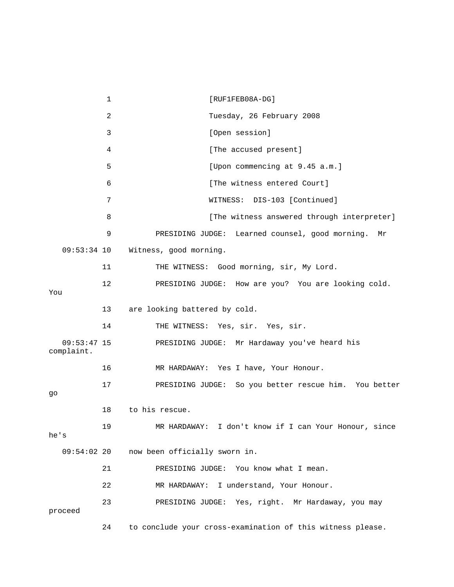1 [RUF1FEB08A-DG] 3 [Open session] 4 [The accused present] 6 [The witness entered Court] 7 WITNESS: DIS-103 [Continued] 9 PRESIDING JUDGE: Learned counsel, good morning. Mr 09:53:34 10 Witness, good morning. 12 PRESIDING JUDGE: How are you? You are looking cold. 13 are looking battered by cold. 14 THE WITNESS: Yes, sir. Yes, sir. e heard his 09:53:47 15 PRESIDING JUDGE: Mr Hardaway you'v 16 MR HARDAWAY: Yes I have, Your Honour. 17 PRESIDING JUDGE: So you better rescue him. You better 18 to his rescue. 19 MR HARDAWAY: I don't know if I can Your Honour, since 09:54:02 20 now been officially sworn in. 21 **PRESIDING JUDGE:** You know what I mean. 22 MR HARDAWAY: I understand, Your Honour. 24 to conclude your cross-examination of this witness please. 2 Tuesday, 26 February 2008 5 [Upon commencing at 9.45 a.m.] 8 **8** [The witness answered through interpreter] 11 THE WITNESS: Good morning, sir, My Lord. You complaint. go he's 23 PRESIDING JUDGE: Yes, right. Mr Hardaway, you may proceed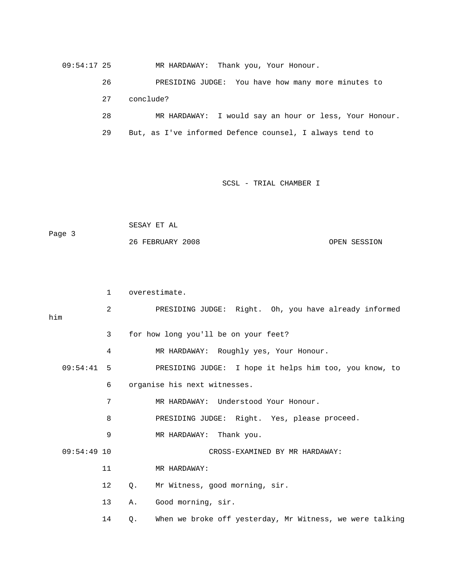09:54:17 25 MR HARDAWAY: Thank you, Your Honour.

 26 PRESIDING JUDGE: You have how many more minutes to 27 conclude? 29 But, as I've informed Defence counsel, I always tend to 28 MR HARDAWAY: I would say an hour or less, Your Honour.

SCSL - TRIAL CHAMBER I

 SESAY ET AL Page 3 26 FEBRUARY 2008 OPEN SESSION

1 overestimate.

 2 PRESIDING JUDGE: Right. Oh, you have already informed 3 for how long you'll be on your feet? 4 MR HARDAWAY: Roughly yes, Your Honour. 09:54:41 5 PRESIDING JUDGE: I hope it helps him too, you know, to 6 organise his next witnesses. 7 MR HARDAWAY: Understood Your Honour. 8 BRESIDING JUDGE: Right. Yes, please proceed. 9 MR HARDAWAY: Thank you. 09:54:49 10 CROSS-EXAMINED BY MR HARDAWAY: 12 Q. Mr Witness, good morning, sir. 14 Q. When we broke off yesterday, Mr Witness, we were talking him 11 MR HARDAWAY: 13 A. Good morning, sir.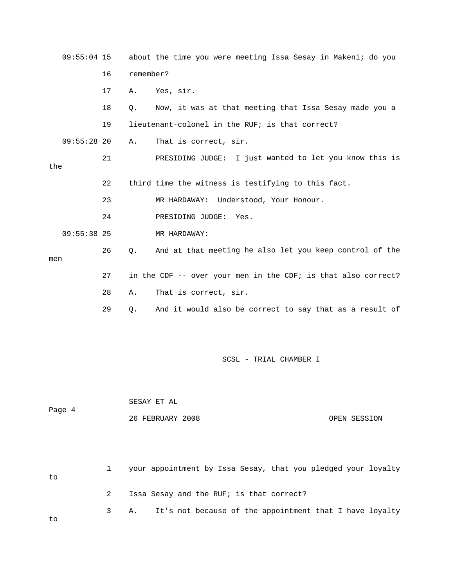| $09:55:04$ 15 |    |           | about the time you were meeting Issa Sesay in Makeni; do you  |
|---------------|----|-----------|---------------------------------------------------------------|
|               | 16 | remember? |                                                               |
|               | 17 | Α.        | Yes, sir.                                                     |
|               | 18 | О.        | Now, it was at that meeting that Issa Sesay made you a        |
|               | 19 |           | lieutenant-colonel in the RUF; is that correct?               |
| $09:55:28$ 20 |    | Α.        | That is correct, sir.                                         |
| the           | 21 |           | PRESIDING JUDGE: I just wanted to let you know this is        |
|               | 22 |           | third time the witness is testifying to this fact.            |
|               | 23 |           | MR HARDAWAY: Understood, Your Honour.                         |
|               | 24 |           | PRESIDING JUDGE: Yes.                                         |
| $09:55:38$ 25 |    |           | MR HARDAWAY:                                                  |
| men           | 26 | Q.        | And at that meeting he also let you keep control of the       |
|               | 27 |           | in the CDF -- over your men in the CDF; is that also correct? |
|               | 28 | Α.        | That is correct, sir.                                         |
|               | 29 | Q.        | And it would also be correct to say that as a result of       |

 SESAY ET AL Page 4 26 FEBRUARY 2008 OPEN SESSION

 1 your appointment by Issa Sesay, that you pledged your loyalty 3 A. It's not because of the appointment that I have loyalty to 2 Issa Sesay and the RUF; is that correct?

to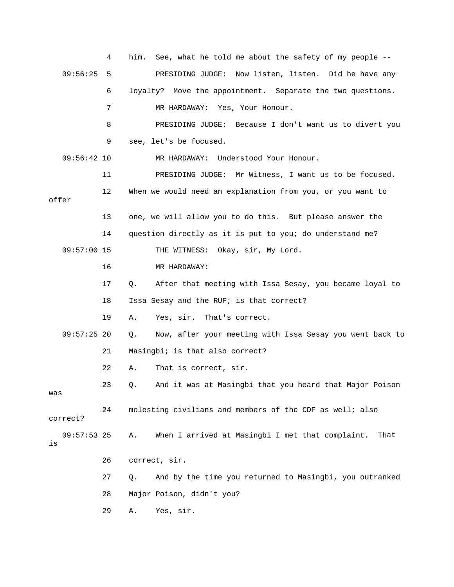|                     | 4  | See, what he told me about the safety of my people --<br>him.          |
|---------------------|----|------------------------------------------------------------------------|
| 09:56:25            | 5  | PRESIDING JUDGE: Now listen, listen. Did he have any                   |
|                     | 6  | loyalty? Move the appointment. Separate the two questions.             |
|                     | 7  | MR HARDAWAY: Yes, Your Honour.                                         |
|                     | 8  | PRESIDING JUDGE: Because I don't want us to divert you                 |
|                     | 9  | see, let's be focused.                                                 |
| $09:56:42$ 10       |    | MR HARDAWAY: Understood Your Honour.                                   |
|                     | 11 | PRESIDING JUDGE: Mr Witness, I want us to be focused.                  |
| offer               | 12 | When we would need an explanation from you, or you want to             |
|                     | 13 | one, we will allow you to do this. But please answer the               |
|                     | 14 | question directly as it is put to you; do understand me?               |
| $09:57:00$ 15       |    | THE WITNESS: Okay, sir, My Lord.                                       |
|                     | 16 | MR HARDAWAY:                                                           |
|                     | 17 | After that meeting with Issa Sesay, you became loyal to<br>$Q_{\star}$ |
|                     | 18 | Issa Sesay and the RUF; is that correct?                               |
|                     | 19 | Yes, sir. That's correct.<br>Α.                                        |
| $09:57:25$ 20       |    | Now, after your meeting with Issa Sesay you went back to<br>Q.         |
|                     | 21 | Masingbi; is that also correct?                                        |
|                     | 22 | That is correct, sir.<br>Α.                                            |
| was                 | 23 | And it was at Masingbi that you heard that Major Poison<br>Q.          |
| correct?            | 24 | molesting civilians and members of the CDF as well; also               |
| $09:57:53$ 25<br>is |    | When I arrived at Masingbi I met that complaint.<br>Α.<br>That         |
|                     | 26 | correct, sir.                                                          |
|                     | 27 | And by the time you returned to Masingbi, you outranked<br>Q.          |
|                     | 28 | Major Poison, didn't you?                                              |
|                     | 29 | Yes, sir.<br>Α.                                                        |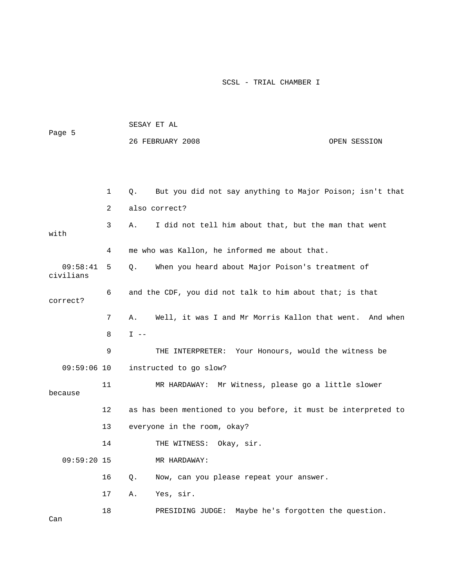| Page 5                |    | SESAY ET AL |                                                                |              |  |
|-----------------------|----|-------------|----------------------------------------------------------------|--------------|--|
|                       |    |             | 26 FEBRUARY 2008                                               | OPEN SESSION |  |
|                       |    |             |                                                                |              |  |
|                       |    |             |                                                                |              |  |
|                       | 1  | Q.          | But you did not say anything to Major Poison; isn't that       |              |  |
|                       | 2  |             | also correct?                                                  |              |  |
| with                  | 3  | Α.          | I did not tell him about that, but the man that went           |              |  |
|                       | 4  |             | me who was Kallon, he informed me about that.                  |              |  |
| 09:58:41<br>civilians | 5  | $Q$ .       | When you heard about Major Poison's treatment of               |              |  |
| correct?              | 6  |             | and the CDF, you did not talk to him about that; is that       |              |  |
|                       | 7  | Α.          | Well, it was I and Mr Morris Kallon that went. And when        |              |  |
|                       | 8  | $I$ $-$     |                                                                |              |  |
|                       | 9  |             | THE INTERPRETER: Your Honours, would the witness be            |              |  |
| $09:59:06$ 10         |    |             | instructed to go slow?                                         |              |  |
| because               | 11 |             | MR HARDAWAY: Mr Witness, please go a little slower             |              |  |
|                       | 12 |             | as has been mentioned to you before, it must be interpreted to |              |  |
|                       | 13 |             | everyone in the room, okay?                                    |              |  |
|                       | 14 |             | THE WITNESS: Okay, sir.                                        |              |  |
| $09:59:20$ 15         |    |             | MR HARDAWAY:                                                   |              |  |
|                       | 16 | Q.          | Now, can you please repeat your answer.                        |              |  |
|                       | 17 | Α.          | Yes, sir.                                                      |              |  |
|                       | 18 |             | PRESIDING JUDGE: Maybe he's forgotten the question.            |              |  |

Can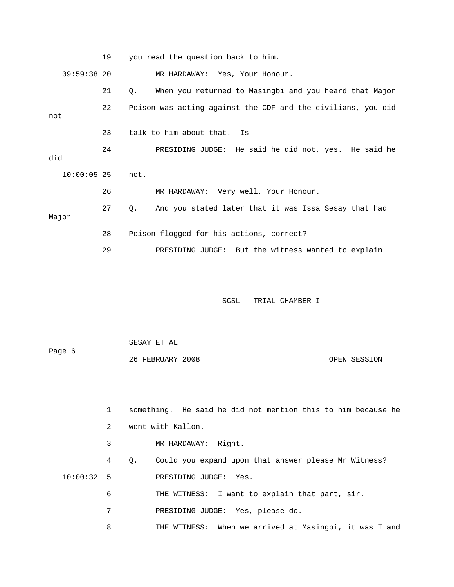19 you read the question back to him. 09:59:38 20 MR HARDAWAY: Yes, Your Honour. 21 Q. When you returned to Masingbi and you heard that Major 22 Poison was acting against the CDF and the civilians, you did 24 PRESIDING JUDGE: He said he did not, yes. He said he MR HARDAWAY: Very well, Your Honour. 27 Q. And you stated later that it was Issa Sesay that had 29 PRESIDING JUDGE: But the witness wanted to explain SCSL - TRIAL CHAMBER I SESAY ET AL Page 6 not 23 talk to him about that. Is - did 10:00:05 25 not. 26 Major 28 Poison flogged for his actions, correct?

26 FEBRUARY 2008 OPEN SESSION

 1 something. He said he did not mention this to him because he 2 went with Kallon. 4 Q. Could you expand upon that answer please Mr Witness? 10:00:32 5 PRESIDING JUDGE: Yes. 7 PRESIDING JUDGE: Yes, please do. 3 MR HARDAWAY: Right. 6 THE WITNESS: I want to explain that part, sir.

8 THE WITNESS: When we arrived at Masingbi, it was I and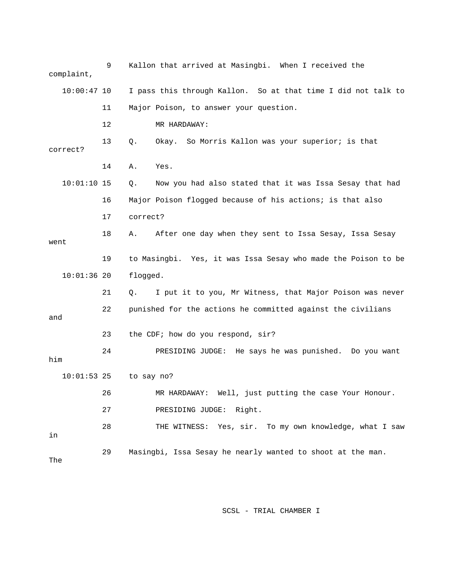| complaint,    | 9  | Kallon that arrived at Masingbi. When I received the           |
|---------------|----|----------------------------------------------------------------|
| $10:00:47$ 10 |    | I pass this through Kallon. So at that time I did not talk to  |
|               | 11 | Major Poison, to answer your question.                         |
|               | 12 | MR HARDAWAY:                                                   |
| correct?      | 13 | Okay. So Morris Kallon was your superior; is that<br>Q.        |
|               | 14 | Yes.<br>Α.                                                     |
| $10:01:10$ 15 |    | Now you had also stated that it was Issa Sesay that had<br>Q.  |
|               | 16 | Major Poison flogged because of his actions; is that also      |
|               | 17 | correct?                                                       |
| went          | 18 | After one day when they sent to Issa Sesay, Issa Sesay<br>А.   |
|               | 19 | to Masingbi. Yes, it was Issa Sesay who made the Poison to be  |
| $10:01:36$ 20 |    | flogged.                                                       |
|               | 21 | I put it to you, Mr Witness, that Major Poison was never<br>Q. |
| and           | 22 | punished for the actions he committed against the civilians    |
|               | 23 | the CDF; how do you respond, sir?                              |
| him           | 24 | PRESIDING JUDGE: He says he was punished. Do you want          |
| $10:01:53$ 25 |    | to say no?                                                     |
|               | 26 | MR HARDAWAY: Well, just putting the case Your Honour.          |
|               | 27 | PRESIDING JUDGE: Right.                                        |
| in            | 28 | THE WITNESS: Yes, sir. To my own knowledge, what I saw         |
| The           | 29 | Masingbi, Issa Sesay he nearly wanted to shoot at the man.     |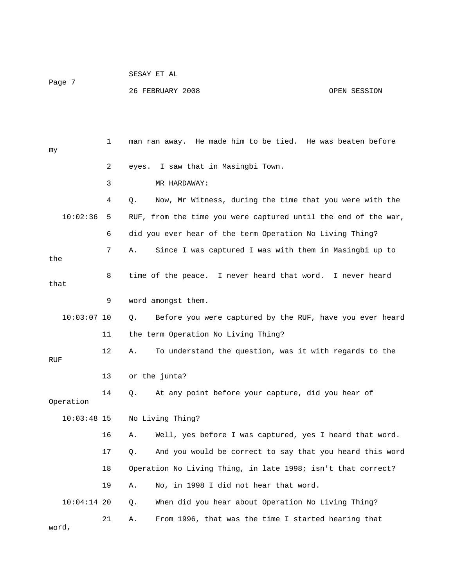| Page 7        |    | 26 FEBRUARY 2008<br>OPEN SESSION                               |
|---------------|----|----------------------------------------------------------------|
|               |    |                                                                |
| my            | 1  | man ran away. He made him to be tied. He was beaten before     |
|               | 2  | I saw that in Masingbi Town.<br>eyes.                          |
|               | 3  | MR HARDAWAY:                                                   |
|               | 4  | Now, Mr Witness, during the time that you were with the<br>Q.  |
| 10:02:36      | 5  | RUF, from the time you were captured until the end of the war, |
|               | 6  | did you ever hear of the term Operation No Living Thing?       |
| the           | 7  | Since I was captured I was with them in Masingbi up to<br>Α.   |
| that          | 8  | time of the peace. I never heard that word. I never heard      |
|               | 9  | word amongst them.                                             |
| $10:03:07$ 10 |    | Before you were captured by the RUF, have you ever heard<br>Q. |
|               | 11 | the term Operation No Living Thing?                            |
| RUF           | 12 | To understand the question, was it with regards to the<br>Α.   |
|               | 13 | or the junta?                                                  |
| Operation     | 14 | At any point before your capture, did you hear of<br>Q.        |
| $10:03:48$ 15 |    | No Living Thing?                                               |
|               | 16 | Well, yes before I was captured, yes I heard that word.<br>Α.  |
|               | 17 | And you would be correct to say that you heard this word<br>Q. |
|               | 18 | Operation No Living Thing, in late 1998; isn't that correct?   |
|               | 19 | No, in 1998 I did not hear that word.<br>Α.                    |
| $10:04:14$ 20 |    | When did you hear about Operation No Living Thing?<br>Q.       |
| word,         | 21 | From 1996, that was the time I started hearing that<br>Α.      |

SESAY ET AL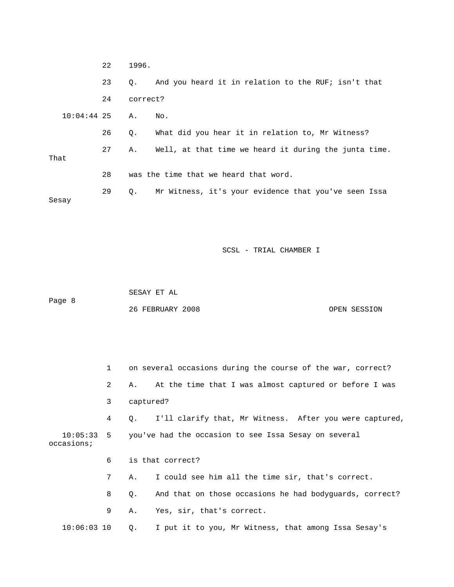|               | 22 | 1996.     |                                                       |
|---------------|----|-----------|-------------------------------------------------------|
|               | 23 | Q.        | And you heard it in relation to the RUF; isn't that   |
|               | 24 | correct?  |                                                       |
| $10:04:44$ 25 |    | Α.        | No.                                                   |
|               | 26 | $\circ$ . | What did you hear it in relation to, Mr Witness?      |
| That          | 27 | Α.        | Well, at that time we heard it during the junta time. |
|               | 28 |           | was the time that we heard that word.                 |
| Sesay         | 29 | 0.        | Mr Witness, it's your evidence that you've seen Issa  |

Page 8 26 FEBRUARY 2008 OPEN SESSION SESAY ET AL

 1 on several occasions during the course of the war, correct? 2 A. At the time that I was almost captured or before I was 10:05:33 5 you've had the occasion to see Issa Sesay on several 6 is that correct? 7 A. I could see him all the time sir, that's correct. 8 Q. And that on those occasions he had bodyguards, correct? 3 captured? 4 Q. I'll clarify that, Mr Witness. After you were captured, occasions; 9 A. Yes, sir, that's correct. 10:06:03 10 Q. I put it to you, Mr Witness, that among Issa Sesay's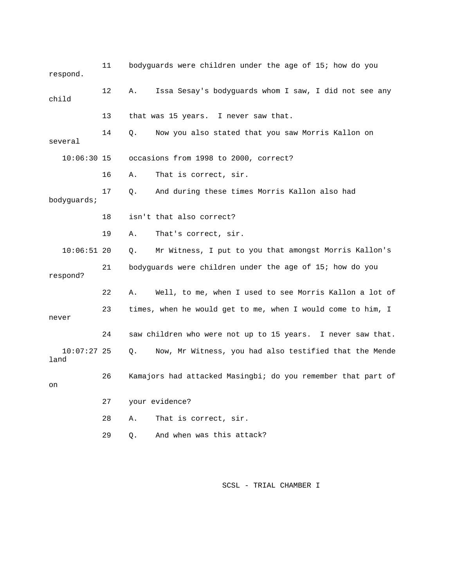| respond.              | 11      | bodyguards were children under the age of 15; how do you     |
|-----------------------|---------|--------------------------------------------------------------|
| child                 | $12 \,$ | Issa Sesay's bodyquards whom I saw, I did not see any<br>Α.  |
|                       | 13      | that was 15 years. I never saw that.                         |
| several               | 14      | Now you also stated that you saw Morris Kallon on<br>Q.      |
| $10:06:30$ 15         |         | occasions from 1998 to 2000, correct?                        |
|                       | 16      | That is correct, sir.<br>Α.                                  |
| bodyguards;           | 17      | And during these times Morris Kallon also had<br>Q.          |
|                       | 18      | isn't that also correct?                                     |
|                       | 19      | That's correct, sir.<br>Α.                                   |
| $10:06:51$ 20         |         | Mr Witness, I put to you that amongst Morris Kallon's<br>Q.  |
| respond?              | 21      | bodyguards were children under the age of 15; how do you     |
|                       | 22      | Well, to me, when I used to see Morris Kallon a lot of<br>Α. |
| never                 | 23      | times, when he would get to me, when I would come to him, I  |
|                       | 24      | saw children who were not up to 15 years. I never saw that.  |
| $10:07:27$ 25<br>land |         | Now, Mr Witness, you had also testified that the Mende<br>Q. |
| on                    | 26      | Kamajors had attacked Masingbi; do you remember that part of |
|                       | 27      | your evidence?                                               |
|                       | 28      | That is correct, sir.<br>Α.                                  |
|                       | 29      | And when was this attack?<br>О.                              |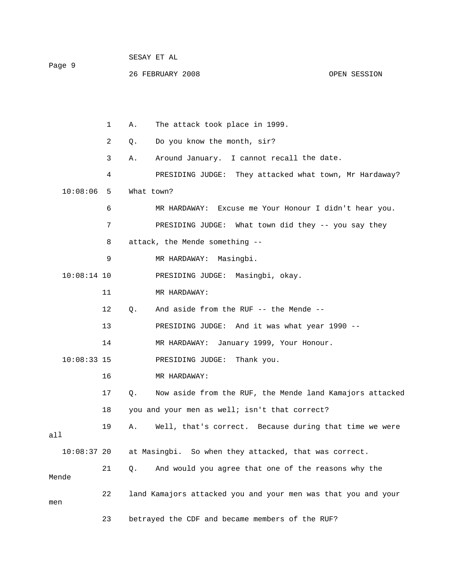Page 9

26 FEBRUARY 2008 OPEN SESSION

 1 A. The attack took place in 1999. 2 Q. Do you know the month, sir? 3 A. Around January. I cannot recall the date. 4 PRESIDING JUDGE: They attacked what town, Mr Hardaway? 7 PRESIDING JUDGE: What town did they -- you say they 10:08:14 10 PRESIDING JUDGE: Masingbi, okay. 12 Q. And aside from the RUF -- the Mende --13 PRESIDING JUDGE: And it was what year 1990 --17 Q. Now aside from the RUF, the Mende land Kamajors attacked 18 you and your men as well; isn't that correct? all 10:08:37 20 at Masingbi. So when they attacked, that was correct. Mende 22 land Kamajors attacked you and your men was that you and your 23 betrayed the CDF and became members of the RUF? 10:08:06 5 What town? 6 MR HARDAWAY: Excuse me Your Honour I didn't hear you. 8 attack, the Mende something -- 9 MR HARDAWAY: Masingbi. 11 MR HARDAWAY: 14 MR HARDAWAY: January 1999, Your Honour. 10:08:33 15 PRESIDING JUDGE: Thank you. 16 MR HARDAWAY: 19 A. Well, that's correct. Because during that time we were 21 Q. And would you agree that one of the reasons why the men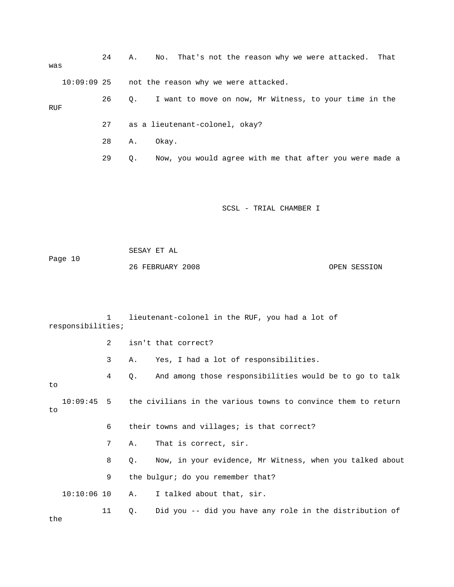24 A. No. That's not the reason why we were attacked. That was 10:09:09 25 not the reason why we were attacked. 26 Q. I want to move on now, Mr Witness, to your time in the RUF 27 as a lieutenant-colonel, okay? 28 A. Okay. 29 Q. Now, you would agree with me that after you were made a SCSL - TRIAL CHAMBER I Page 10 26 FEBRUARY 2008 OPEN SESSION responsibilities; 2 isn't that correct? 4 Q. And among those responsibilities would be to go to talk SESAY ET AL 1 lieutenant-colonel in the RUF, you had a lot of 3 A. Yes, I had a lot of responsibilities. to

 $10:09:45$  5 the civilians in the various towns to convince them to return 6 their towns and villages; is that correct? 8 Q. Now, in your evidence, Mr Witness, when you talked about 9 the bulgur; do you remember that?  $10:10:06$   $10$  A. I talked about that, sir. 11 Q. Did you -- did you have any role in the distribution of to 7 A. That is correct, sir.

the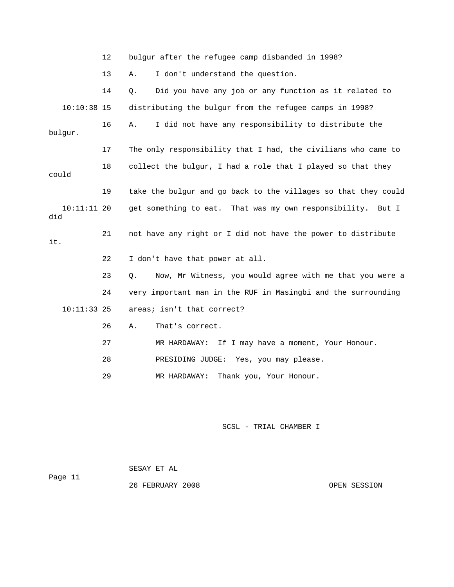12 bulgur after the refugee camp disbanded in 1998?

13 A. I don't understand the question.

14 Q. Did you have any job or any function as it related to 10:10:38 15 distributing the bulgur from the refugee camps in 1998? 16 A. I did not have any responsibility to distribute the 17 The only responsibility that I had, the civilians who came to 22 I don't have that power at all. 24 very important man in the RUF in Masingbi and the surrounding 10:11:33 25 areas; isn't that correct? 26 A. That's correct. 28 PRESIDING JUDGE: Yes, you may please. bulgur. 18 collect the bulgur, I had a role that I played so that they could 19 take the bulgur and go back to the villages so that they could 10:11:11 20 get something to eat. That was my own responsibility. But I did 21 not have any right or I did not have the power to distribute it. 23 Q. Now, Mr Witness, you would agree with me that you were a 27 MR HARDAWAY: If I may have a moment, Your Honour.

29 MR HARDAWAY: Thank you, Your Honour.

SCSL - TRIAL CHAMBER I

Page 11 26 FEBRUARY 2008 OPEN SESSION SESAY ET AL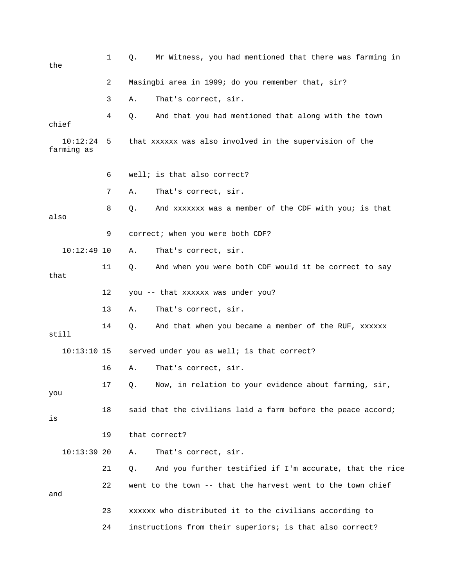| the                    | 1  | Mr Witness, you had mentioned that there was farming in<br>Q.  |
|------------------------|----|----------------------------------------------------------------|
|                        | 2  | Masingbi area in 1999; do you remember that, sir?              |
|                        | 3  | That's correct, sir.<br>Α.                                     |
| chief                  | 4  | And that you had mentioned that along with the town<br>Q.      |
| 10:12:24<br>farming as | 5  | that xxxxxx was also involved in the supervision of the        |
|                        | 6  | well; is that also correct?                                    |
|                        | 7  | That's correct, sir.<br>Α.                                     |
| also                   | 8  | And xxxxxxx was a member of the CDF with you; is that<br>Q.    |
|                        | 9  | correct; when you were both CDF?                               |
| $10:12:49$ 10          |    | That's correct, sir.<br>Α.                                     |
| that                   | 11 | And when you were both CDF would it be correct to say<br>Q.    |
|                        | 12 | you -- that xxxxxx was under you?                              |
|                        | 13 | That's correct, sir.<br>Α.                                     |
| still                  | 14 | And that when you became a member of the RUF, xxxxxx<br>Q.     |
| $10:13:10$ 15          |    | served under you as well; is that correct?                     |
|                        | 16 | That's correct, sir.<br>Α.                                     |
| you                    | 17 | Q. Now, in relation to your evidence about farming, sir,       |
| is                     | 18 | said that the civilians laid a farm before the peace accord;   |
|                        | 19 | that correct?                                                  |
| $10:13:39$ 20          |    | That's correct, sir.<br>Α.                                     |
|                        | 21 | And you further testified if I'm accurate, that the rice<br>Q. |
| and                    | 22 | went to the town -- that the harvest went to the town chief    |
|                        | 23 | xxxxxx who distributed it to the civilians according to        |
|                        | 24 | instructions from their superiors; is that also correct?       |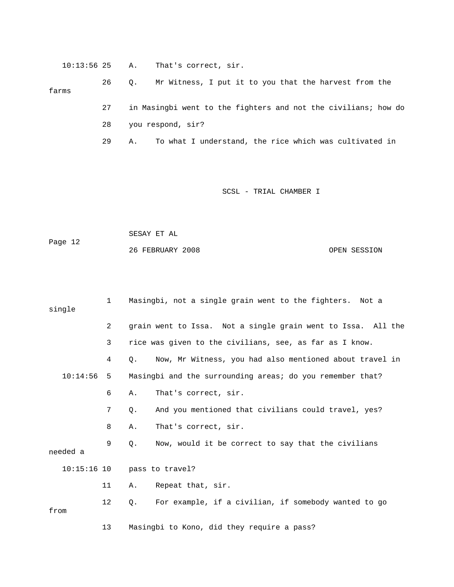10:13:56 25 A. That's correct, sir.

26 Q. Mr Witness, I put it to you that the harvest from the 27 in Masingbi went to the fighters and not the civilians; how do farms

28 you respond, sir?

29 A. To what I understand, the rice which was cultivated in

SCSL - TRIAL CHAMBER I

 SESAY ET AL 26 FEBRUARY 2008 OPEN SESSION Page 12

single 2 grain went to Issa. Not a single grain went to Issa. All the 3 rice was given to the civilians, see, as far as I know. 4 Q. Now, Mr Witness, you had also mentioned about travel in 9 Q. Now, would it be correct to say that the civilians needed a 11 A. Repeat that, sir. 12 Q. For example, if a civilian, if somebody wanted to go from 13 Masingbi to Kono, did they require a pass? 1 Masingbi, not a single grain went to the fighters. Not a 10:14:56 5 Masingbi and the surrounding areas; do you remember that? 6 A. That's correct, sir. 7 Q. And you mentioned that civilians could travel, yes? 8 A. That's correct, sir. 10:15:16 10 pass to travel?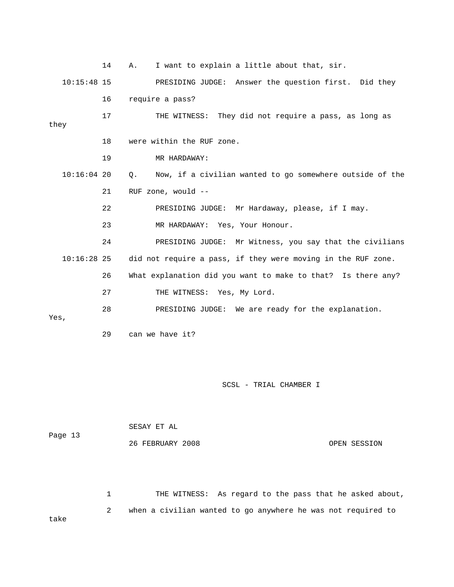14 A. I want to explain a little about that, sir. 10:15:48 15 PRESIDING JUDGE: Answer the question first. Did they 17 THE WITNESS: They did not require a pass, as long as they 18 were within the RUF zone. 19 MR HARDAWAY: Q. Now, if a civilian wanted to go somewhere outside of the E: Mr Hardaway, please, if I may. 22 PRESIDING JUDG E: Mr Witness, you say that the civilians 24 PRESIDING JUDG 10:16:28 25 did not require a pass, if they were moving in the RUF zone. 26 What explanation did you want to make to that? Is there any? 16 require a pass?  $10:16:04$  20 21 RUF zone, would -- 23 MR HARDAWAY: Yes, Your Honour. 27 THE WITNESS: Yes, My Lord. 28 PRESIDING JUDGE: We are ready for the explanation. Yes,

29 can we have it?

SCSL - TRIAL CHAMBER I

| Page 13 | SESAY ET AL      |              |
|---------|------------------|--------------|
|         | 26 FEBRUARY 2008 | OPEN SESSION |

1 THE WITNESS: As regard to the pass that he asked about, 2 when a civilian wanted to go anywhere he was not required to take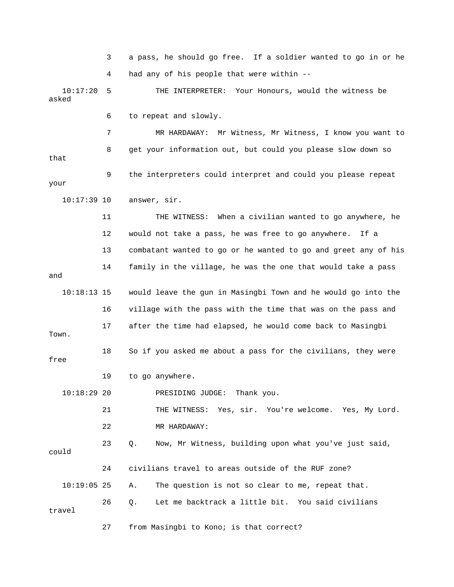3 a pass, he should go free. If a soldier wanted to go in or he 4 had any of his people that were within --

17:20 5 THE INTERPRETER: Your Honours, would the witness be asked  $10:17:20$ 

6 to repeat and slowly.

 7 MR HARDAWAY: Mr Witness, Mr Witness, I know you want to 8 get your information out, but could you please slow down so that 9 the interpreters could interpret and could you please repeat your

10:17:39 10 answer, sir.

 12 would not take a pass, he was free to go anywhere. If a 13 combatant wanted to go or he wanted to go and greet any of his and 10:18:13 15 would leave the gun in Masingbi Town and he would go into the 11 THE WITNESS: When a civilian wanted to go anywhere, he 14 family in the village, he was the one that would take a pass

 16 village with the pass with the time that was on the pass and 17 after the time had elapsed, he would come back to Masingbi Town. 18 So if you asked me about a pass for the civilians, they were PRESIDING JUDGE: Thank you. free 19 to go anywhere.  $10:18:29$  20

 21 THE WITNESS: Yes, sir. You're welcome. Yes, My Lord. 22 MR HARDAWAY:

23 Q. Now, Mr Witness, building upon what you've just said, could 10:19:05 25 A. The question is not so clear to me, repeat that. 26 Q. Let me backtrack a little bit. You said civilians travel 24 civilians travel to areas outside of the RUF zone?

27 from Masingbi to Kono; is that correct?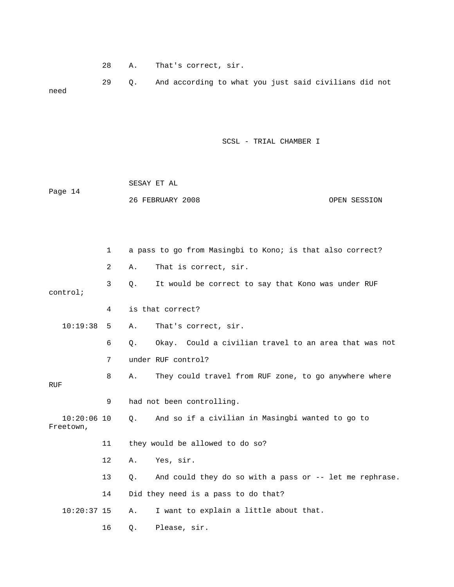28 A. That's correct, sir.

 29 Q. And according to what you just said civilians did not need

| Page 14                    |    | SESAY ET AL |                                                           |              |  |
|----------------------------|----|-------------|-----------------------------------------------------------|--------------|--|
|                            |    |             | 26 FEBRUARY 2008                                          | OPEN SESSION |  |
|                            |    |             |                                                           |              |  |
|                            |    |             |                                                           |              |  |
|                            | 1  |             | a pass to go from Masingbi to Kono; is that also correct? |              |  |
|                            | 2  | Α.          | That is correct, sir.                                     |              |  |
| control;                   | 3  | Q.          | It would be correct to say that Kono was under RUF        |              |  |
|                            | 4  |             | is that correct?                                          |              |  |
| 10:19:38                   | 5  | Α.          | That's correct, sir.                                      |              |  |
|                            | 6  | Q.          | Okay. Could a civilian travel to an area that was not     |              |  |
|                            | 7  |             | under RUF control?                                        |              |  |
| <b>RUF</b>                 | 8  | Α.          | They could travel from RUF zone, to go anywhere where     |              |  |
|                            | 9  |             | had not been controlling.                                 |              |  |
| $10:20:06$ 10<br>Freetown, |    | О.          | And so if a civilian in Masingbi wanted to go to          |              |  |
|                            | 11 |             | they would be allowed to do so?                           |              |  |
|                            | 12 | Α.          | Yes, sir.                                                 |              |  |
|                            | 13 | О.          | And could they do so with a pass or -- let me rephrase.   |              |  |
|                            | 14 |             | Did they need is a pass to do that?                       |              |  |
| $10:20:37$ 15              |    | Α.          | I want to explain a little about that.                    |              |  |
|                            | 16 | Q.          | Please, sir.                                              |              |  |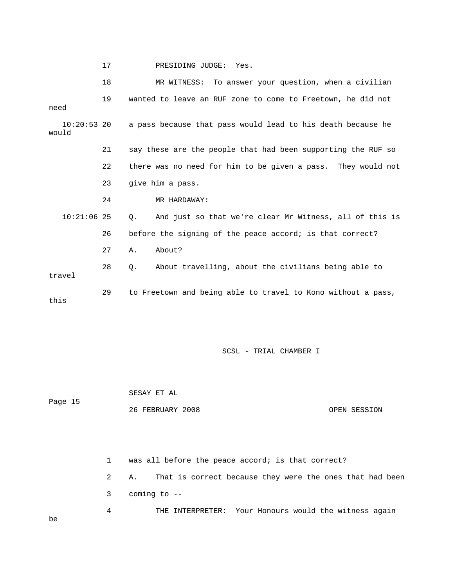|  | PRESIDING JUDGE: Yes. |  |
|--|-----------------------|--|
|--|-----------------------|--|

|                        | 18 | MR WITNESS: To answer your question, when a civilian             |
|------------------------|----|------------------------------------------------------------------|
| need                   | 19 | wanted to leave an RUF zone to come to Freetown, he did not      |
| $10:20:53$ 20<br>would |    | a pass because that pass would lead to his death because he      |
|                        | 21 | say these are the people that had been supporting the RUF so     |
|                        | 22 | there was no need for him to be given a pass. They would not     |
|                        | 23 | give him a pass.                                                 |
|                        | 24 | MR HARDAWAY:                                                     |
| $10:21:06$ 25          |    | And just so that we're clear Mr Witness, all of this is<br>О.    |
|                        | 26 | before the signing of the peace accord; is that correct?         |
|                        | 27 | About?<br>Α.                                                     |
| travel                 | 28 | About travelling, about the civilians being able to<br>$\circ$ . |
| this                   | 29 | to Freetown and being able to travel to Kono without a pass,     |

 SESAY ET AL Page 15 OPEN SESSION 26 FEBRUARY 2008

be

 1 was all before the peace accord; is that correct? 2 A. That is correct because they were the ones that had been 3 coming to -- 4 THE INTERPRETER: Your Honours would the witness again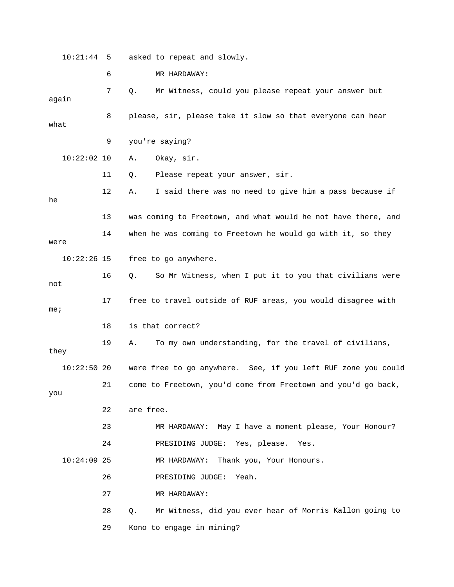10:21:44 5 asked to repeat and slowly.

 6 MR HARDAWAY: again 8 please, sir, please take it slow so that everyone can hear what 9 you're saying? 11 Q. Please repeat your answer, sir. 12 A. I said there was no need to give him a pass because if 13 was coming to Freetown, and what would he not have there, and 14 when he was coming to Freetown he would go with it, so they 16 Q. So Mr Witness, when I put it to you that civilians were 21 come to Freetown, you'd come from Freetown and you'd go back, 23 MR HARDAWAY: May I have a moment please, Your Honour? MR HARDAWAY: Thank you, Your Honours. 26 **PRESIDING JUDGE:** Yeah. 28 Q. Mr Witness, did you ever hear of Morris Kallon going to 7 Q. Mr Witness, could you please repeat your answer but 10:22:02 10 A. Okay, sir. he were 10:22:26 15 free to go anywhere. not 17 free to travel outside of RUF areas, you would disagree with me; 18 is that correct? 19 A. To my own understanding, for the travel of civilians, they 10:22:50 20 were free to go anywhere. See, if you left RUF zone you could you 22 are free. 24 PRESIDING JUDGE: Yes, please. Yes.  $10:24:09$  25 27 MR HARDAWAY: 29 Kono to engage in mining?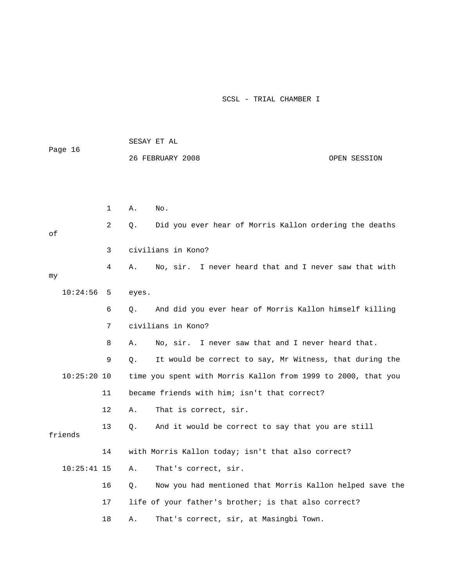| Page 16       |              | SESAY ET AL                                                    |  |
|---------------|--------------|----------------------------------------------------------------|--|
|               |              | 26 FEBRUARY 2008<br>OPEN SESSION                               |  |
|               |              |                                                                |  |
|               |              |                                                                |  |
|               | $\mathbf{1}$ | Α.<br>No.                                                      |  |
| оf            | 2            | Did you ever hear of Morris Kallon ordering the deaths<br>Q.   |  |
|               | 3            | civilians in Kono?                                             |  |
| my            | 4            | No, sir. I never heard that and I never saw that with<br>Α.    |  |
| 10:24:56      | 5            | eyes.                                                          |  |
|               | 6            | And did you ever hear of Morris Kallon himself killing<br>О.   |  |
|               | 7            | civilians in Kono?                                             |  |
|               | 8            | No, sir. I never saw that and I never heard that.<br>Α.        |  |
|               | 9            | Q.<br>It would be correct to say, Mr Witness, that during the  |  |
| $10:25:20$ 10 |              | time you spent with Morris Kallon from 1999 to 2000, that you  |  |
|               | 11           | became friends with him; isn't that correct?                   |  |
|               | 12           | Α.<br>That is correct, sir.                                    |  |
| friends       | 13           | О.<br>And it would be correct to say that you are still        |  |
|               | 14           | with Morris Kallon today; isn't that also correct?             |  |
| $10:25:41$ 15 |              | Α.<br>That's correct, sir.                                     |  |
|               | 16           | Now you had mentioned that Morris Kallon helped save the<br>О. |  |
|               | 17           | life of your father's brother; is that also correct?           |  |
|               | 18           | That's correct, sir, at Masingbi Town.<br>Α.                   |  |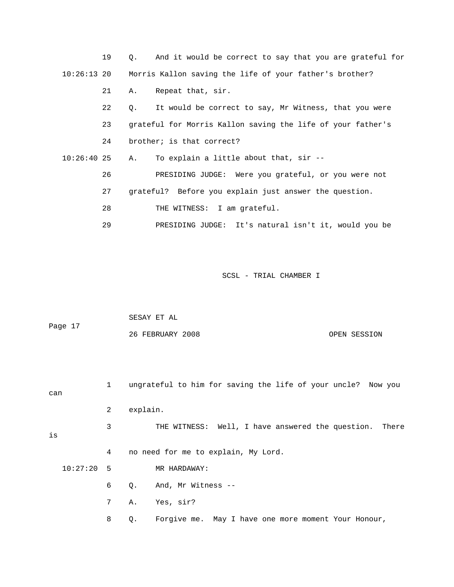|               | 19 | $\circ$ . | And it would be correct to say that you are grateful for            |
|---------------|----|-----------|---------------------------------------------------------------------|
|               |    |           | 10:26:13 20 Morris Kallon saving the life of your father's brother? |
|               | 21 | Α.        | Repeat that, sir.                                                   |
|               | 22 | Q.        | It would be correct to say, Mr Witness, that you were               |
|               | 23 |           | grateful for Morris Kallon saving the life of your father's         |
|               | 24 |           | brother; is that correct?                                           |
| $10:26:40$ 25 |    | A.        | To explain a little about that, sir --                              |
|               | 26 |           | PRESIDING JUDGE: Were you grateful, or you were not                 |
|               | 27 |           | grateful? Before you explain just answer the question.              |
|               | 28 |           | THE WITNESS: I am grateful.                                         |
|               | 29 |           | PRESIDING JUDGE: It's natural isn't it, would you be                |

| Page 17 | SESAY ET AL      |              |
|---------|------------------|--------------|
|         | 26 FEBRUARY 2008 | OPEN SESSION |

| can          | $\mathbf{1}$ | ungrateful to him for saving the life of your uncle? Now you |
|--------------|--------------|--------------------------------------------------------------|
|              | 2            | explain.                                                     |
| is           | 3            | THE WITNESS: Well, I have answered the question. There       |
|              | 4            | no need for me to explain, My Lord.                          |
| $10:27:20$ 5 |              | MR HARDAWAY:                                                 |
|              | 6            | And, Mr Witness --<br>Q.                                     |
|              | 7            | Yes, sir?<br>Α.                                              |
|              | 8            | Forgive me. May I have one more moment Your Honour,<br>Q.    |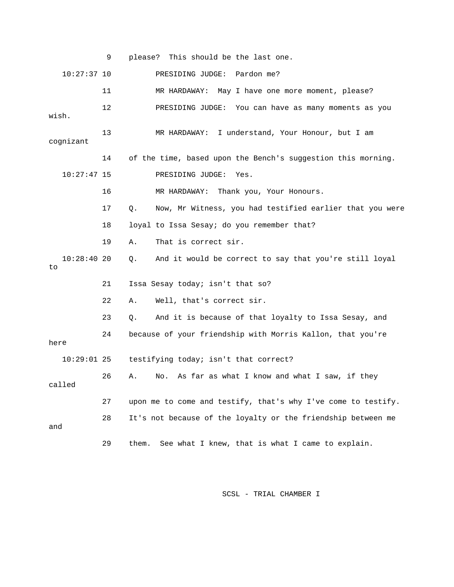|                     | 9  | please? This should be the last one.                            |
|---------------------|----|-----------------------------------------------------------------|
| $10:27:37$ 10       |    | PRESIDING JUDGE: Pardon me?                                     |
|                     | 11 | MR HARDAWAY: May I have one more moment, please?                |
| wish.               | 12 | PRESIDING JUDGE: You can have as many moments as you            |
| cognizant           | 13 | MR HARDAWAY: I understand, Your Honour, but I am                |
|                     | 14 | of the time, based upon the Bench's suggestion this morning.    |
| $10:27:47$ 15       |    | PRESIDING JUDGE:<br>Yes.                                        |
|                     | 16 | MR HARDAWAY: Thank you, Your Honours.                           |
|                     | 17 | Now, Mr Witness, you had testified earlier that you were<br>Q.  |
|                     | 18 | loyal to Issa Sesay; do you remember that?                      |
|                     | 19 | That is correct sir.<br>Α.                                      |
| $10:28:40$ 20<br>to |    | And it would be correct to say that you're still loyal<br>$Q$ . |
|                     | 21 | Issa Sesay today; isn't that so?                                |
|                     | 22 | Well, that's correct sir.<br>Α.                                 |
|                     | 23 | And it is because of that loyalty to Issa Sesay, and<br>Q.      |
| here                | 24 | because of your friendship with Morris Kallon, that you're      |
| $10:29:01$ 25       |    | testifying today; isn't that correct?                           |
| called              | 26 | As far as what I know and what I saw, if they<br>Α.<br>No.      |
|                     | 27 | upon me to come and testify, that's why I've come to testify.   |
| and                 | 28 | It's not because of the loyalty or the friendship between me    |
|                     | 29 | See what I knew, that is what I came to explain.<br>them.       |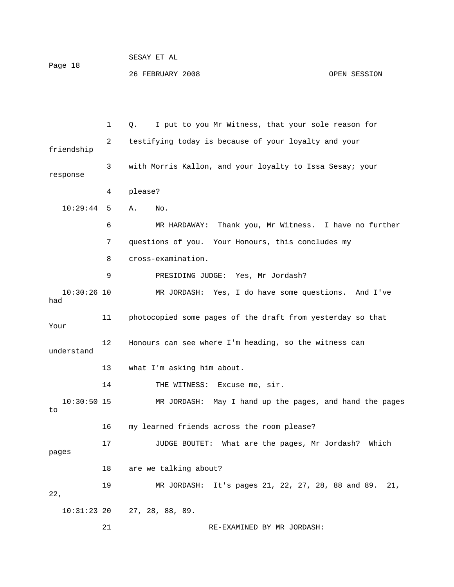| Page 18 | PRPHI FI HT      |              |
|---------|------------------|--------------|
|         | 26 FEBRUARY 2008 | OPEN SESSION |

 $CDOAY$   $CDP$   $27$ 

 1 Q. I put to you Mr Witness, that your sole reason for 3 with Morris Kallon, and your loyalty to Issa Sesay; your response 10:29:44 5 A. No. 6 MR HARDAWAY: Thank you, Mr Witness. I have no further 8 cross-examination. 9 PRESIDING JUDGE: Yes, Mr Jordash? MR JORDASH: Yes, I do have some questions. And I've 11 photocopied some pages of the draft from yesterday so that Your 12 Honours can see where I'm heading, so the witness can 14 THE WITNESS: Excuse me, sir. MR JORDASH: May I hand up the pages, and hand the pages 16 my learned friends across the room please? 17 JUDGE BOUTET: What are the pages, Mr Jordash? Which pages 19 MR JORDASH: It's pages 21, 22, 27, 28, 88 and 89. 21, 10:31:23 20 27, 28, 88, 89. 21 RE-EXAMINED BY MR JORDASH: 2 testifying today is because of your loyalty and your friendship 4 please? 7 questions of you. Your Honours, this concludes my  $10:30:26$  10 had understand 13 what I'm asking him about.  $10:30:50$  15 to 18 are we talking about? 22,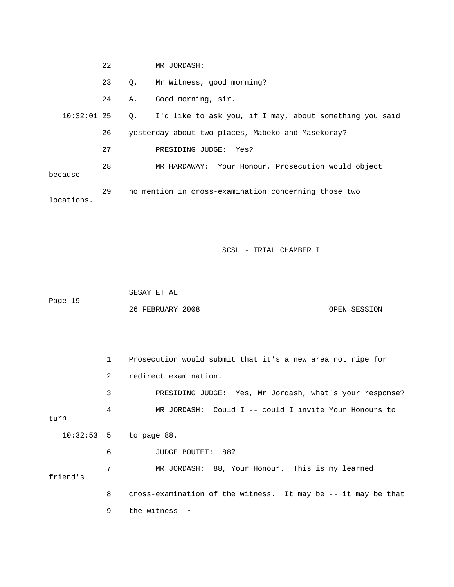|               | 22 |           | MR JORDASH:                                                |
|---------------|----|-----------|------------------------------------------------------------|
|               | 23 | $\circ$ . | Mr Witness, good morning?                                  |
|               | 24 | Α.        | Good morning, sir.                                         |
| $10:32:01$ 25 |    |           | Q. I'd like to ask you, if I may, about something you said |
|               | 26 |           | yesterday about two places, Mabeko and Masekoray?          |
|               | 27 |           | PRESIDING JUDGE: Yes?                                      |
| because       | 28 |           | MR HARDAWAY: Your Honour, Prosecution would object         |
| locations.    | 29 |           | no mention in cross-examination concerning those two       |

 SESAY ET AL ge 19 26 FEBRUARY 2008 OPEN SESSION Pa

|          | $1 \quad$   | Prosecution would submit that it's a new area not ripe for    |
|----------|-------------|---------------------------------------------------------------|
|          | $2^{\circ}$ | redirect examination.                                         |
|          | 3           | PRESIDING JUDGE: Yes, Mr Jordash, what's your response?       |
| turn     | 4           | MR JORDASH: Could I -- could I invite Your Honours to         |
|          |             | $10:32:53$ 5 to page 88.                                      |
|          | 6           | <b>JUDGE BOUTET: 88?</b>                                      |
| friend's | 7           | MR JORDASH: 88, Your Honour. This is my learned               |
|          | 8           | cross-examination of the witness. It may be -- it may be that |
|          | 9           | the witness --                                                |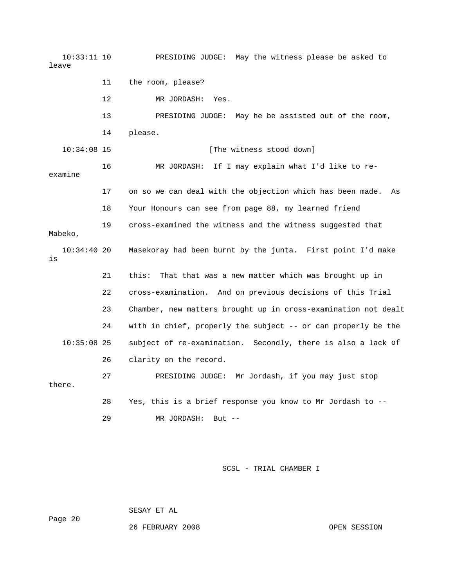10:33:11 10 PRESIDING JUDGE: May the witness please be asked to 11 the room, please? 12 MR JORDASH: Yes. 14 please. [The witness stood down] 16 MR JORDASH: If I may explain what I'd like to reexamine 17 on so we can deal with the objection which has been made. As 18 Your Honours can see from page 88, my learned friend 19 cross-examined the witness and the witness suggested that 10:34:40 20 Masekoray had been burnt by the junta. First point I'd make 21 this: That that was a new matter which was brought up in 23 Chamber, new matters brought up in cross-examination not dealt 24 with in chief, properly the subject -- or can properly be the 10:35:08 25 subject of re-examination. Secondly, there is also a lack of there. 28 Yes, this is a brief response you know to Mr Jordash to - leave 13 PRESIDING JUDGE: May he be assisted out of the room, 10:34:08 15 [ Mabeko, is 22 cross-examination. And on previous decisions of this Trial 26 clarity on the record. 27 PRESIDING JUDGE: Mr Jordash, if you may just stop 29 MR JORDASH: But --

SCSL - TRIAL CHAMBER I

SESAY ET AL

Page 20

26 FEBRUARY 2008 OPEN SESSION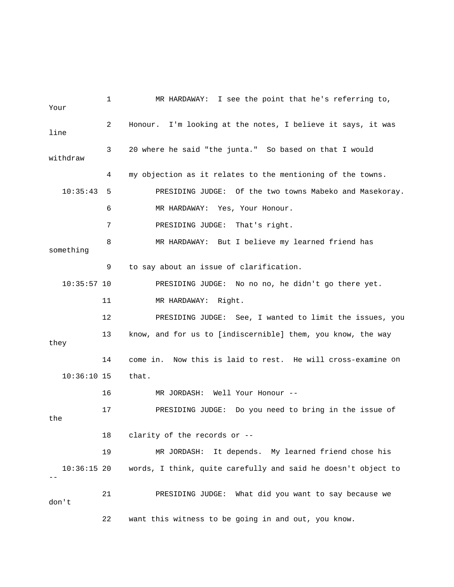1 MR HARDAWAY: I see the point that he's referring to, Your 2 Honour. I'm looking at the notes, I believe it says, it was line 3 20 where he said "the junta." So based on that I would withdraw 4 my objection as it relates to the mentioning of the towns. 6 MR HARDAWAY: Yes, Your Honour. 7 PRESIDING JUDGE: That's right. something 9 to say about an issue of clarification. 10:35:57 10 PRESIDING JUDGE: No no no, he didn't go there yet. 11 MR HARDAWAY: Right. s, you 12 PRESIDING JUDGE: See, I wanted to limit the issue 13 know, and for us to [indiscernible] them, you know, the way 14 come in. Now this is laid to rest. He will cross-examine on MR JORDASH: It depends. My learned friend chose his 10:36:15 20 words, I think, quite carefully and said he doesn't object to 22 want this witness to be going in and out, you know. 10:35:43 5 PRESIDING JUDGE: Of the two towns Mabeko and Masekoray. 8 MR HARDAWAY: But I believe my learned friend has they 10:36:10 15 that. 16 MR JORDASH: Well Your Honour -- 17 PRESIDING JUDGE: Do you need to bring in the issue of the 18 clarity of the records or -- 19 M -- 21 PRESIDING JUDGE: What did you want to say because we don't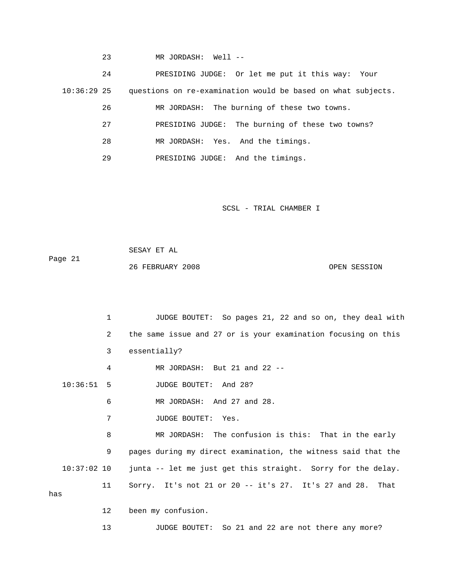23 MR JORDASH: Well --

 24 PRESIDING JUDGE: Or let me put it this way: Your 26 MR JORDASH: The burning of these two towns. 27 PRESIDING JUDGE: The burning of these two towns? 29 PRESIDING JUDGE: And the timings. 10:36:29 25 questions on re-examination would be based on what subjects. 28 MR JORDASH: Yes. And the timings.

SCSL - TRIAL CHAMBER I

 SESAY ET AL Page 21 26 FEBRUARY 2008 OPEN SESSION

 1 JUDGE BOUTET: So pages 21, 22 and so on, they deal with 2 the same issue and 27 or is your examination focusing on this 3 essentially? 4 MR JORDASH: But 21 and 22 -- 10:36:51 5 JUDGE BOUTET: And 28? 6 MR JORDASH: And 27 and 28. 8 MR JORDASH: The confusion is this: That in the early 9 pages during my direct examination, the witness said that the 10:37:02 10 junta -- let me just get this straight. Sorry for the delay. 11 Sorry. It's not 21 or 20 -- it's 27. It's 27 and 28. That 7 JUDGE BOUTET: Yes. has 12 been my confusion.

13 JUDGE BOUTET: So 21 and 22 are not there any more?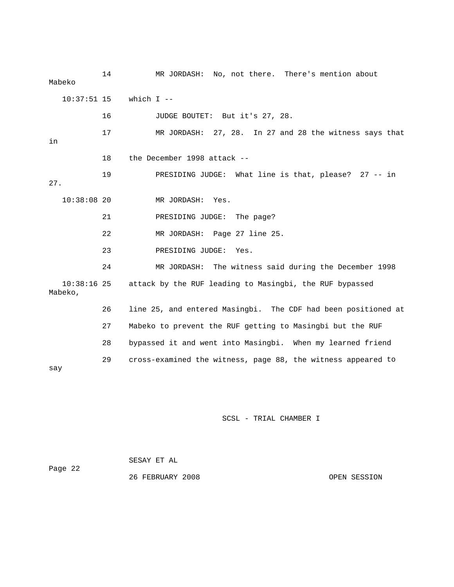| Mabeko                   | 14 | MR JORDASH: No, not there. There's mention about              |
|--------------------------|----|---------------------------------------------------------------|
| $10:37:51$ 15            |    | which $I$ --                                                  |
|                          | 16 | JUDGE BOUTET: But it's 27, 28.                                |
| in                       | 17 | MR JORDASH: 27, 28. In 27 and 28 the witness says that        |
|                          | 18 | the December 1998 attack --                                   |
| 27.                      | 19 | PRESIDING JUDGE: What line is that, please? 27 -- in          |
| $10:38:08$ 20            |    | MR JORDASH: Yes.                                              |
|                          | 21 | PRESIDING JUDGE: The page?                                    |
|                          | 22 | MR JORDASH: Page 27 line 25.                                  |
|                          | 23 | PRESIDING JUDGE: Yes.                                         |
|                          | 24 | MR JORDASH: The witness said during the December 1998         |
| $10:38:16$ 25<br>Mabeko, |    | attack by the RUF leading to Masingbi, the RUF bypassed       |
|                          | 26 | line 25, and entered Masingbi. The CDF had been positioned at |
|                          | 27 | Mabeko to prevent the RUF getting to Masingbi but the RUF     |
|                          | 28 | bypassed it and went into Masingbi. When my learned friend    |
| say                      | 29 | cross-examined the witness, page 88, the witness appeared to  |

| Page 22 | SESAY ET AL      |              |
|---------|------------------|--------------|
|         | 26 FEBRUARY 2008 | OPEN SESSION |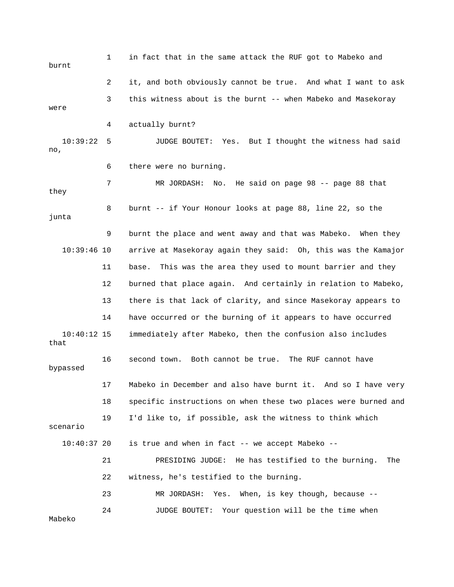1 in fact that in the same attack the RUF got to Mabeko and burnt 2 it, and both obviously cannot be true. And what I want to ask 3 this witness about is the burnt -- when Mabeko and Masekoray were 7 MR JORDASH: No. He said on page 98 -- page 88 that 9 burnt the place and went away and that was Mabeko. When they 10:39:46 10 arrive at Masekoray again they said: Oh, this was the Kamajor 11 base. This was the area they used to mount barrier and they 12 burned that place again. And certainly in relation to Mabeko, 16 second town. Both cannot be true. The RUF cannot have 17 Mabeko in December and also have burnt it. And so I have very 18 specific instructions on when these two places were burned and 19 I'd like to, if possible, ask the witness to think which is true and when in fact  $--$  we accept Mabeko  $--$  21 PRESIDING JUDGE: He has testified to the burning. The 22 witness, he's testified to the burning. 24 JUDGE BOUTET: Your question will be the time when 4 actually burnt? 10:39:22 5 JUDGE BOUTET: Yes. But I thought the witness had said no, 6 there were no burning. they 8 burnt -- if Your Honour looks at page 88, line 22, so the junta 13 there is that lack of clarity, and since Masekoray appears to 14 have occurred or the burning of it appears to have occurred 10:40:12 15 immediately after Mabeko, then the confusion also includes that bypassed scenario 10:40:37 20 23 MR JORDASH: Yes. When, is key though, because -- Mabeko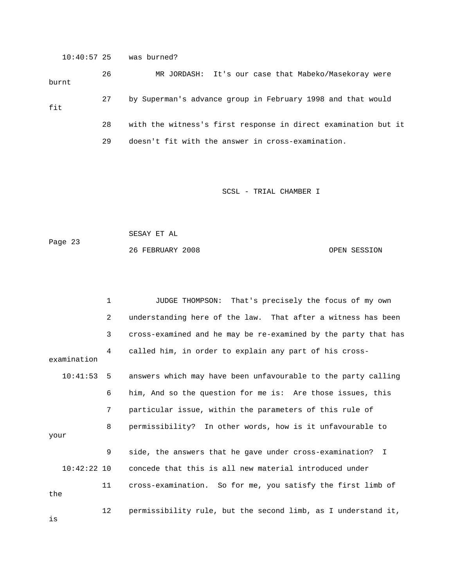10:40:57 25 was burned?

 26 MR JORDASH: It's our case that Mab eko/Masekoray were burnt 27 by Superman's advance group in February 1998 and that would 28 with the witness's first response in direct examination but it fit 29 doesn't fit with the answer in cross-examination.

SCSL - TRIAL CHAMBER I

1 JUDGE THOMPSON: That's precisely the focus of my own

 SESAY ET AL Page 23 26 FEBRUARY 2008 OPEN SESSION

2 understanding here of the law. That after a witness has been 3 cross-examined and he may be re-examined by the party that has 4 called him, in order to explain any part of his crossexamination 8 permissibility? In other words, how is it unfavourable to 11 cross-examination. So for me, you satisfy the first limb of 12 permissibility rule, but the second limb, as I understand it, 10:41:53 5 answers which may have been unfavourable to the party calling 6 him, And so the question for me is: Are those issues, this 7 particular issue, within the parameters of this rule of your 9 side, the answers that he gave under cross-examination? I 10:42:22 10 concede that this is all new material introduced under the is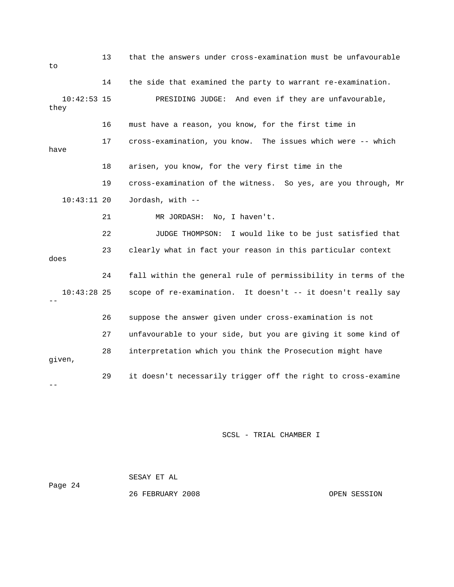| to                    | 13 | that the answers under cross-examination must be unfavourable  |
|-----------------------|----|----------------------------------------------------------------|
|                       | 14 | the side that examined the party to warrant re-examination.    |
| $10:42:53$ 15<br>they |    | PRESIDING JUDGE: And even if they are unfavourable,            |
|                       | 16 | must have a reason, you know, for the first time in            |
| have                  | 17 | cross-examination, you know. The issues which were -- which    |
|                       | 18 | arisen, you know, for the very first time in the               |
|                       | 19 | cross-examination of the witness. So yes, are you through, Mr  |
| $10:43:11$ 20         |    | Jordash, with --                                               |
|                       | 21 | MR JORDASH:<br>No, I haven't.                                  |
|                       | 22 | I would like to be just satisfied that<br>JUDGE THOMPSON:      |
| does                  | 23 | clearly what in fact your reason in this particular context    |
|                       | 24 | fall within the general rule of permissibility in terms of the |
| $10:43:28$ 25         |    | scope of re-examination. It doesn't -- it doesn't really say   |
|                       | 26 | suppose the answer given under cross-examination is not        |
|                       | 27 | unfavourable to your side, but you are giving it some kind of  |
| qiven,                | 28 | interpretation which you think the Prosecution might have      |
|                       | 29 | it doesn't necessarily trigger off the right to cross-examine  |

| Page 24 | SESAY ET AL      |              |
|---------|------------------|--------------|
|         | 26 FEBRUARY 2008 | OPEN SESSION |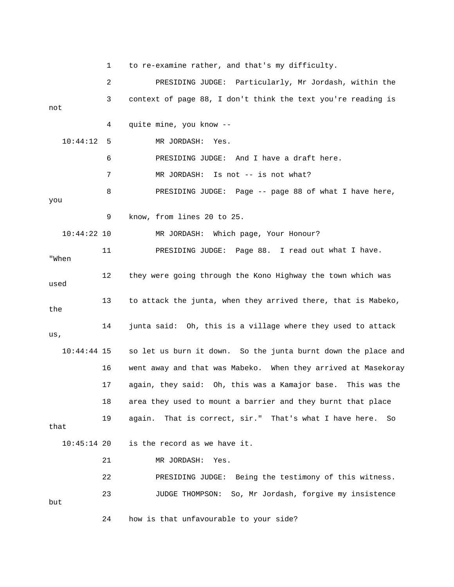1 to re-examine rather, and that's my difficulty. 2 PRESIDING JUDGE: Particularly, Mr Jordash, within the 3 context of page 88, I don't think the text you're reading is not 4 quite mine, you know -- 8 BRESIDING JUDGE: Page -- page 88 of what I have here, 9 know, from lines 20 to 25. 11 PRESIDING JUDGE: Page 88. I read out what I have. "When 12 they were going through the Kono Highway the town which was used 13 to attack the junta, when they arrived there, that is Mabeko, 10:44:44 15 so let us burn it down. So the junta burnt down the place and 16 went away and that was Mabeko. When they arrived at Masekoray 17 again, they said: Oh, this was a Kamajor base. This was the 19 again. That is correct, sir." That's what I have here. So 24 how is that unfavourable to your side? 10:44:12 5 MR JORDASH: Yes. 6 PRESIDING JUDGE: And I have a draft here. 7 MR JORDASH: Is not -- is not what? you 10:44:22 10 MR JORDASH: Which page, Your Honour? the 14 junta said: Oh, this is a village where they used to attack us, 18 area they used to mount a barrier and they burnt that place that 10:45:14 20 is the record as we have it. 21 MR JORDASH: Yes. 22 PRESIDING JUDGE: Being the testimony of this witness. 23 JUDGE THOMPSON: So, Mr Jordash, forgive my insistence but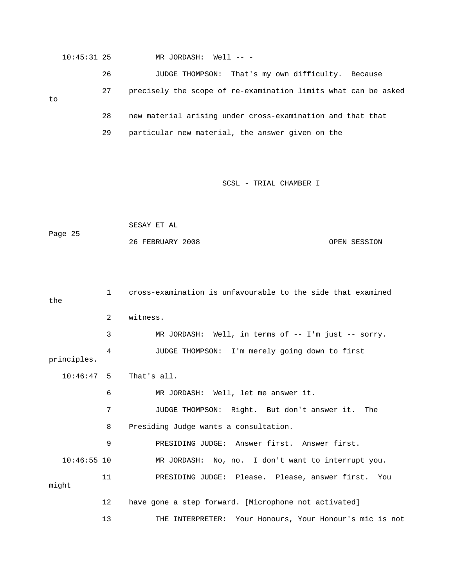|    | $10:45:31$ 25 |    | MR JORDASH: Well -- -                                          |
|----|---------------|----|----------------------------------------------------------------|
|    |               | 26 | That's my own difficulty. Because<br>JUDGE THOMPSON:           |
| to |               | 27 | precisely the scope of re-examination limits what can be asked |
|    |               | 28 | new material arising under cross-examination and that that     |
|    |               | 29 | particular new material, the answer given on the               |

 SESAY ET AL Page 25 26 FEBRUARY 2008 OPEN SESSION

| the           | $\mathbf{1}$   | cross-examination is unfavourable to the side that examined |
|---------------|----------------|-------------------------------------------------------------|
|               | $\overline{a}$ | witness.                                                    |
|               | 3              | MR JORDASH: Well, in terms of $-$ I'm just $-$ sorry.       |
| principles.   | 4              | JUDGE THOMPSON: I'm merely going down to first              |
| $10:46:47$ 5  |                | That's all.                                                 |
|               | 6              | MR JORDASH: Well, let me answer it.                         |
|               | 7              | JUDGE THOMPSON: Right. But don't answer it. The             |
|               | 8              | Presiding Judge wants a consultation.                       |
|               | 9              | PRESIDING JUDGE: Answer first. Answer first.                |
| $10:46:55$ 10 |                | MR JORDASH: No, no. I don't want to interrupt you.          |
| might         | 11             | PRESIDING JUDGE: Please. Please, answer first. You          |
|               | 12             | have gone a step forward. [Microphone not activated]        |
|               | 13             | THE INTERPRETER: Your Honours, Your Honour's mic is not     |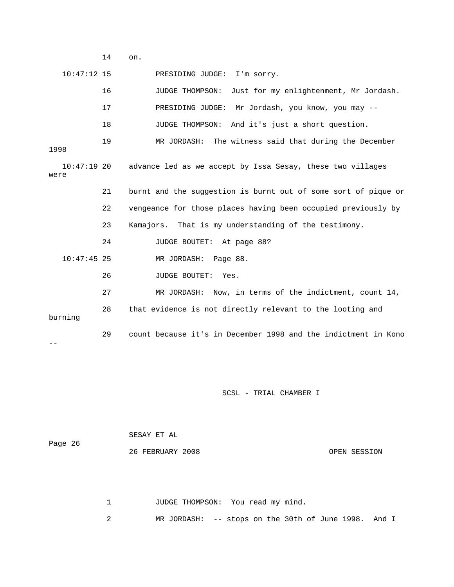14 on.

 $\perp\perp$ 

10:47:12 15 PRESIDING JUDGE: I'm sorry.

|                       | 16 | Just for my enlightenment, Mr Jordash.<br>JUDGE THOMPSON:      |
|-----------------------|----|----------------------------------------------------------------|
|                       | 17 | PRESIDING JUDGE: Mr Jordash, you know, you may --              |
|                       | 18 | JUDGE THOMPSON: And it's just a short question.                |
| 1998                  | 19 | MR JORDASH: The witness said that during the December          |
| $10:47:19$ 20<br>were |    | advance led as we accept by Issa Sesay, these two villages     |
|                       | 21 | burnt and the suggestion is burnt out of some sort of pique or |
|                       | 22 | vengeance for those places having been occupied previously by  |
|                       | 23 | Kamajors. That is my understanding of the testimony.           |
|                       | 24 | JUDGE BOUTET: At page 88?                                      |
| $10:47:45$ 25         |    | MR JORDASH: Page 88.                                           |
|                       | 26 | JUDGE BOUTET: Yes.                                             |
|                       | 27 | MR JORDASH: Now, in terms of the indictment, count 14,         |
| burning               | 28 | that evidence is not directly relevant to the looting and      |
|                       | 29 | count because it's in December 1998 and the indictment in Kono |

SCSL - TRIAL CHAMBER I

 SESAY ET AL ge 26 26 FEBRUARY 2008 OPEN SESSION Pa

1 JUDGE THOMPSON: You read my mind.

2 MR JORDASH: -- stops on the 30th of June 1998. And I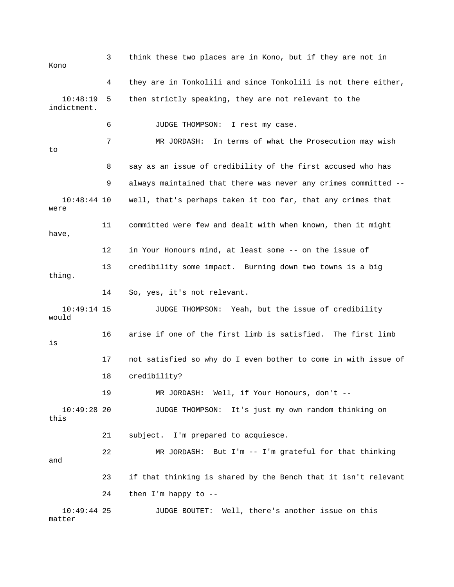3 think these two places are in Kono, but if they are not in Kono 4 they are in Tonkolili and since Tonkolili is not there either,  $10:48:19$  5 then strictly speaking, they are not relevant to the indictment. 6 JUDGE THOMPSON: I rest my case. 7 MR JORDASH: In terms of what the Prosecution may wish 8 say as an issue of credibility of the first accused who has 9 always maintained that there was never any crimes committed -- 10:48:44 10 well, that's perhaps taken it too far, that any crimes that were 11 committed were few and dealt with when known, then it might have, 12 in Your Honours mind, at least some -- on the issue of 14 So, yes, it's not relevant. JUDGE THOMPSON: Yeah, but the issue of credibility 16 arise if one of the first limb is satisfied. The first limb 17 not satisfied so why do I even bother to come in with issue of 18 credibility? 22 MR JORDASH: But I'm -- I'm grateful for that thinking and 23 if that thinking is shared by the Bench that it isn't relevant 10:49:44 25 JUDGE BOUTET: Well, there's another issue on this to 13 credibility some impact. Burning down two towns is a big thing.  $10:49:14$  15 would is 19 MR JORDASH: Well, if Your Honours, don't -- 10:49:28 20 JUDGE THOMPSON: It's just my own random thinking on this 21 subject. I'm prepared to acquiesce. 24 then I'm happy to - matter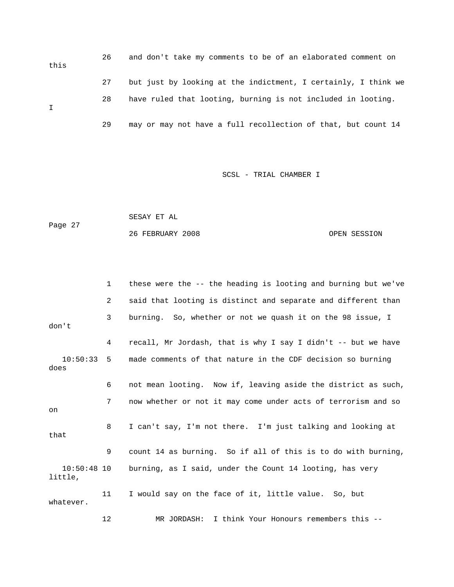26 and don't take my comments to be of an elaborated comment on this 27 but just by looking at the indictment, I certainly, I think we 28 have ruled that looting, burning is not included in looting. 29 may or may not have a full recollection of that, but count 14 I

```
 SESAY ET AL 
Page 27
            26 FEBRUARY 2008 OPEN SESSION
```

|                          | $\mathbf{1}$ | these were the -- the heading is looting and burning but we've |
|--------------------------|--------------|----------------------------------------------------------------|
|                          | 2            | said that looting is distinct and separate and different than  |
| don't                    | 3            | burning. So, whether or not we quash it on the 98 issue, I     |
|                          | 4            | recall, Mr Jordash, that is why I say I didn't -- but we have  |
| 10:50:33<br>does         | 5            | made comments of that nature in the CDF decision so burning    |
|                          | 6            | not mean looting. Now if, leaving aside the district as such,  |
| on                       | 7            | now whether or not it may come under acts of terrorism and so  |
| that                     | 8            | I can't say, I'm not there. I'm just talking and looking at    |
|                          | 9            | count 14 as burning. So if all of this is to do with burning,  |
| $10:50:48$ 10<br>little, |              | burning, as I said, under the Count 14 looting, has very       |
| whatever.                | 11           | I would say on the face of it, little value. So, but           |
|                          | 12           | I think Your Honours remembers this --<br>MR JORDASH:          |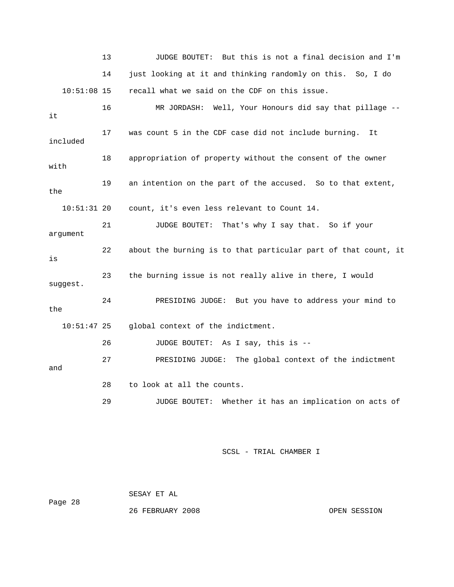13 JUDGE BOUTET: But this is not a final decision and I'm 14 just looking at it and thinking randomly on this. So, I do 16 MR JORDASH: Well, Your Honours did say that pillage -- 17 was count 5 in the CDF case did not include burning. It 19 an intention on the part of the accused. So to that extent, 10:51:31 20 count, it's even less relevant to Count 14. 21 JUDGE BOUTET: That's why I say that. So if your argument 22 about the burning is to that particular part of that count, it 23 the burning issue is not really alive in there, I would suggest. 24 PRESIDING JUDGE: But you have to address your mind to 10:51:47 25 global context of the indictment. ent 27 PRESIDING JUDGE: The global context of the indictm 29 JUDGE BOUTET: Whether it has an implication on acts of 10:51:08 15 recall what we said on the CDF on this issue. it included 18 appropriation of property without the consent of the owner with the is the 26 JUDGE BOUTET: As I say, this is - and 28 to look at all the counts.

SCSL - TRIAL CHAMBER I

Page 28 SESAY ET AL

26 FEBRUARY 2008 OPEN SESSION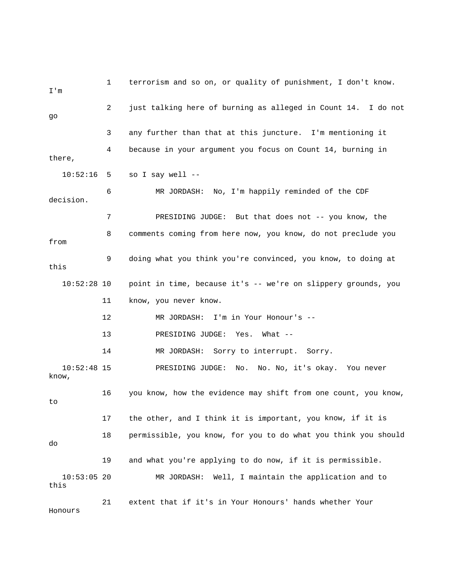1 terrorism and so on, or quality of punishment, I don't know. m I' 2 just talking here of burning as alleged in Count 14. I do not 3 any further than that at this juncture. I'm mentioning it 4 because in your argument you focus on Count 14, burning in there, 7 PRESIDING JUDGE: But that does not -- you know, the 9 doing what you think you're convinced, you know, to doing at 10:52:28 10 point in time, because it's -- we're on slippery grounds, you 11 know, you never know. 14 MR JORDASH: Sorry to interrupt. Sorry. know, 17 the other, and I think it is important, you know, if it is 18 permissible, you know, for you to do what you think you should 19 and what you're applying to do now, if it is permissible. MR JORDASH: Well, I maintain the application and to this 21 extent that if it's in Your Honours' hands whether Your Honours go 10:52:16 5 so I say well -- 6 MR JORDASH: No, I'm happily reminded of the CDF decision. 8 comments coming from here now, you know, do not preclude you from this 12 MR JORDASH: I'm in Your Honour's -- 13 PRESIDING JUDGE: Yes. What -- 10:52:48 15 PRESIDING JUDGE: No. No. No, it's okay. You never 16 you know, how the evidence may shift from one count, you know, to do  $10:53:05$  20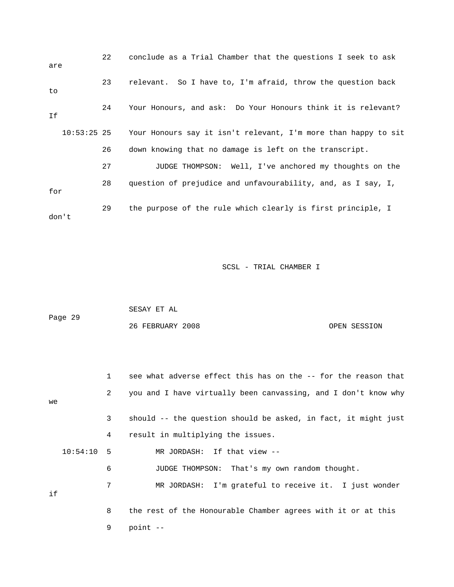| are           | 22 | conclude as a Trial Chamber that the questions I seek to ask   |
|---------------|----|----------------------------------------------------------------|
| to            | 23 | relevant. So I have to, I'm afraid, throw the question back    |
| Ιf            | 24 | Your Honours, and ask: Do Your Honours think it is relevant?   |
| $10:53:25$ 25 |    | Your Honours say it isn't relevant, I'm more than happy to sit |
|               | 26 | down knowing that no damage is left on the transcript.         |
|               | 27 | JUDGE THOMPSON: Well, I've anchored my thoughts on the         |
| for           | 28 | question of prejudice and unfavourability, and, as I say, I,   |
| don't         | 29 | the purpose of the rule which clearly is first principle, I    |

|         | SESAY ET AL      |              |
|---------|------------------|--------------|
| Page 29 |                  |              |
|         | 26 FEBRUARY 2008 | OPEN SESSION |

|    |              | $\mathbf{1}$ | see what adverse effect this has on the -- for the reason that |
|----|--------------|--------------|----------------------------------------------------------------|
| we |              | 2            | you and I have virtually been canvassing, and I don't know why |
|    |              | 3            | should -- the question should be asked, in fact, it might just |
|    |              | 4            | result in multiplying the issues.                              |
|    | $10:54:10$ 5 |              | MR JORDASH: If that view --                                    |
|    |              | 6            | JUDGE THOMPSON: That's my own random thought.                  |
| if |              | 7            | MR JORDASH: I'm grateful to receive it. I just wonder          |
|    |              | 8            | the rest of the Honourable Chamber agrees with it or at this   |
|    |              | 9            | point --                                                       |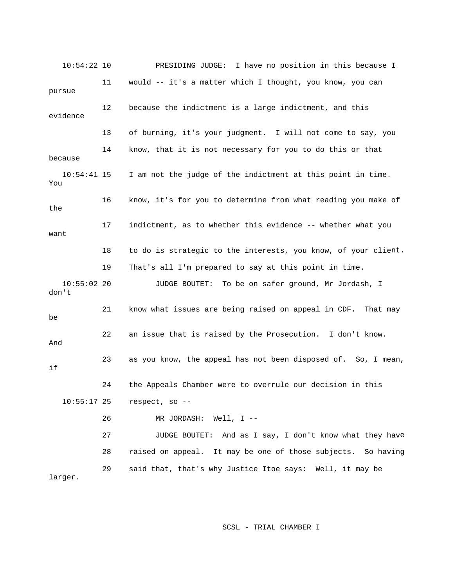10:54:22 10 PRESIDING JUDGE: I have no position in this because I 11 would -- it's a matter which I thought, you know, you can pursue evidence 14 know, that it is not necessary for you to do this or that because 10:54:41 15 I am not the judge of the indictment at this point in time. 16 know, it's for you to determine from what reading you make of 17 indictment, as to whether this evidence -- whether what you 18 to do is strategic to the interests, you know, of your client. JUDGE BOUTET: To be on safer ground, Mr Jordash, I don't 21 know what issues are being raised on appeal in CDF. That may 22 an issue that is raised by the Prosecution. I don't know. 23 as you know, the appeal has not been disposed of. So, I mean, 10:55:17 25 respect, so -- 27 JUDGE BOUTET: And as I say, I don't know what they have 28 raised on appeal. It may be one of those subjects. So having larger. 12 because the indictment is a large indictment, and this 13 of burning, it's your judgment. I will not come to say, you You the want 19 That's all I'm prepared to say at this point in time.  $10:55:02$  20 be And if 24 the Appeals Chamber were to overrule our decision in this 26 MR JORDASH: Well, I -- 29 said that, that's why Justice Itoe says: Well, it may be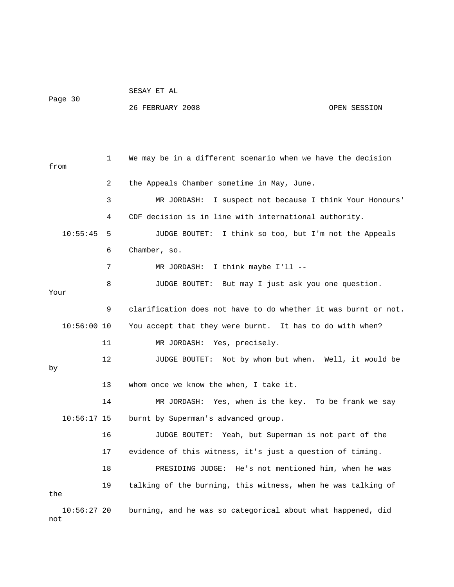## SESAY ET AL Page 30

not

## 26 FEBRUARY 2008 OPEN SESSION

 1 We may be in a different scenario when we have the decision from 2 the Appeals Chamber sometime in May, June. 3 MR JORDASH: I suspect not because I think Your Honours' 4 CDF decision is in line with international authority. 10:55:45 5 JUDGE BOUTET: I think so too, but I'm not the Appeals 6 Chamber, so. 7 MR JORDASH: I think maybe I'll --8 JUDGE BOUTET: But may I just ask you one question. 9 clarification does not have to do whether it was burnt or not. 10:56:00 10 You accept that they were burnt. It has to do with when? 12 JUDGE BOUTET: Not by whom but when. Well, it would be 14 MR JORDASH: Yes, when is the key. To be frank we say 16 JUDGE BOUTET: Yeah, but Superman is not part of the 17 evidence of this witness, it's just a question of timing. 19 talking of the burning, this witness, when he was talking of 10:56:27 20 burning, and he was so categorical about what happened, did Your 11 MR JORDASH: Yes, precisely. by 13 whom once we know the when, I take it. 10:56:17 15 burnt by Superman's advanced group. 18 PRESIDING JUDGE: He's not mentioned him, when he was the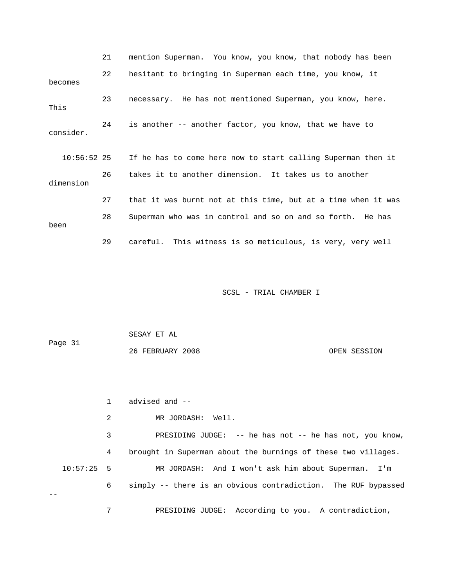|               | 21 | mention Superman. You know, you know, that nobody has been    |
|---------------|----|---------------------------------------------------------------|
| becomes       | 22 | hesitant to bringing in Superman each time, you know, it      |
| This          | 23 | necessary. He has not mentioned Superman, you know, here.     |
| consider.     | 24 | is another -- another factor, you know, that we have to       |
| $10:56:52$ 25 |    | If he has to come here now to start calling Superman then it  |
| dimension     | 26 | takes it to another dimension. It takes us to another         |
|               | 27 | that it was burnt not at this time, but at a time when it was |
| been          | 28 | Superman who was in control and so on and so forth. He has    |
|               | 29 | careful. This witness is so meticulous, is very, very well    |

 SESAY ET AL 26 FEBRUARY 2008 OPEN SESSION Page 31

1 advised and --

2 MR JORDASH: Well.

3 PRESIDING JUDGE: -- he has not -- he has not, you know, 4 brought in Superman about the burnings of these two villages. 10:57:25 5 MR JORDASH: And I won't ask him about Superman. I'm 6 simply -- there is an obvious contradiction. The RUF bypassed --

7 PRESIDING JUDGE: According to you. A contradiction,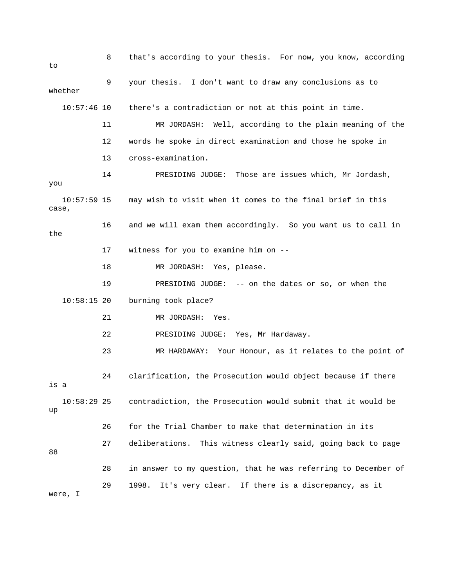8 that's according to your thesis. For now, you know, according  $t_{\Omega}$  9 your thesis. I don't want to draw any conclusions as to whether 10:57:46 10 there's a contradiction or not at this point in time. 11 MR JORDASH: Well, according to the plain meaning of the 13 cross-examination. , 14 PRESIDING JUDGE: Those are issues which, Mr Jordash 10:57:59 15 may wish to visit when it comes to the final brief in this case, 16 and we will exam them accordingly. So you want us to call in 17 witness for you to examine him on -- 19 PRESIDING JUDGE: -- on the dates or so, or when the burning took place? 22 PRESIDING JUDGE: Yes, Mr Hardaway. 23 MR HARDAWAY: Your Honour, as it relates to the point of is a 10:58:29 25 contradiction, the Prosecution would submit that it would be 26 for the Trial Chamber to make that determination in its 29 1998. It's very clear. If there is a discrepancy, as it 12 words he spoke in direct examination and those he spoke in you the 18 MR JORDASH: Yes, please.  $10:58:15$  20 21 MR JORDASH: Yes. 24 clarification, the Prosecution would object because if there up 27 deliberations. This witness clearly said, going back to page 88 28 in answer to my question, that he was referring to December of were, I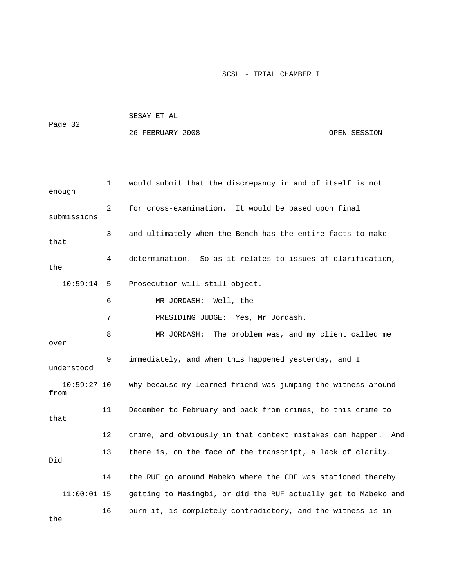|         | SESAY ET AL      |              |
|---------|------------------|--------------|
| Page 32 |                  |              |
|         | 26 FEBRUARY 2008 | OPEN SESSION |

| enough                | 1  | would submit that the discrepancy in and of itself is not      |
|-----------------------|----|----------------------------------------------------------------|
| submissions           | 2  | for cross-examination. It would be based upon final            |
| that                  | 3  | and ultimately when the Bench has the entire facts to make     |
| the                   | 4  | determination. So as it relates to issues of clarification,    |
| 10:59:14              | 5  | Prosecution will still object.                                 |
|                       | 6  | MR JORDASH: Well, the --                                       |
|                       | 7  | PRESIDING JUDGE: Yes, Mr Jordash.                              |
| over                  | 8  | MR JORDASH:<br>The problem was, and my client called me        |
| understood            | 9  | immediately, and when this happened yesterday, and I           |
| $10:59:27$ 10<br>from |    | why because my learned friend was jumping the witness around   |
| that                  | 11 | December to February and back from crimes, to this crime to    |
|                       | 12 | crime, and obviously in that context mistakes can happen. And  |
| Did                   | 13 | there is, on the face of the transcript, a lack of clarity.    |
|                       | 14 | the RUF go around Mabeko where the CDF was stationed thereby   |
| $11:00:01$ 15         |    | getting to Masingbi, or did the RUF actually get to Mabeko and |
| the                   | 16 | burn it, is completely contradictory, and the witness is in    |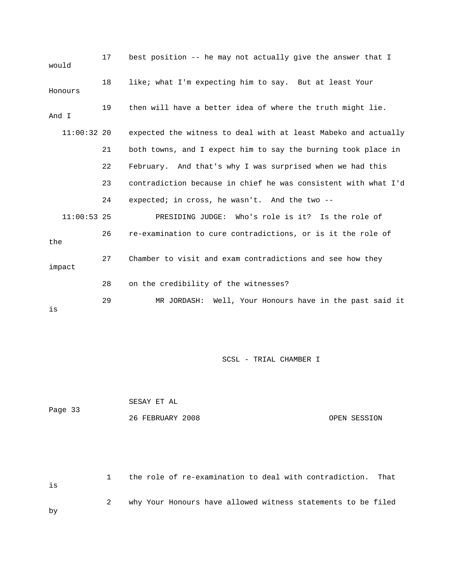| would         | 17 | best position -- he may not actually give the answer that I    |
|---------------|----|----------------------------------------------------------------|
| Honours       | 18 | like; what I'm expecting him to say. But at least Your         |
| And I         | 19 | then will have a better idea of where the truth might lie.     |
| $11:00:32$ 20 |    | expected the witness to deal with at least Mabeko and actually |
|               | 21 | both towns, and I expect him to say the burning took place in  |
|               | 22 | February. And that's why I was surprised when we had this      |
|               | 23 | contradiction because in chief he was consistent with what I'd |
|               | 24 | expected; in cross, he wasn't. And the two --                  |
| $11:00:53$ 25 |    | PRESIDING JUDGE: Who's role is it? Is the role of              |
| the           | 26 | re-examination to cure contradictions, or is it the role of    |
| impact        | 27 | Chamber to visit and exam contradictions and see how they      |
|               | 28 | on the credibility of the witnesses?                           |
| is            | 29 | MR JORDASH: Well, Your Honours have in the past said it        |

|         | SESAY ET AL      |              |
|---------|------------------|--------------|
| Page 33 |                  |              |
|         | 26 FEBRUARY 2008 | OPEN SESSION |

```
 1 the role of re-examination to deal with contradiction. That 
2 why Your Honours have allowed witness statements to be filed
is
by
```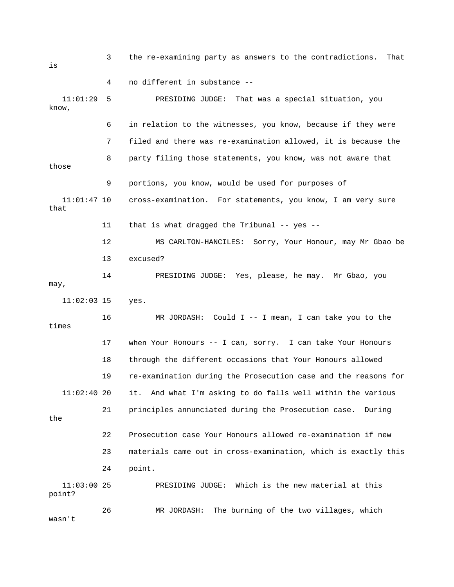3 the re-examining party as answers to the contradictions. That 4 no different in substance -- PRESIDING JUDGE: That was a special situation, you know, 6 in relation to the witnesses, you know, because if they were 8 party filing those statements, you know, was not aware that 11:01:47 10 cross-examination. For statements, you know, I am very sure e 12 MS CARLTON-HANCILES: Sorry, Your Honour, may Mr Gbao b 13 excused? 14 PRESIDING JUDGE: Yes, please, he may. Mr Gbao, you 11:02:03 15 yes. 16 MR JORDASH: Could I -- I mean, I can take you to the 17 when Your Honours -- I can, sorry. I can take Your Honours 19 re-examination during the Prosecution case and the reasons for it. And what I'm asking to do falls well within the various 21 principles annunciated during the Prosecution case. During 22 Prosecution case Your Honours allowed re-examination if new 23 materials came out in cross-examination, which is exactly this 11:03:00 25 PRESIDING JUDGE: Which is the new material at this 26 MR JORDASH: The burning of the two villages, which is  $11:01:29$  5 7 filed and there was re-examination allowed, it is because the those 9 portions, you know, would be used for purposes of that 11 that is what dragged the Tribunal -- yes - may, times 18 through the different occasions that Your Honours allowed  $11:02:40$  20 the 24 point. point? wasn't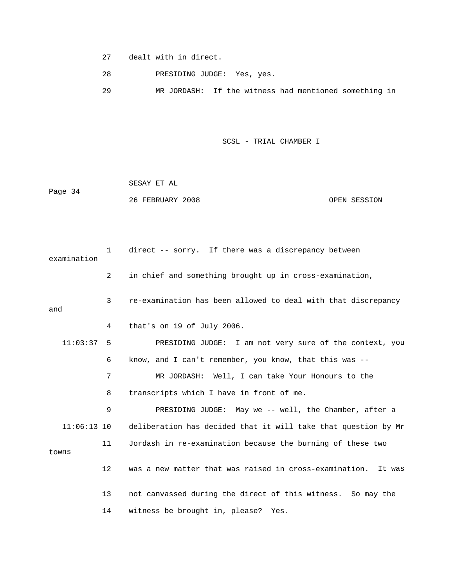27 dealt with in direct.

28 PRESIDING JUDGE: Yes, yes.

29 MR JORDASH: If the witness had mentioned something in

|         | SESAY ET AL      |              |
|---------|------------------|--------------|
| Page 34 |                  |              |
|         | 26 FEBRUARY 2008 | OPEN SESSION |

| examination   | $\mathbf{1}$      | direct -- sorry. If there was a discrepancy between            |
|---------------|-------------------|----------------------------------------------------------------|
|               | $\overline{a}$    | in chief and something brought up in cross-examination,        |
| and           | 3                 | re-examination has been allowed to deal with that discrepancy  |
|               | 4                 | that's on 19 of July 2006.                                     |
| 11:03:37      | 5                 | PRESIDING JUDGE: I am not very sure of the context, you        |
|               | 6                 | know, and I can't remember, you know, that this was --         |
|               | 7                 | MR JORDASH: Well, I can take Your Honours to the               |
|               | 8                 | transcripts which I have in front of me.                       |
|               | 9                 | PRESIDING JUDGE: May we -- well, the Chamber, after a          |
| $11:06:13$ 10 |                   | deliberation has decided that it will take that question by Mr |
| towns         | 11                | Jordash in re-examination because the burning of these two     |
|               | $12 \overline{ }$ | was a new matter that was raised in cross-examination. It was  |
|               | 13                | not canvassed during the direct of this witness. So may the    |
|               | 14                | witness be brought in, please? Yes.                            |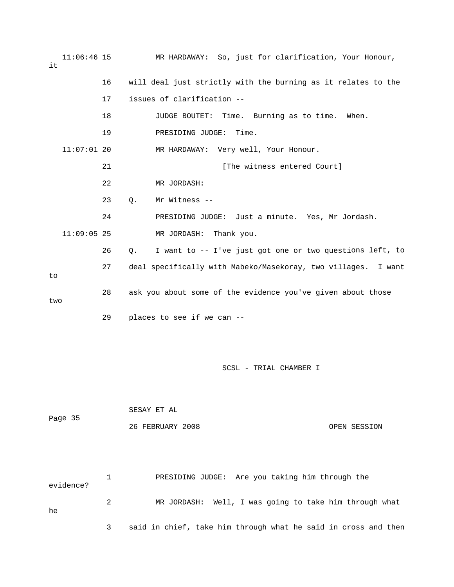11:06:46 15 MR HARDAWAY: So, just for clarification, Your Honour, it 17 issues of clarification -- 18 JUDGE BOUTET: Time. Burning as to time. When. 19 PRESIDING JUDGE: Time. MR HARDAWAY: Very well, Your Honour. 24 PRESIDING JUDGE: Just a minute. Yes, Mr Jordash. 26 Q. I want to -- I've just got one or two questions left, to 27 deal specifically with Mabeko/Masekoray, two villages. I want 28 ask you about some of the evidence you've given about those SCSL - TRIAL CHAMBER I 16 will deal just strictly with the burning as it relates to the  $11:07:01$  20 21 **Example 21** [The witness entered Court] 22 MR JORDASH: 23 Q. Mr Witness -- 11:09:05 25 MR JORDASH: Thank you. to two 29 places to see if we can --

 SESAY ET AL Page 35 26 FEBRUARY 2008 OPEN SESSION

 1 PRESIDING JUDGE: Are you taking him through the evidence? 2 MR JORDASH: Well, I was going to take him through what 3 said in chief, take him through what he said in cross and then he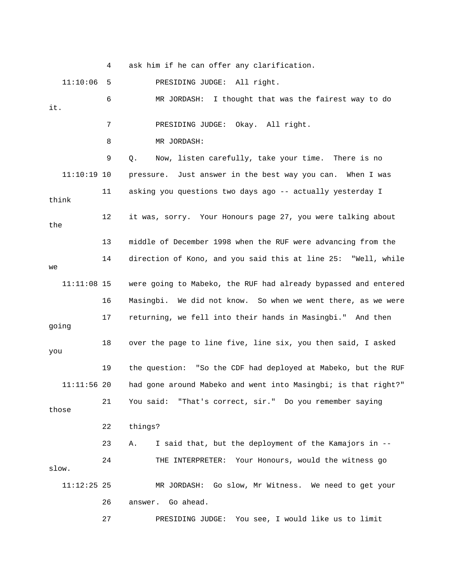4 ask him if he can offer any clarification.

11:10:06 5 PRESIDING JUDGE: All right.

 6 MR JORDASH: I thought that was the fairest way to do 7 PRESIDING JUDGE: Okay. All right. 9 Q. Now, listen carefully, take your time. There is no 11:10:19 10 pressure. Just answer in the best way you can. When I was 11 asking you questions two days ago -- actually yesterday I think 12 it was, sorry. Your Honours page 27, you were talking about e 13 middle of December 1998 when the RUF were advancing from th e 14 direction of Kono, and you said this at line 25: "Well, whil were going to Mabeko, the RUF had already bypassed and entered 17 returning, we fell into their hands in Masingbi." And then 23 A. I said that, but the deployment of the Kamajors in -- 24 THE INTERPRETER: Your Honours, would the witness go 11:12:25 25 MR JORDASH: Go slow, Mr Witness. We need to get your 26 answer. Go ahead. it. 8 MR JORDASH: the we  $11:11:08$  15 16 Masingbi. We did not know. So when we went there, as we were going 18 over the page to line five, line six, you then said, I asked you 19 the question: "So the CDF had deployed at Mabeko, but the RUF 11:11:56 20 had gone around Mabeko and went into Masingbi; is that right?" 21 You said: "That's correct, sir." Do you remember saying those 22 things? slow.

ESIDING JUDGE: You see, I would like us to limit 27 PR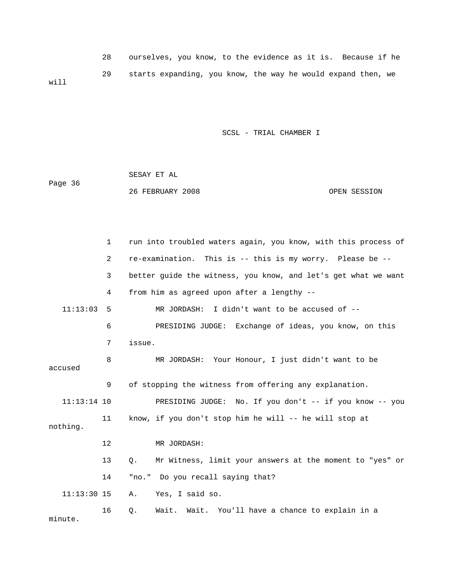|      | ourselves, you know, to the evidence as it is. Because if he |
|------|--------------------------------------------------------------|
| will | starts expanding, you know, the way he would expand then, we |

 SESAY ET AL Page 36 26 FEBRUARY 2008 OPEN SESSION

 1 run into troubled waters again, you know, with this process of 3 better guide the witness, you know, and let's get what we want 4 from him as agreed upon after a lengthy -- 11:13:03 5 MR JORDASH: I didn't want to be accused of -- 9 of stopping the witness from offering any explanation. 11:13:14 10 PRESIDING JUDGE: No. If you don't -- if you know -- you 13 Q. Mr Witness, limit your answers at the moment to "yes" or 14 "no." Do you recall saying that? 16 Q. Wait. Wait. You'll have a chance to explain in a 2 re-examination. This is -- this is my worry. Please be -- 6 PRESIDING JUDGE: Exchange of ideas, you know, on this 7 issue. 8 MR JORDASH: Your Honour, I just didn't want to be accused 11 know, if you don't stop him he will -- he will stop at nothing. 12 MR JORDASH: 11:13:30 15 A. Yes, I said so. minute.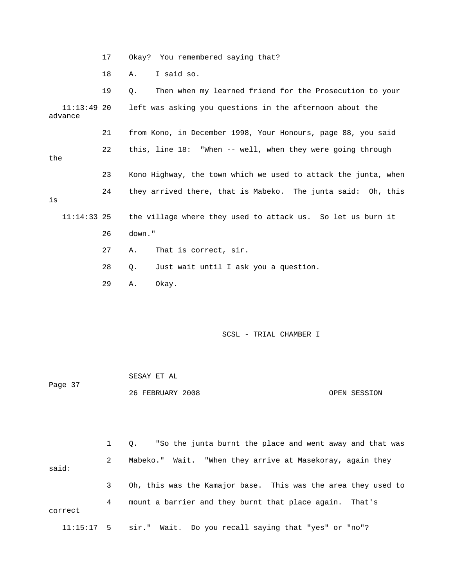17 Okay? You remembered saying that?

18 A. I said so.

19 Q. Then when my learned friend for the Prosecution to your 11:13:49 20 left was asking you questions in the afternoon about the 21 from Kono, in December 1998, Your Honours, page 88, you said 22 this, line 18: "When -- well, when they were going through 24 they arrived there, that is Mabeko. The junta said: Oh, this 27 A. That is correct, sir. 29 A. Okay. advance the 23 Kono Highway, the town which we used to attack the junta, when is 11:14:33 25 the village where they used to attack us. So let us burn it 26 down." 28 Q. Just wait until I ask you a question.

SCSL - TRIAL CHAMBER I

|         | SESAY ET AL      |              |
|---------|------------------|--------------|
| Page 37 |                  |              |
|         | 26 FEBRUARY 2008 | OPEN SESSION |

 1 Q. "So the junta burnt the place and went away and that was 3 Oh, this was the Kamajor base. This was the area they used to 4 mount a barrier and they burnt that place again. That's correct 2 Mabeko." Wait. "When they arrive at Masekoray, again they said: 11:15:17 5 sir." Wait. Do you recall saying that "yes" or "no"?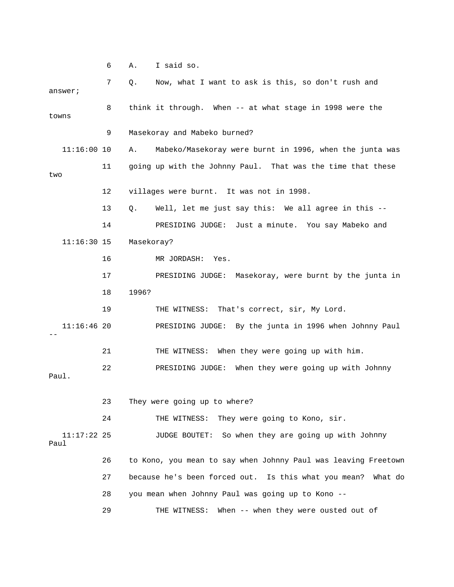6 A. I said so.

 7 Q. Now, what I want to ask is this, so don't rush and 11:16:00 10 A. Mabeko/Masekoray were burnt in 1996, when the junta was 11 going up with the Johnny Paul. That was the time that these 13 Q. Well, let me just say this: We all agree in this -- 14 PRESIDING JUDGE: Just a minute. You say Mabeko and 16 MR JORDASH: Yes. nt by the junta in 17 PRESIDING JUDGE: Masekoray, were bur PRESIDING JUDGE: By the junta in 1996 when Johnny Paul 21 THE WITNESS: When they were going up with him. 23 They were going up to where? 11:17:22 25 JUDGE BOUTET: So when they are going up with Johnny 26 to Kono, you mean to say when Johnny Paul was leaving Freetown 27 because he's been forced out. Is this what you mean? What do 28 you mean when Johnny Paul was going up to Kono -- 29 THE WITNESS: When -- when they were ousted out of answer; 8 think it through. When -- at what stage in 1998 were the towns 9 Masekoray and Mabeko burned? two 12 villages were burnt. It was not in 1998. 11:16:30 15 Masekoray? 18 1996? 19 THE WITNESS: That's correct, sir, My Lord.  $11:16:46$  20 -- 22 PRESIDING JUDGE: When they were going up with Johnny Paul. 24 THE WITNESS: They were going to Kono, sir. Paul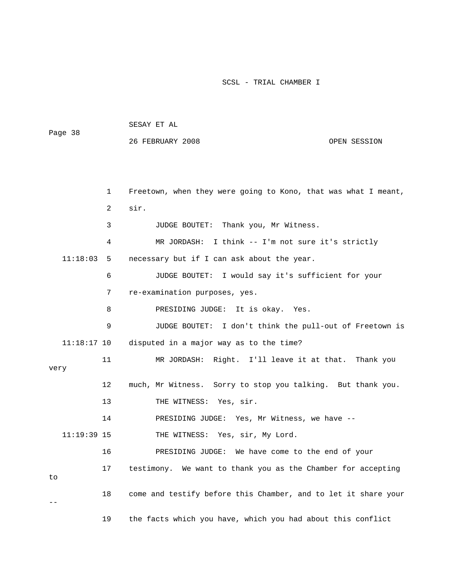| rage so |               |              | 26 FEBRUARY 2008                                                | OPEN SESSION |
|---------|---------------|--------------|-----------------------------------------------------------------|--------------|
|         |               |              |                                                                 |              |
|         |               |              |                                                                 |              |
|         |               | $\mathbf{1}$ | Freetown, when they were going to Kono, that was what I meant,  |              |
|         |               | 2            | sir.                                                            |              |
|         |               | 3            | JUDGE BOUTET: Thank you, Mr Witness.                            |              |
|         |               | 4            | MR JORDASH: I think -- I'm not sure it's strictly               |              |
|         | $11:18:03$ 5  |              | necessary but if I can ask about the year.                      |              |
|         |               | 6            | JUDGE BOUTET: I would say it's sufficient for your              |              |
|         |               | 7            | re-examination purposes, yes.                                   |              |
|         |               | 8            | PRESIDING JUDGE: It is okay. Yes.                               |              |
|         |               | 9            | JUDGE BOUTET: I don't think the pull-out of Freetown is         |              |
|         | $11:18:17$ 10 |              | disputed in a major way as to the time?                         |              |
| very    |               | 11           | MR JORDASH: Right. I'll leave it at that. Thank you             |              |
|         |               | 12           | much, Mr Witness. Sorry to stop you talking. But thank you.     |              |
|         |               | 13           | THE WITNESS: Yes, sir.                                          |              |
|         |               | 14           | PRESIDING JUDGE: Yes, Mr Witness, we have --                    |              |
|         | $11:19:39$ 15 |              | THE WITNESS: Yes, sir, My Lord.                                 |              |
|         |               | 16           | PRESIDING JUDGE: We have come to the end of your                |              |
| to      |               | 17           | We want to thank you as the Chamber for accepting<br>testimony. |              |
|         |               | 18           | come and testify before this Chamber, and to let it share your  |              |
|         |               | 19           | the facts which you have, which you had about this conflict     |              |

Page 38

## SESAY ET AL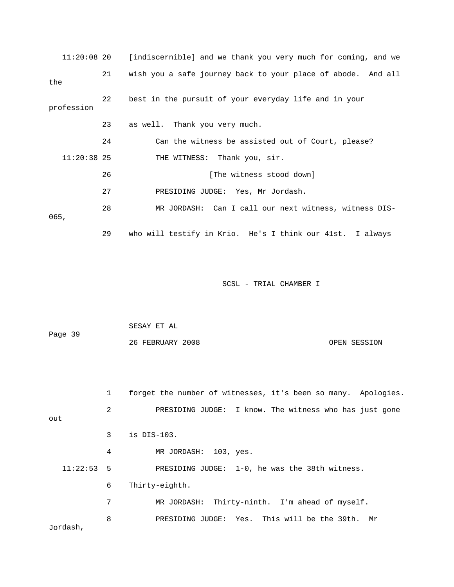| $11:20:08$ 20 |    | [indiscernible] and we thank you very much for coming, and we |
|---------------|----|---------------------------------------------------------------|
| the           | 21 | wish you a safe journey back to your place of abode. And all  |
| profession    | 22 | best in the pursuit of your everyday life and in your         |
|               | 23 | as well. Thank you very much.                                 |
|               | 24 | Can the witness be assisted out of Court, please?             |
| $11:20:38$ 25 |    | THE WITNESS: Thank you, sir.                                  |
|               | 26 | [The witness stood down]                                      |
|               | 27 | PRESIDING JUDGE: Yes, Mr Jordash.                             |
| 065,          | 28 | MR JORDASH: Can I call our next witness, witness DIS-         |
|               | 29 | who will testify in Krio. He's I think our 41st. I always     |

| Page 39 | SESAY ET AL      |              |
|---------|------------------|--------------|
|         | 26 FEBRUARY 2008 | OPEN SESSION |

|              | 1 | forget the number of witnesses, it's been so many. Apologies. |
|--------------|---|---------------------------------------------------------------|
| out          | 2 | PRESIDING JUDGE: I know. The witness who has just gone        |
|              | 3 | is $DIS-103$ .                                                |
|              | 4 | MR JORDASH: 103, yes.                                         |
| $11:22:53$ 5 |   | PRESIDING JUDGE: 1-0, he was the 38th witness.                |
|              | 6 | Thirty-eighth.                                                |
|              | 7 | Thirty-ninth. I'm ahead of myself.<br>MR JORDASH:             |
| Jordash,     | 8 | PRESIDING JUDGE: Yes. This will be the 39th.<br>Mr            |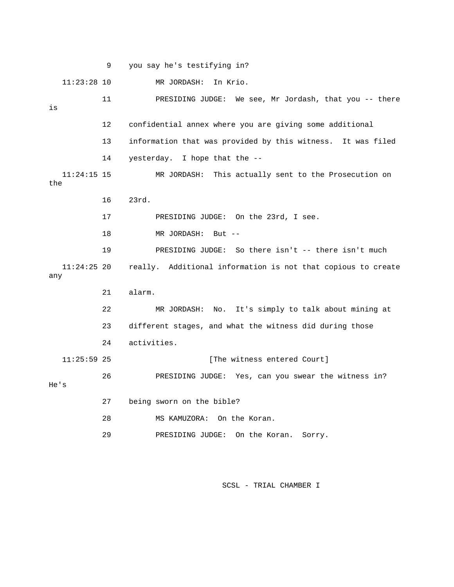9 you say he's testifying in? 11:23:28 10 MR JORDASH: In Krio. 11 PRESIDING JUDGE: We see, Mr Jordash, that you -- there 13 information that was provided by this witness. It was filed 14 yesterday. I hope that the -- 11:24:15 15 MR JORDASH: This actually sent to the Prosecution on 16 23rd. 18 MR JORDASH: But -- 19 PRESIDING JUDGE: So there isn't -- there isn't much :24:25 20 really. Additional information is not that copious to create 11 any 22 MR JORDASH: No. It's simply to talk about mining at 23 different stages, and what the witness did during those [The witness entered Court] PRESIDING JUDGE: Yes, can you swear the witness in? 's He 27 being sworn on the bible? 29 PRESIDING JUDGE: On the Koran. Sorry. is 12 confidential annex where you are giving some additional the 17 PRESIDING JUDGE: On the 23rd, I see. 21 alarm. 24 activities.  $11:25:59$  25 26 PR 28 MS KAMUZORA: On the Koran.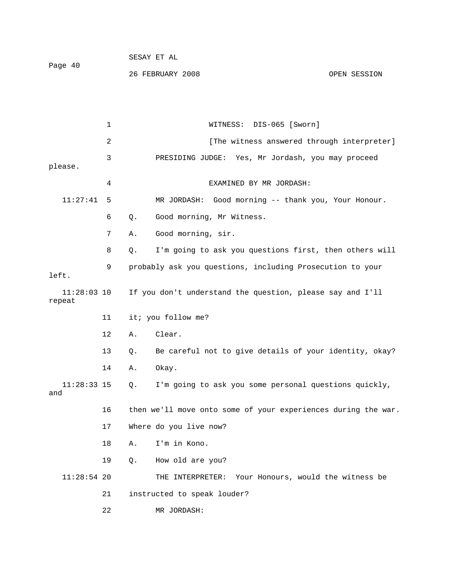26 FEBRUARY 2008 OPEN SESSION

 1 WITNESS: DIS-065 [Sworn] r] 2 [The witness answered through interprete 3 PRESIDING JUDGE: Yes, Mr Jordash, you may proceed please. 4 EXAMINED BY MR JORDASH: 11:27:41 5 MR JORDASH: Good morning -- thank you, Your Honour. 8 Q. I'm going to ask you questions first, then others will 11:28:03 10 If you don't understand the question, please say and I'll repeat 12 A. Clear. 13 Q. Be careful not to give details of your identity, okay? 11:28:33 15 Q. I'm going to ask you some personal questions quickly, 16 then we'll move onto some of your experiences during the war. 18 A. I'm in Kono. 11:28:54 20 THE INTERPRETER: Your Honours, would the witness be 22 MR JORDASH: 6 Q. Good morning, Mr Witness. 7 A. Good morning, sir. 9 probably ask you questions, including Prosecution to your left. 11 it; you follow me? 14 A. Okay. and 17 Where do you live now? 19 Q. How old are you? 21 instructed to speak louder?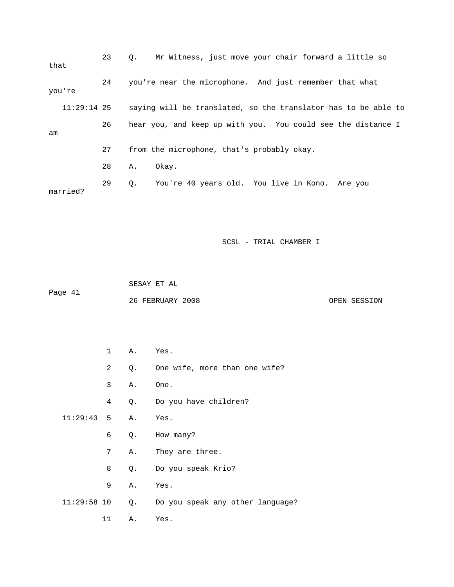| that          | 23 | Mr Witness, just move your chair forward a little so<br>0.     |
|---------------|----|----------------------------------------------------------------|
| you're        | 24 | you're near the microphone. And just remember that what        |
| $11:29:14$ 25 |    | saying will be translated, so the translator has to be able to |
| am            | 26 | hear you, and keep up with you. You could see the distance I   |
|               | 27 | from the microphone, that's probably okay.                     |
|               | 28 | Okay.<br>Α.                                                    |
| married?      | 29 | You're 40 years old. You live in Kono. Are you<br>0.           |

 SESAY ET AL ge 41 26 FEBRUARY 2008 OPEN SESSION Pa

|                      | $1 \quad \blacksquare$ |    | A. Yes.                             |
|----------------------|------------------------|----|-------------------------------------|
|                      | $\mathbf{2}$           |    | Q. One wife, more than one wife?    |
|                      | 3                      |    | A. One.                             |
|                      | 4                      |    | Q. Do you have children?            |
| $11:29:43$ 5 A. Yes. |                        |    |                                     |
|                      | 6                      | Q. | How many?                           |
|                      | $7^{\circ}$            |    | A. They are three.                  |
|                      | 8                      |    | Q. Do you speak Krio?               |
|                      | 9                      |    | A. Yes.                             |
| $11:29:58$ 10        |                        |    | Q. Do you speak any other language? |
|                      | 11                     | Α. | Yes.                                |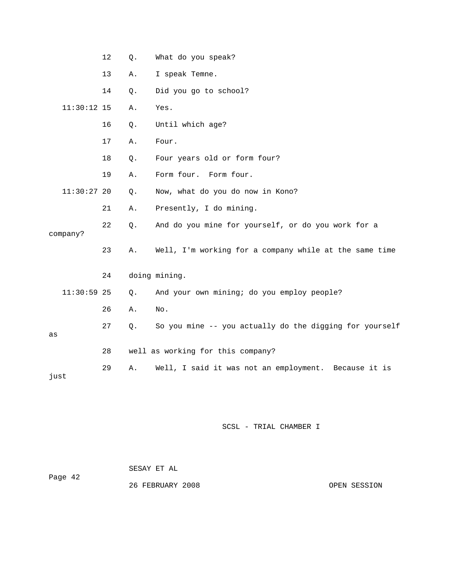|               | 12 | Q.    | What do you speak?                                      |
|---------------|----|-------|---------------------------------------------------------|
|               | 13 | Α.    | I speak Temne.                                          |
|               | 14 | Q.    | Did you go to school?                                   |
| 11:30:12 15   |    | Α.    | Yes.                                                    |
|               | 16 | Q.    | Until which age?                                        |
|               | 17 | Α.    | Four.                                                   |
|               | 18 | Q.    | Four years old or form four?                            |
|               | 19 | Α.    | Form four. Form four.                                   |
| $11:30:27$ 20 |    | Q.    | Now, what do you do now in Kono?                        |
|               | 21 | Α.    | Presently, I do mining.                                 |
| company?      | 22 | $Q$ . | And do you mine for yourself, or do you work for a      |
|               | 23 | Α.    | Well, I'm working for a company while at the same time  |
|               | 24 |       | doing mining.                                           |
| $11:30:59$ 25 |    | Q.    | And your own mining; do you employ people?              |
|               | 26 | Α.    | No.                                                     |
|               | 27 | Q.    | So you mine -- you actually do the digging for yourself |
| as            |    |       |                                                         |
|               | 28 |       | well as working for this company?                       |
| just          | 29 | Α.    | Well, I said it was not an employment. Because it is    |

| Page 42 | SESAY ET AL      |              |
|---------|------------------|--------------|
|         | 26 FEBRUARY 2008 | OPEN SESSION |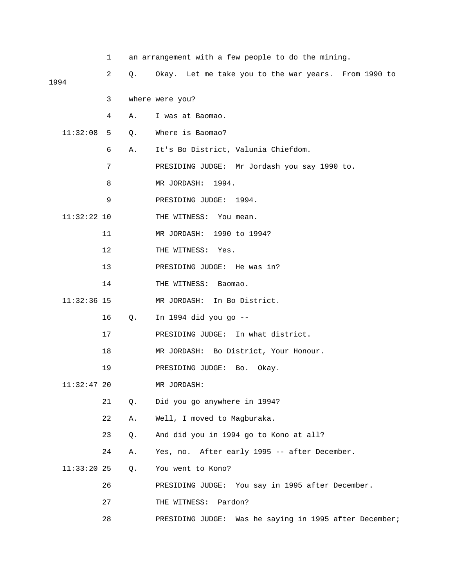|               | 1  |       | an arrangement with a few people to do the mining.        |
|---------------|----|-------|-----------------------------------------------------------|
| 1994          | 2  | $Q$ . | Okay. Let me take you to the war years. From 1990 to      |
|               | 3  |       | where were you?                                           |
|               | 4  | Α.    | I was at Baomao.                                          |
| 11:32:08      | 5  | $Q$ . | Where is Baomao?                                          |
|               | 6  | Α.    | It's Bo District, Valunia Chiefdom.                       |
|               | 7  |       | PRESIDING JUDGE: Mr Jordash you say 1990 to.              |
|               | 8  |       | MR JORDASH:<br>1994.                                      |
|               | 9  |       |                                                           |
|               |    |       | PRESIDING JUDGE:<br>1994.                                 |
| $11:32:22$ 10 |    |       | THE WITNESS:<br>You mean.                                 |
|               | 11 |       | MR JORDASH: 1990 to 1994?                                 |
|               | 12 |       | THE WITNESS:<br>Yes.                                      |
|               | 13 |       | PRESIDING JUDGE: He was in?                               |
|               | 14 |       | THE WITNESS:<br>Baomao.                                   |
| $11:32:36$ 15 |    |       | MR JORDASH: In Bo District.                               |
|               | 16 | Q.    | In 1994 did you go --                                     |
|               | 17 |       | PRESIDING JUDGE: In what district.                        |
|               | 18 |       | MR JORDASH: Bo District, Your Honour.                     |
|               | 19 |       | PRESIDING JUDGE: Bo.<br>Okay.                             |
| $11:32:47$ 20 |    |       | MR JORDASH:                                               |
|               | 21 | Q.    | Did you go anywhere in 1994?                              |
|               | 22 | Α.    | Well, I moved to Magburaka.                               |
|               | 23 | Q.    | And did you in 1994 go to Kono at all?                    |
|               | 24 | Α.    | Yes, no. After early 1995 -- after December.              |
| $11:33:20$ 25 |    | Q.    | You went to Kono?                                         |
|               | 26 |       | PRESIDING JUDGE: You say in 1995 after December.          |
|               | 27 |       | Pardon?<br>THE WITNESS:                                   |
|               | 28 |       | Was he saying in 1995 after December;<br>PRESIDING JUDGE: |
|               |    |       |                                                           |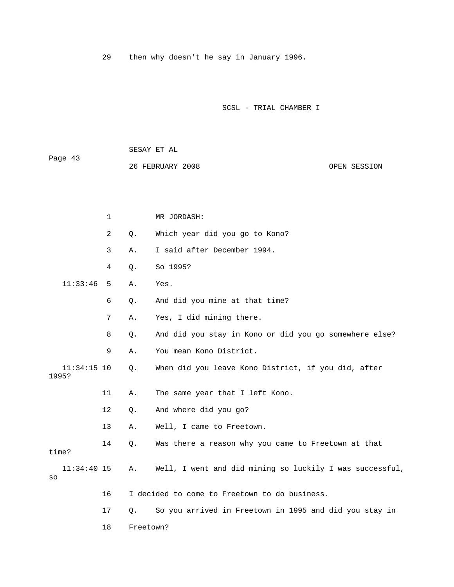29 then why doesn't he say in January 1996.

SCSL - TRIAL CHAMBER I

 SESAY ET AL Page 43 26 FEBRUARY 2008 OPEN SESSION

|       |               | $\mathbf{1}$   |           | MR JORDASH:                                              |
|-------|---------------|----------------|-----------|----------------------------------------------------------|
|       |               | $\overline{a}$ | Q.        | Which year did you go to Kono?                           |
|       |               | 3              | Α.        | I said after December 1994.                              |
|       |               | 4              | $Q$ .     | So 1995?                                                 |
|       | 11:33:46      | 5              | Α.        | Yes.                                                     |
|       |               | 6              | Q.        | And did you mine at that time?                           |
|       |               | 7              | Α.        | Yes, I did mining there.                                 |
|       |               | 8              | $Q$ .     | And did you stay in Kono or did you go somewhere else?   |
|       |               | 9              | Α.        | You mean Kono District.                                  |
| 1995? | $11:34:15$ 10 |                | Q.        | When did you leave Kono District, if you did, after      |
|       |               | 11             | Α.        | The same year that I left Kono.                          |
|       |               | 12             | $Q$ .     | And where did you go?                                    |
|       |               | 13             | Α.        | Well, I came to Freetown.                                |
| time? |               | 14             | Q.        | Was there a reason why you came to Freetown at that      |
| SO    | $11:34:40$ 15 |                | Α.        | Well, I went and did mining so luckily I was successful, |
|       |               | 16             |           | I decided to come to Freetown to do business.            |
|       |               | 17             | 0.        | So you arrived in Freetown in 1995 and did you stay in   |
|       |               | 18             | Freetown? |                                                          |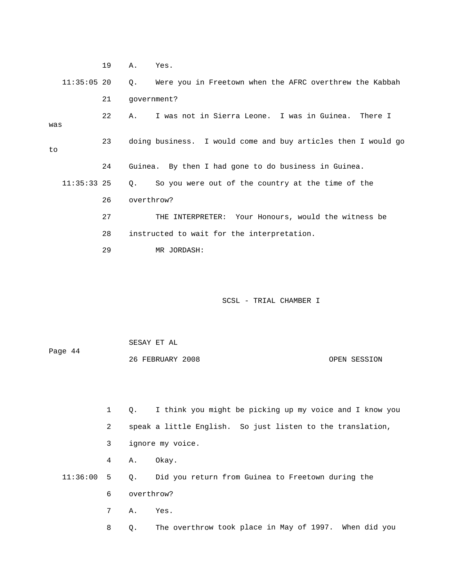19 A. Yes. 11:35:05 20 Q. Were you in Freetown when the AFRC overthrew the Kabbah 21 government? 22 A. I was not in Sierra Leone. I was in Guinea. There I 23 doing business. I would come and buy articles then I would go 24 Guinea. By then I had gone to do business in Guinea. 11:35:33 25 Q. So you were out of the country at the time of the 26 overthrow? 28 instructed to wait for the interpretation. 29 MR JORDASH: was to 27 THE INTERPRETER: Your Honours, would the witness be

SCSL - TRIAL CHAMBER I

 SESAY ET AL Page 44 26 FEBRUARY 2008 OPEN SESSION

1 Q. I think you might be picking up my voice and I know you

2 speak a little English. So just listen to the translation,

3 ignore my voice.

4 A. Okay.

11:36:00 5 Q. Did you return from Guinea to Freetown during the

6 overthrow?

7 A. Yes.

8 Q. The overthrow took place in May of 1997. When did you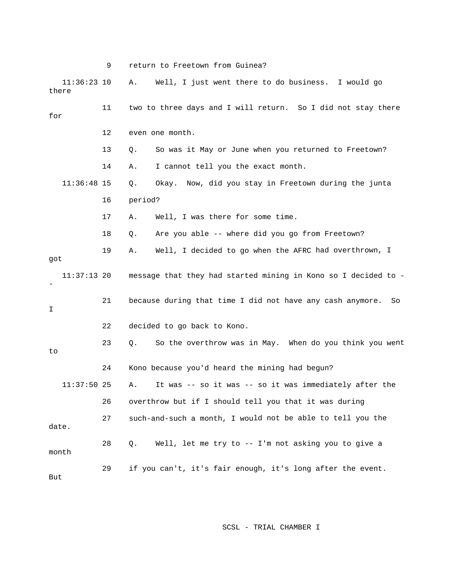9 return to Freetown from Guinea? 11 two to three days and I will return. So I did not stay there 13 Q. So was it May or June when you returned to Freetown? 11:36:48 15 Q. Okay. Now, did you stay in Freetown during the junta 16 period? 17 A. Well, I was there for some time. 19 A. Well, I decided to go when the AFRC had overthrown, I got 11:37:13 20 message that they had started mining in Kono so I decided to - 21 because during that time I did not have any cash anymore. So 22 decided to go back to Kono. 23 Q. So the overthrow was in May. When do you think you went 26 overthrow but if I should tell you that it was during 27 such-and-such a month, I would not be able to tell you the 28 Q. Well, let me try to -- I'm not asking you to give a But 11:36:23 10 A. Well, I just went there to do business. I would go there for 12 even one month. 14 A. I cannot tell you the exact month. 18 Q. Are you able -- where did you go from Freetown? - I to 24 Kono because you'd heard the mining had begun? 11:37:50 25 A. It was -- so it was -- so it was immediately after the date. month 29 if you can't, it's fair enough, it's long after the event.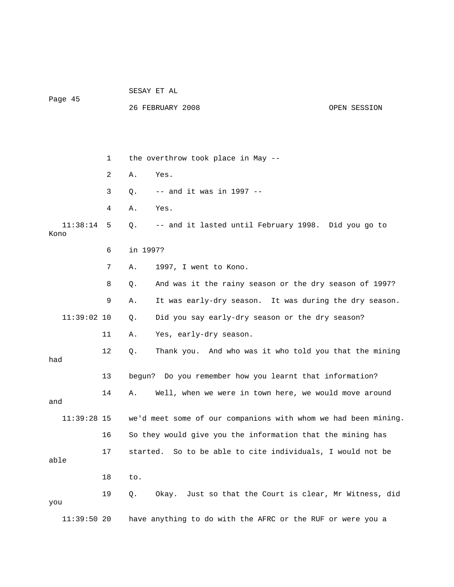Page 45

26 FEBRUARY 2008 OPEN SESSION

|                  | 1  | the overthrow took place in May --                             |
|------------------|----|----------------------------------------------------------------|
|                  | 2  | Α.<br>Yes.                                                     |
|                  | 3  | $--$ and it was in 1997 $--$<br>Q.                             |
|                  | 4  | Α.<br>Yes.                                                     |
| 11:38:14<br>Kono | 5  | -- and it lasted until February 1998. Did you go to<br>Q.      |
|                  | 6  | in 1997?                                                       |
|                  | 7  | 1997, I went to Kono.<br>Α.                                    |
|                  | 8  | And was it the rainy season or the dry season of 1997?<br>Q.   |
|                  | 9  | It was early-dry season. It was during the dry season.<br>Α.   |
| $11:39:02$ 10    |    | Did you say early-dry season or the dry season?<br>Q.          |
|                  | 11 | Yes, early-dry season.<br>Α.                                   |
| had              | 12 | Thank you. And who was it who told you that the mining<br>Q.   |
|                  | 13 | bequn?<br>Do you remember how you learnt that information?     |
| and              | 14 | Well, when we were in town here, we would move around<br>Α.    |
| $11:39:28$ 15    |    | we'd meet some of our companions with whom we had been mining. |
|                  | 16 | So they would give you the information that the mining has     |
| able             | 17 | So to be able to cite individuals, I would not be<br>started.  |
|                  | 18 | to.                                                            |
| you              | 19 | Okay. Just so that the Court is clear, Mr Witness, did<br>Q.   |
| 11:39:5020       |    | have anything to do with the AFRC or the RUF or were you a     |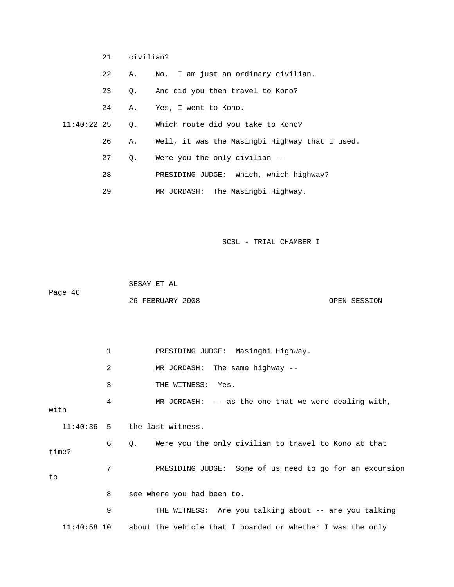- 22 A. No. I am just an ordinary civilian.
- And did you then travel to Kono? 23 Q.
- 24 A. Yes, I went to Kono.
- 11:40:22 25 Q. Which route did you take to Kono?
- 26 A. Well, it was the Masingbi Highway that I used.
	- 27 Q. Were you the only civilian --
	- 28 PRESIDING JUDGE: Which, which highway?
- 29 MR JORDASH: The Masingbi Highway.

 26 FEBRUARY 2008 OPEN SESSION 1 PRESIDING JUDGE: Masingbi Highway. 2 MR JORDASH: The same highway -- 3 THE WITNESS: Yes. 4 MR JORDASH: -- as the one that we were dealing with, with 11:40:36 5 the last witness. 6 Q. Were you the only civilian to travel to Kono at that time? 7 PRESIDING JUDGE: Some of us need to go for an excursion 9 THE WITNESS: Are you talking about -- are you talking 11:40:58 10 about the vehicle that I boarded or whether I was the only SESAY ET AL Page 46 to 8 see where you had been to.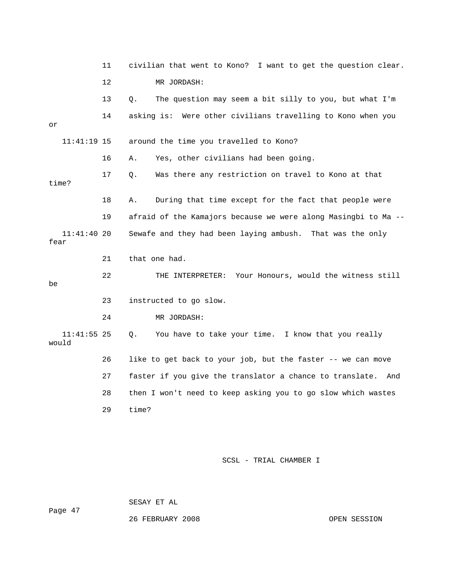|                        | 11      | civilian that went to Kono? I want to get the question clear.   |  |  |  |
|------------------------|---------|-----------------------------------------------------------------|--|--|--|
|                        | $12 \,$ | MR JORDASH:                                                     |  |  |  |
|                        | 13      | The question may seem a bit silly to you, but what I'm<br>Ο.    |  |  |  |
| or                     | 14      | asking is: Were other civilians travelling to Kono when you     |  |  |  |
| $11:41:19$ 15          |         | around the time you travelled to Kono?                          |  |  |  |
|                        | 16      | Yes, other civilians had been going.<br>Α.                      |  |  |  |
| time?                  | 17      | Was there any restriction on travel to Kono at that<br>Ο.       |  |  |  |
|                        | 18      | During that time except for the fact that people were<br>Α.     |  |  |  |
|                        | 19      | afraid of the Kamajors because we were along Masingbi to Ma --  |  |  |  |
| $11:41:40$ 20<br>fear  |         | Sewafe and they had been laying ambush. That was the only       |  |  |  |
|                        | 21      | that one had.                                                   |  |  |  |
| be                     | 22      | THE INTERPRETER: Your Honours, would the witness still          |  |  |  |
|                        | 23      | instructed to go slow.                                          |  |  |  |
|                        | 24      | MR JORDASH:                                                     |  |  |  |
| $11:41:55$ 25<br>would |         | You have to take your time. I know that you really<br>Q.        |  |  |  |
|                        |         |                                                                 |  |  |  |
|                        | 26      | like to get back to your job, but the faster -- we can move     |  |  |  |
|                        | 27      | faster if you give the translator a chance to translate.<br>And |  |  |  |
|                        | 28      | then I won't need to keep asking you to go slow which wastes    |  |  |  |
|                        | 29      | time?                                                           |  |  |  |

ge 47 Pa

SESAY E

T AL

26 FEBRUARY 2008 OPEN SESSION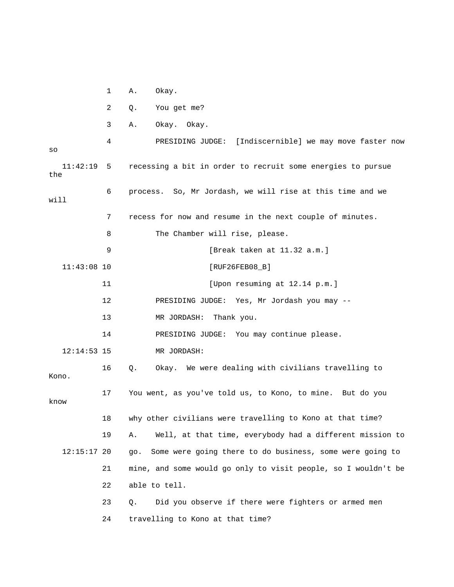1 A. Okay.

2 Q. You get me?

3 A. Okay. Okay.

 4 PRESIDING JUDGE: [Indiscernible] we may move faster now 11:42:19 5 recessing a bit in order to recruit some energies to pursue the 6 process. So, Mr Jordash, we will rise at this time and we 7 recess for now and resume in the next couple of minutes. 9 [Break taken at 11.32 a.m.] [RUF26FEB08\_B] 12 PRESIDING JUDGE: Yes, Mr Jordash you may -- 14 PRESIDING JUDGE: You may continue please. 12:14:53 15 MR JORDASH: 16 Q. Okay. We were dealing with civilians travelling to 17 You went, as you've told us, to Kono, to mine. But do you know 18 why other civilians were travelling to Kono at that time? 19 A. Well, at that time, everybody had a different mission to 12:15:17 20 go. Some were going there to do business, some were going to 21 mine, and some would go only to visit people, so I wouldn't be so will 8 The Chamber will rise, please.  $11:43:08$  10 11 [Upon resuming at 12.14 p.m.] 13 MR JORDASH: Thank you. Kono. 22 able to tell. 23 Q. Did you observe if there were fighters or armed men 24 travelling to Kono at that time?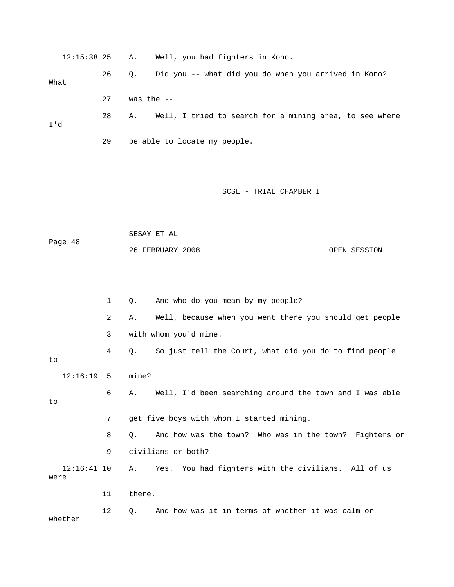| 12:15:38 25           |    | Well, you had fighters in Kono.<br>Α.                         |  |  |  |  |
|-----------------------|----|---------------------------------------------------------------|--|--|--|--|
| What                  | 26 | Did you -- what did you do when you arrived in Kono?<br>Q.    |  |  |  |  |
|                       | 27 | was the $--$                                                  |  |  |  |  |
| I'd                   | 28 | Well, I tried to search for a mining area, to see where<br>Α. |  |  |  |  |
|                       | 29 | be able to locate my people.                                  |  |  |  |  |
|                       |    |                                                               |  |  |  |  |
|                       |    | SCSL - TRIAL CHAMBER I                                        |  |  |  |  |
|                       |    |                                                               |  |  |  |  |
|                       |    | SESAY ET AL                                                   |  |  |  |  |
| Page 48               |    | 26 FEBRUARY 2008<br>OPEN SESSION                              |  |  |  |  |
|                       |    |                                                               |  |  |  |  |
|                       | 1  | And who do you mean by my people?<br>Q.                       |  |  |  |  |
|                       | 2  | Well, because when you went there you should get people<br>Α. |  |  |  |  |
|                       | 3  | with whom you'd mine.                                         |  |  |  |  |
| to                    | 4  | So just tell the Court, what did you do to find people<br>Q.  |  |  |  |  |
| 12:16:19              | 5  | mine?                                                         |  |  |  |  |
| to                    | 6  | Well, I'd been searching around the town and I was able<br>Α. |  |  |  |  |
|                       | 7  | get five boys with whom I started mining.                     |  |  |  |  |
|                       | 8  | And how was the town? Who was in the town? Fighters or<br>Q.  |  |  |  |  |
|                       | 9  | civilians or both?                                            |  |  |  |  |
| $12:16:41$ 10<br>were |    | You had fighters with the civilians. All of us<br>Yes.<br>Α.  |  |  |  |  |
|                       | 11 | there.                                                        |  |  |  |  |
| whether               | 12 | And how was it in terms of whether it was calm or<br>Q.       |  |  |  |  |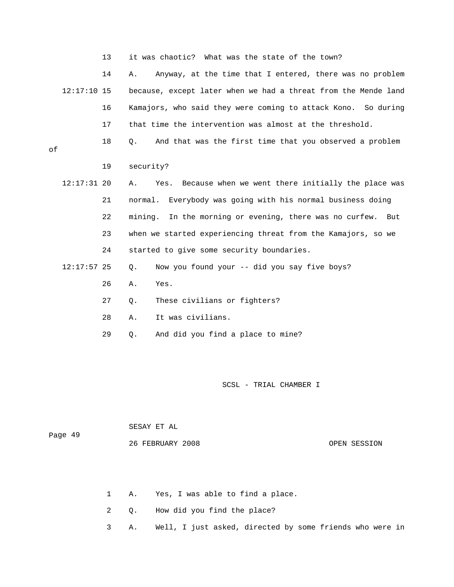13 it was chaotic? What was the state of the town?

 14 A. Anyway, at the time that I entered, there was no problem because, except later when we had a threat from the Mende land 16 Kamajors, who said they were coming to attack Kono. So during  $12:17:10$  15 17 that time the intervention was almost at the threshold.

18 Q. And that was the first time that you observed a problem

of

19 security?

- 22 mining. In the morning or evening, there was no curfew. But 24 started to give some security boundaries. 12:17:31 20 A. Yes. Because when we went there initially the place was 21 normal. Everybody was going with his normal business doing 23 when we started experiencing threat from the Kamajors, so we
	- 12:17:57 25 Q. Now you found your -- did you say five boys?
		- 26 A. Yes.
		- 27 Q. These civilians or fighters?
		- 28 A. It was civilians.
		- 29 Q. And did you find a place to mine?

| Page 49 | SESAY ET AL      |              |
|---------|------------------|--------------|
|         | 26 FEBRUARY 2008 | OPEN SESSION |

- 1 A. Yes, I was able to find a place.
- 2 Q. How did you find the place?
- 3 A. Well, I just asked, directed by some friends who were in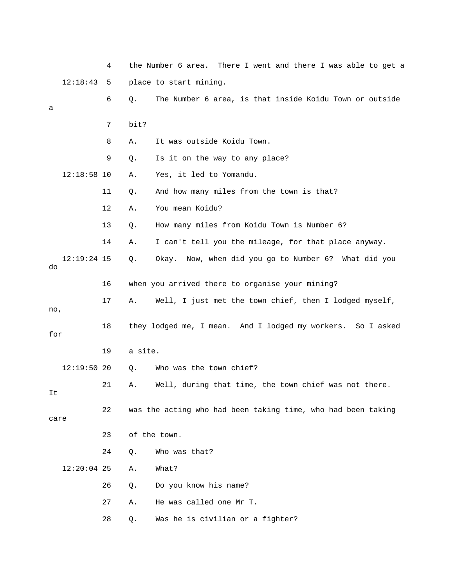|      |               | 4  |              | the Number 6 area. There I went and there I was able to get a  |
|------|---------------|----|--------------|----------------------------------------------------------------|
|      | 12:18:43      | 5  |              | place to start mining.                                         |
| а    |               | 6  | Q.           | The Number 6 area, is that inside Koidu Town or outside        |
|      |               | 7  | bit?         |                                                                |
|      |               | 8  | Α.           | It was outside Koidu Town.                                     |
|      |               | 9  | Q.           | Is it on the way to any place?                                 |
|      | $12:18:58$ 10 |    | Α.           | Yes, it led to Yomandu.                                        |
|      |               | 11 | Q.           | And how many miles from the town is that?                      |
|      |               | 12 | Α.           | You mean Koidu?                                                |
|      |               | 13 | Q.           | How many miles from Koidu Town is Number 6?                    |
|      |               | 14 | Α.           | I can't tell you the mileage, for that place anyway.           |
| do   | $12:19:24$ 15 |    | Q.           | Okay. Now, when did you go to Number 6? What did you           |
|      |               | 16 |              | when you arrived there to organise your mining?                |
| no,  |               | 17 | Α.           | Well, I just met the town chief, then I lodged myself,         |
| for  |               | 18 |              | they lodged me, I mean. And I lodged my workers.<br>So I asked |
|      |               | 19 | a site.      |                                                                |
|      | $12:19:50$ 20 |    | Q.           | Who was the town chief?                                        |
| It   |               | 21 | Α.           | Well, during that time, the town chief was not there.          |
| care |               | 22 |              | was the acting who had been taking time, who had been taking   |
|      |               | 23 | of the town. |                                                                |
|      |               | 24 | Q.           | Who was that?                                                  |
|      | $12:20:04$ 25 |    | Α.           | What?                                                          |
|      |               | 26 | Q.           | Do you know his name?                                          |
|      |               | 27 | Α.           | He was called one Mr T.                                        |
|      |               | 28 | Q.           | Was he is civilian or a fighter?                               |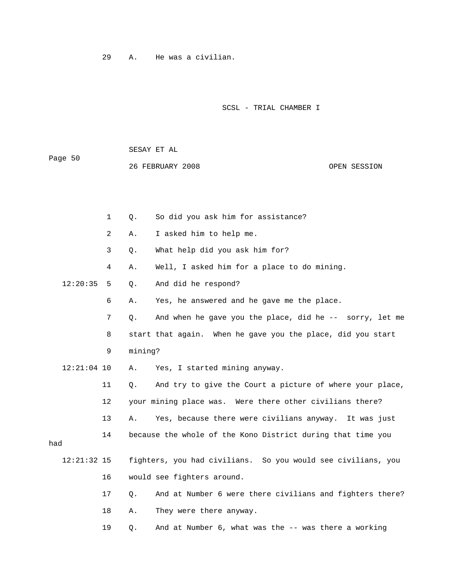29 A. He was a civilian.

SESAY ET AL

Page 50

SCSL - TRIAL CHAMBER I

 OPEN SESSION 1 Q. So did you ask him for assistance? 3 Q. What help did you ask him for? Q. And did he respond? 6 A. Yes, he answered and he gave me the place. 7 Q. And when he gave you the place, did he -- sorry, let me 8 start that again. When he gave you the place, did you start 9 mining? 12:21:04 10 A. Yes, I started mining anyway. 11 Q. And try to give the Court a picture of where your place, 12 your mining place was. Were there other civilians there? 13 A. Yes, because there were civilians anyway. It was just 14 because the whole of the Kono District during that time you 16 would see fighters around. 17 Q. And at Number 6 were there civilians and fighters there? 26 FEBRUARY 2008 2 A. I asked him to help me. 4 A. Well, I asked him for a place to do mining.  $12:20:35$  5 had 12:21:32 15 fighters, you had civilians. So you would see civilians, you 18 A. They were there anyway. 19 Q. And at Number 6, what was the -- was there a working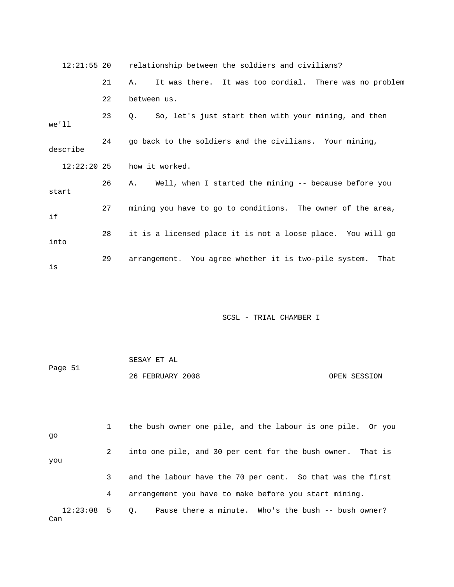|          |    | 12:21:55 20 relationship between the soldiers and civilians?      |
|----------|----|-------------------------------------------------------------------|
|          | 21 | It was there. It was too cordial. There was no problem<br>Α.      |
|          | 22 | between us.                                                       |
| we'll    | 23 | So, let's just start then with your mining, and then<br>$\circ$ . |
| describe | 24 | go back to the soldiers and the civilians. Your mining,           |
|          |    | $12:22:20$ 25 how it worked.                                      |
| start    | 26 | Well, when I started the mining -- because before you<br>A.       |
| if       | 27 | mining you have to go to conditions. The owner of the area,       |
| into     | 28 | it is a licensed place it is not a loose place. You will go       |
| is       | 29 | arrangement. You agree whether it is two-pile system.<br>That     |

| Page 51 | SESAY ET AL      |              |
|---------|------------------|--------------|
|         | 26 FEBRUARY 2008 | OPEN SESSION |

 1 the bush owner one pile, and the labour is one pile. Or you 2 into one pile, and 30 per cent for the bush owner. That is you 3 and the labour have the 70 per cent. So that was the first 12:23:08 5 Q. Pause there a minute. Who's the bush -- bush owner? Can go 4 arrangement you have to make before you start mining.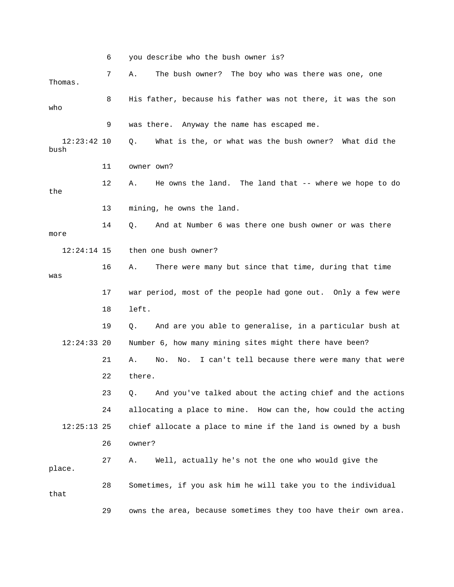6 you describe who the bush owner is?  $12:23:42$   $10$  Q. What is the, or what was the bush owner? What did the bush 11 owner own? 12 A. He owns the land. The land that -- where we hope to do 13 mining, he owns the land. 17 war period, most of the people had gone out. Only a few were 19 Q. And are you able to generalise, in a particular bush at  $12:24:33$  20 Number 6, how many mining sites might there have been? 21 A. No. No. I can't tell because there were many that were 22 there. 23 Q. And you've talked about the acting chief and the actions 24 allocating a place to mine. How can the, how could the acting 28 Sometimes, if you ask him he will take you to the individual 29 owns the area, because sometimes they too have their own area. 7 A. The bush owner? The boy who was there was one, one Thomas. 8 His father, because his father was not there, it was the son who 9 was there. Anyway the name has escaped me. the 14 Q. And at Number 6 was there one bush owner or was there more 12:24:14 15 then one bush owner? 16 A. There were many but since that time, during that time was 18 left. 12:25:13 25 chief allocate a place to mine if the land is owned by a bush 26 owner? 27 A. Well, actually he's not the one who would give the place. that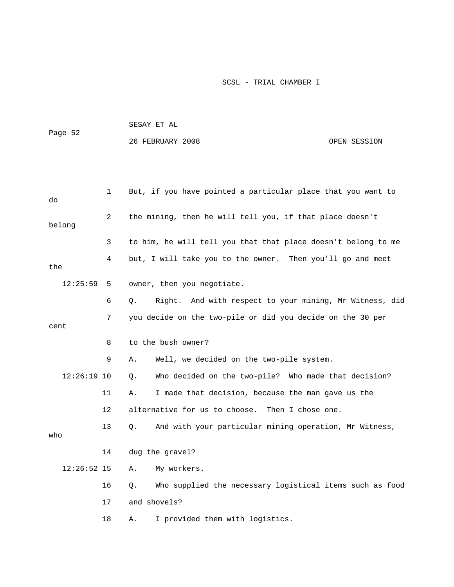|               |    | SESAY ET AL                                                    |              |
|---------------|----|----------------------------------------------------------------|--------------|
| Page 52       |    | 26 FEBRUARY 2008                                               | OPEN SESSION |
|               |    |                                                                |              |
|               |    |                                                                |              |
| do            | 1  | But, if you have pointed a particular place that you want to   |              |
| belong        | 2  | the mining, then he will tell you, if that place doesn't       |              |
|               | 3  | to him, he will tell you that that place doesn't belong to me  |              |
| the           | 4  | but, I will take you to the owner. Then you'll go and meet     |              |
| 12:25:59      | 5  | owner, then you negotiate.                                     |              |
|               | 6  | Right. And with respect to your mining, Mr Witness, did<br>Q.  |              |
|               | 7  | you decide on the two-pile or did you decide on the 30 per     |              |
| cent          |    |                                                                |              |
|               | 8  | to the bush owner?                                             |              |
|               | 9  | Well, we decided on the two-pile system.<br>Α.                 |              |
| $12:26:19$ 10 |    | Who decided on the two-pile? Who made that decision?<br>Q.     |              |
|               | 11 | I made that decision, because the man gave us the<br>Α.        |              |
|               | 12 | alternative for us to choose.<br>Then I chose one.             |              |
| who           | 13 | And with your particular mining operation, Mr Witness,<br>Q.   |              |
|               | 14 | dug the gravel?                                                |              |
| $12:26:52$ 15 |    | My workers.<br>Α.                                              |              |
|               | 16 | Who supplied the necessary logistical items such as food<br>Q. |              |
|               | 17 | and shovels?                                                   |              |
|               | 18 | I provided them with logistics.<br>Α.                          |              |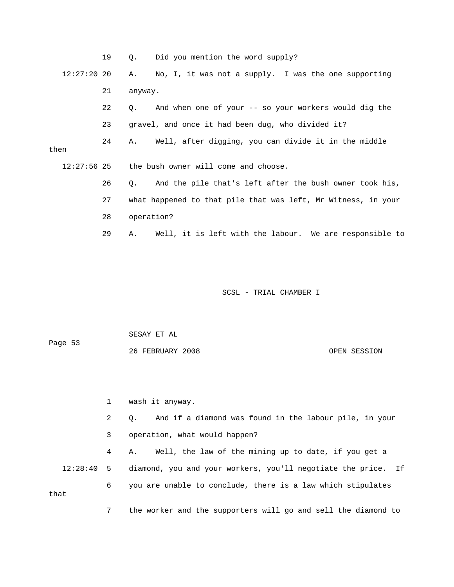|               | 19 | $Q_{\star}$ | Did you mention the word supply?                              |
|---------------|----|-------------|---------------------------------------------------------------|
| $12:27:20$ 20 |    | A.          | No, I, it was not a supply. I was the one supporting          |
|               | 21 | anyway.     |                                                               |
|               | 22 | $\circ$ .   | And when one of your -- so your workers would dig the         |
|               | 23 |             | gravel, and once it had been dug, who divided it?             |
| then          | 24 |             | A. Well, after digging, you can divide it in the middle       |
|               |    |             | $12:27:56$ 25 the bush owner will come and choose.            |
|               | 26 | $\circ$ .   | And the pile that's left after the bush owner took his,       |
|               | 27 |             | what happened to that pile that was left, Mr Witness, in your |
|               | 28 | operation?  |                                                               |
|               | 29 | A.,         | Well, it is left with the labour. We are responsible to       |

 SESAY ET AL Page 53

OPEN SESSION

1 wash it anyway.

26 FEBRUARY

 2 Q. And if a diamond was found in the labour pile, in your 3 operation, what would happen?

 4 A. Well, the law of the mining up to date, if you get a 12:28:40 5 diamond, you and your workers, you'll negotiate the price. If 6 you are unable to conclude, there is a law which stipulates that

7 the worker and the supporters will go and sell the diamond to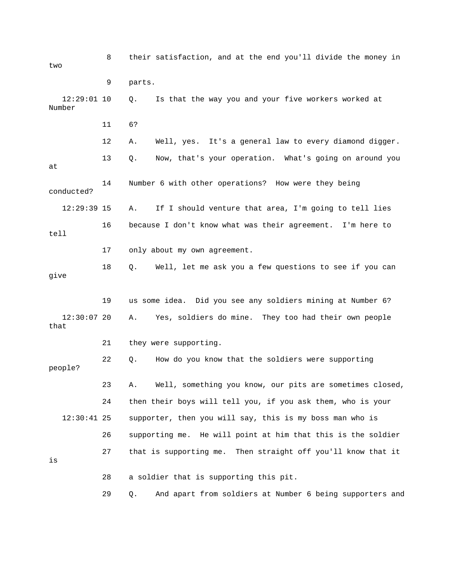8 their satisfaction, and at the end you'll divide the money in 12:29:01 10 Q. Is that the way you and your five workers worked at 13 Q. Now, that's your operation. What's going on around you conducted? If I should venture that area, I'm going to tell lies 17 only about my own agreement. give 19 us some idea. Did you see any soldiers mining at Number 6? 12:30:07 20 A. Yes, soldiers do mine. They too had their own people that 22 Q. How do you know that the soldiers were supporting people? 23 A. Well, something you know, our pits are sometimes closed, 24 then their boys will tell you, if you ask them, who is your 12:30:41 25 supporter, then you will say, this is my boss man who is 26 supporting me. He will point at him that this is the soldier 27 that is supporting me. Then straight off you'll know that it 28 a soldier that is supporting this pit. 29 Q. And apart from soldiers at Number 6 being supporters and two 9 parts. Number 11 6? 12 A. Well, yes. It's a general law to every diamond digger. at 14 Number 6 with other operations? How were they being 12:29:39 15 A. 16 because I don't know what was their agreement. I'm here to tell 18 Q. Well, let me ask you a few questions to see if you can 21 they were supporting. is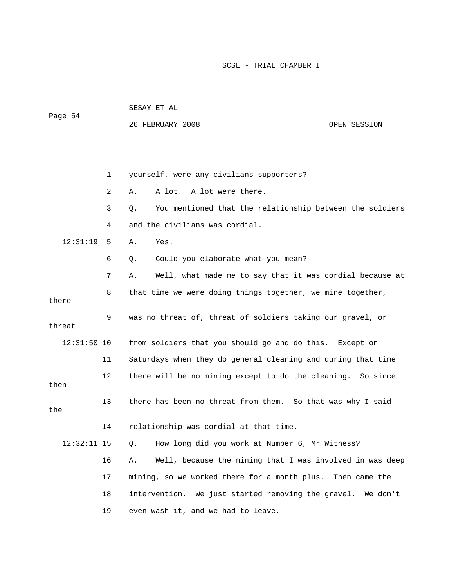|               |    | SESAY ET AL                                                    |  |
|---------------|----|----------------------------------------------------------------|--|
| Page 54       |    | 26 FEBRUARY 2008<br>OPEN SESSION                               |  |
|               |    |                                                                |  |
|               |    |                                                                |  |
|               | 1  | yourself, were any civilians supporters?                       |  |
|               | 2  | A lot. A lot were there.<br>Α.                                 |  |
|               | 3  | You mentioned that the relationship between the soldiers<br>Q. |  |
|               | 4  | and the civilians was cordial.                                 |  |
| 12:31:19      | 5  | Yes.<br>Α.                                                     |  |
|               | 6  | Could you elaborate what you mean?<br>Q.                       |  |
|               | 7  | Well, what made me to say that it was cordial because at<br>Α. |  |
| there         | 8  | that time we were doing things together, we mine together,     |  |
| threat        | 9  | was no threat of, threat of soldiers taking our gravel, or     |  |
| $12:31:50$ 10 |    | from soldiers that you should go and do this. Except on        |  |
|               | 11 | Saturdays when they do general cleaning and during that time   |  |
| then          | 12 | there will be no mining except to do the cleaning. So since    |  |
| the           | 13 | there has been no threat from them. So that was why I said     |  |
|               | 14 | relationship was cordial at that time.                         |  |

Q. How long did you work at Number 6, Mr Witness? 16 A. Well, because the mining that I was involved in was deep 17 mining, so we worked there for a month plus. Then came the  $12:32:11$  15 18 intervention. We just started removing the gravel. We don't 19 even wash it, and we had to leave.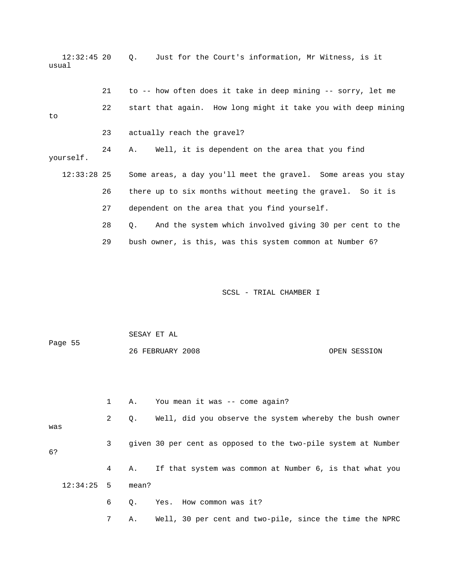12:32:45 20 Q. Just for the Court's information, Mr Witness, is it usual 21 to -- how often does it take in deep mining -- sorry, let me 22 start that again. How long might it take you with deep mining yourself. 12:33:28 25 Some areas, a day you'll meet the gravel. Some areas you stay 26 there up to six months without meeting the gravel. So it is 27 dependent on the area that you find yourself. 28 Q. And the system which involved giving 30 per cent to the 29 bush owner, is this, was this system common at Number 6? to 23 actually reach the gravel? 24 A. Well, it is dependent on the area that you find

SCSL - TRIAL CHAMBER I

 1 A. You mean it was -- come again? 2 Q. Well, did you observe the system whereby the bush owner was 3 given 30 per cent as opposed to the two-pile system at Number 4 A. If that system was common at Number 6, is that what you 12:34:25 5 mean? 6 Q. Yes. How common was it? 7 A. Well, 30 per cent and two-pile, since the time the NPRC SESAY ET AL Page 55 26 FEBRUARY 2008 OPEN SESSION 6?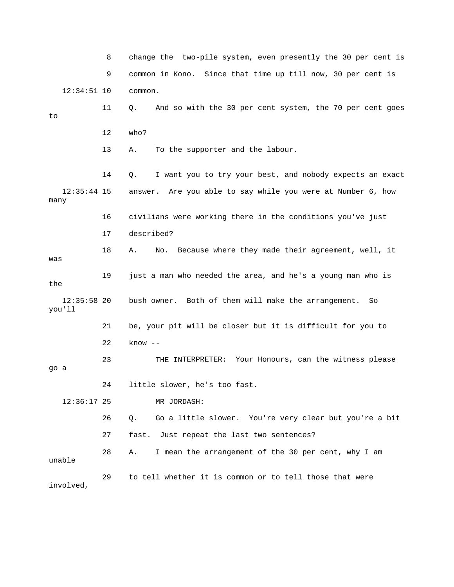8 change the two-pile system, even presently the 30 per cent is 9 common in Kono. Since that time up till now, 30 per cent is 11 Q. And so with the 30 per cent system, the 70 per cent goes 13 A. To the supporter and the labour. 14 Q. I want you to try your best, and nobody expects an exact 16 civilians were working there in the conditions you've just 18 A. No. Because where they made their agreement, well, it a young man who is 19 just a man who needed the area, and he's the you'll 21 be, your pit will be closer but it is difficult for you to TERPRETER: Your Honours, can the witness please 23 THE IN 24 little slower, he's too fast. 26 Q. Go a little slower. You're very clear but you're a bit 27 fast. Just repeat the last two sentences? unable 29 to tell whether it is common or to tell those that were 12:34:51 10 common. to 12 who? 12:35:44 15 answer. Are you able to say while you were at Number 6, how many 17 described? was 12:35:58 20 bush owner. Both of them will make the arrangement. So 22 know - go a 12:36:17 25 MR JORDASH: 28 A. I mean the arrangement of the 30 per cent, why I am involved,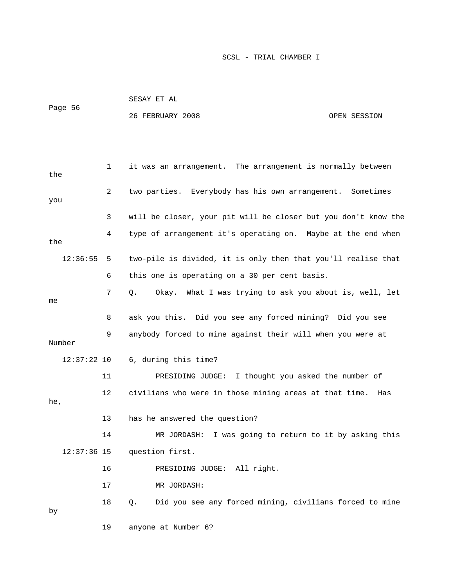| Page 56 | SESAY ET AL      |              |
|---------|------------------|--------------|
|         | 26 FEBRUARY 2008 | OPEN SESSION |

| the           | 1              | it was an arrangement. The arrangement is normally between     |
|---------------|----------------|----------------------------------------------------------------|
| you           | $\overline{2}$ | two parties. Everybody has his own arrangement. Sometimes      |
|               | 3              | will be closer, your pit will be closer but you don't know the |
| the           | 4              | type of arrangement it's operating on. Maybe at the end when   |
| 12:36:55      | 5              | two-pile is divided, it is only then that you'll realise that  |
|               | 6              | this one is operating on a 30 per cent basis.                  |
| me            | 7              | Okay. What I was trying to ask you about is, well, let<br>Q.   |
|               | 8              | ask you this. Did you see any forced mining? Did you see       |
| Number        | 9              | anybody forced to mine against their will when you were at     |
| $12:37:22$ 10 |                | 6, during this time?                                           |
|               | 11             | PRESIDING JUDGE: I thought you asked the number of             |
| he,           | 12             | civilians who were in those mining areas at that time.<br>Has  |
|               | 13             | has he answered the question?                                  |
|               | 14             | I was going to return to it by asking this<br>MR JORDASH:      |
| $12:37:36$ 15 |                | question first.                                                |
|               | 16             | PRESIDING JUDGE: All right.                                    |
|               | 17             | MR JORDASH:                                                    |
| by            | 18             | Did you see any forced mining, civilians forced to mine<br>Q.  |
|               | 19             | anyone at Number 6?                                            |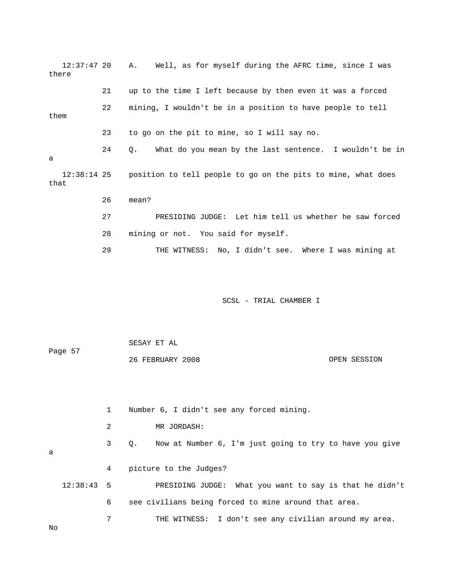12:37:47 20 A. Well, as for myself during the AFRC time, since I was there 21 up to the time I left because by then even it was a forced 22 mining, I wouldn't be in a position to have people to tell 23 to go on the pit to mine, so I will say no. 12:38:14 25 position to tell people to go on the pits to mine, what does that 26 mean? d 27 PRESIDING JUDGE: Let him tell us whether he saw force 29 THE WITNESS: No, I didn't see. Where I was mining at Page 57 OPEN SESSION 1 Number 6, I didn't see any forced mining. 3 Q. Now at Number 6, I'm just going to try to have you give 12:38:43 5 PRESIDING JUDGE: What you want to say is that he didn't 6 see civilians being forced to mine around that area. them 24 Q. What do you mean by the last sentence. I wouldn't be in a 28 mining or not. You said for myself. SCSL - TRIAL CHAMBER I SESAY ET AL 26 FEBRUARY 2008 2 MR JORDASH: a 4 picture to the Judges?

7 THE WITNESS: I don't see any civilian around my area.

No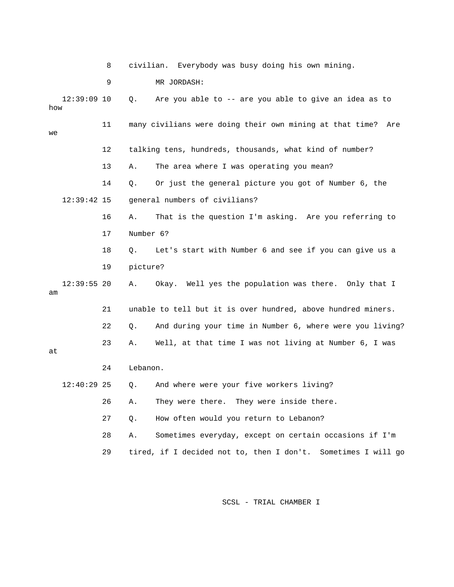8 civilian. Everybo dy was busy doing his own mining.

9 MR JORDASH:

 $12:39:09$  10 0. Are you able to  $-$ - are you able to give an idea as to w ho 11 many civilians were doing their own mining at that time? Are 12 talking tens, hundreds, thousands, what kind of number? 14 Q. Or just the general picture you got of Number 6, the 12:39:42 15 general numbers of civilians? 17 Number 6? 12:39:55 20 A. Okay. Well yes the population was there. Only that I 22 Q. And during your time in Number 6, where were you living? 12:40:29 25 Q. And where were your five workers living? 26 A. They were there. They were inside there. we 13 A. The area where I was operating you mean? 16 A. That is the question I'm asking. Are you referring to 18 Q. Let's start with Number 6 and see if you can give us a 19 picture? am 21 unable to tell but it is over hundred, above hundred miners. 23 A. Well, at that time I was not living at Number 6, I was at 24 Lebanon. 27 Q. How often would you return to Lebanon? 28 A. Sometimes everyday, except on certain occasions if I'm 29 tired, if I decided not to, then I don't. Sometimes I will go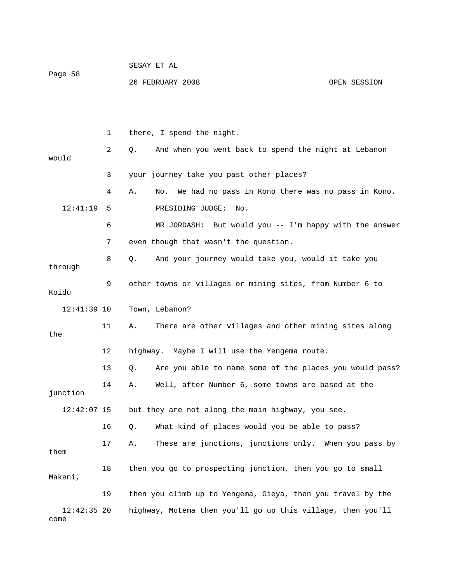|         | SESAY ET AL      |              |
|---------|------------------|--------------|
| Page 58 | 26 FEBRUARY 2008 | OPEN SESSION |

|                       | 1  | there, I spend the night.                                      |
|-----------------------|----|----------------------------------------------------------------|
| would                 | 2  | Q.<br>And when you went back to spend the night at Lebanon     |
|                       | 3  | your journey take you past other places?                       |
|                       | 4  | We had no pass in Kono there was no pass in Kono.<br>Α.<br>No. |
| 12:41:19              | 5  | PRESIDING JUDGE:<br>No.                                        |
|                       | 6  | MR JORDASH:<br>But would you -- I'm happy with the answer      |
|                       | 7  | even though that wasn't the question.                          |
| through               | 8  | And your journey would take you, would it take you<br>Q.       |
| Koidu                 | 9  | other towns or villages or mining sites, from Number 6 to      |
| $12:41:39$ 10         |    | Town, Lebanon?                                                 |
| the                   | 11 | There are other villages and other mining sites along<br>Α.    |
|                       | 12 | highway. Maybe I will use the Yengema route.                   |
|                       | 13 | Are you able to name some of the places you would pass?<br>Q.  |
| junction              | 14 | Well, after Number 6, some towns are based at the<br>Α.        |
| $12:42:07$ 15         |    | but they are not along the main highway, you see.              |
|                       | 16 | What kind of places would you be able to pass?<br>Q.           |
| them                  | 17 | These are junctions, junctions only. When you pass by<br>Α.    |
| Makeni,               | 18 | then you go to prospecting junction, then you go to small      |
|                       | 19 | then you climb up to Yengema, Gieya, then you travel by the    |
| $12:42:35$ 20<br>come |    | highway, Motema then you'll go up this village, then you'll    |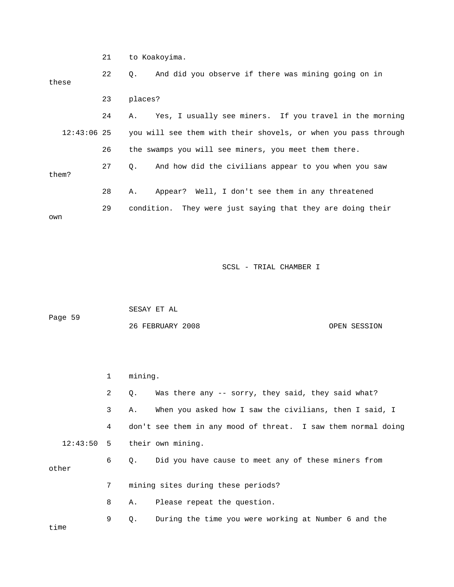21 to Koakoyima. 22 Q. And did you observe if there was mining going on in 24 A. Yes, I usually see miners. If you travel in the morning you will see them with their shovels, or when you pass through 28 A. Appear? Well, I don't see them in any threatened these 23 places?  $12:43:06$  25 26 the swamps you will see miners, you meet them there. 27 Q. And how did the civilians appear to you when you saw them? 29 condition. They were just saying that they are doing their own

SCSL - TRIAL CHAMBER I

|         | SESAY ET AL      |              |
|---------|------------------|--------------|
| Page 59 |                  |              |
|         | 26 FEBRUARY 2008 | OPEN SESSION |

 1 mining. 2 Q. Was there any -- sorry, they said, they said what? 3 A. When you asked how I saw the civilians, then I said, I 4 don't see them in any mood of threat. I saw them normal doing 7 mining sites during these periods? 8 A. Please repeat the question. 9 Q. During the time you were working at Number 6 and the time 12:43:50 5 their own mining. 6 Q. Did you have cause to meet any of these miners from other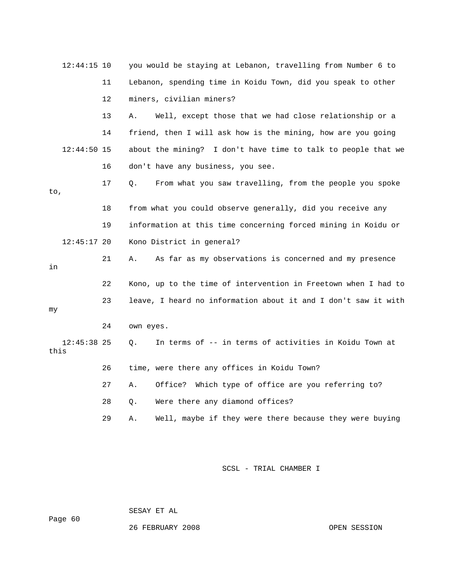|      | $12:44:15$ 10 |    | you would be staying at Lebanon, travelling from Number 6 to   |
|------|---------------|----|----------------------------------------------------------------|
|      |               | 11 | Lebanon, spending time in Koidu Town, did you speak to other   |
|      |               | 12 | miners, civilian miners?                                       |
|      |               | 13 | Α.<br>Well, except those that we had close relationship or a   |
|      |               | 14 | friend, then I will ask how is the mining, how are you going   |
|      | $12:44:50$ 15 |    | about the mining? I don't have time to talk to people that we  |
|      |               | 16 | don't have any business, you see.                              |
| to,  |               | 17 | From what you saw travelling, from the people you spoke<br>Q.  |
|      |               | 18 | from what you could observe generally, did you receive any     |
|      |               | 19 | information at this time concerning forced mining in Koidu or  |
|      | $12:45:17$ 20 |    | Kono District in general?                                      |
| in   |               | 21 | As far as my observations is concerned and my presence<br>Α.   |
|      |               | 22 | Kono, up to the time of intervention in Freetown when I had to |
| my   |               | 23 | leave, I heard no information about it and I don't saw it with |
|      |               | 24 | own eyes.                                                      |
| this | $12:45:38$ 25 |    | In terms of -- in terms of activities in Koidu Town at<br>О.   |
|      |               | 26 | time, were there any offices in Koidu Town?                    |
|      |               | 27 | Which type of office are you referring to?<br>Office?<br>Α.    |
|      |               | 28 | Were there any diamond offices?<br>Q.                          |
|      |               | 29 | Well, maybe if they were there because they were buying<br>Α.  |
|      |               |    |                                                                |

SESAY ET AL

Page 60

26 FEBRUARY 2008 OPEN SESSION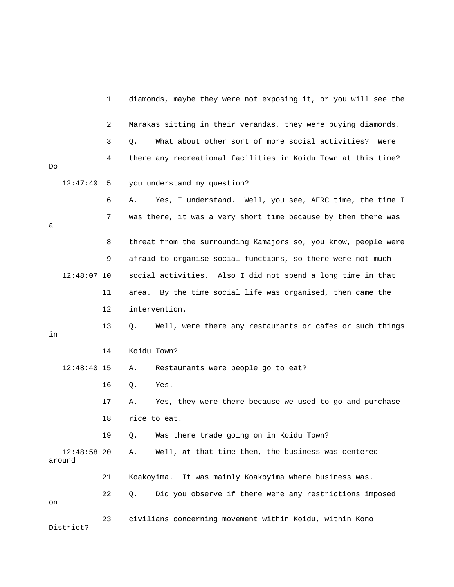|    |                         | 1  | diamonds, maybe they were not exposing it, or you will see the  |
|----|-------------------------|----|-----------------------------------------------------------------|
|    |                         | 2  | Marakas sitting in their verandas, they were buying diamonds.   |
|    |                         | 3  | What about other sort of more social activities?<br>Q.<br>Were  |
| Do |                         | 4  | there any recreational facilities in Koidu Town at this time?   |
|    | 12:47:40                | 5  | you understand my question?                                     |
|    |                         | 6  | Yes, I understand. Well, you see, AFRC time, the time I<br>Α.   |
| а  |                         | 7  | was there, it was a very short time because by then there was   |
|    |                         | 8  | threat from the surrounding Kamajors so, you know, people were  |
|    |                         | 9  | afraid to organise social functions, so there were not much     |
|    | $12:48:07$ 10           |    | social activities. Also I did not spend a long time in that     |
|    |                         | 11 | By the time social life was organised, then came the<br>area.   |
|    |                         | 12 | intervention.                                                   |
| in |                         | 13 | Well, were there any restaurants or cafes or such things<br>Q.  |
|    |                         | 14 | Koidu Town?                                                     |
|    | $12:48:40$ 15           |    | Restaurants were people go to eat?<br>Α.                        |
|    |                         | 16 | Yes.<br>Q.                                                      |
|    |                         | 17 | Yes, they were there because we used to go and purchase<br>Α.   |
|    |                         | 18 | rice to eat.                                                    |
|    |                         | 19 | Was there trade going on in Koidu Town?<br>$Q$ .                |
|    | $12:48:58$ 20<br>around |    | Well, at that time then, the business was centered<br>Α.        |
|    |                         | 21 | It was mainly Koakoyima where business was.<br>Koakoyima.       |
| on |                         | 22 | Did you observe if there were any restrictions imposed<br>$Q$ . |
|    | District?               | 23 | civilians concerning movement within Koidu, within Kono         |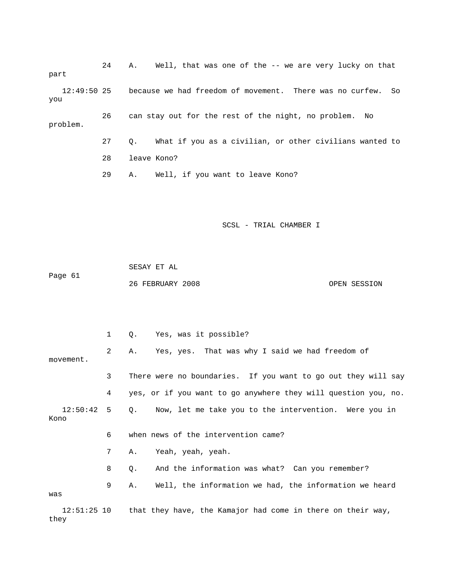24 A. Well, that was one of the -- we are very lucky on that part 12:49:50 25 because we had freedom of movement. There was no curfew. So 27 Q. What if you as a civilian, or other civilians wanted to 29 A. Well, if you want to leave Kono? you 26 can stay out for the rest of the night, no problem. No problem. 28 leave Kono?

SCSL - TRIAL CHAMBER I

 SESAY ET AL Page 61 26 FEBRUARY 2008 OPEN SESSION

 1 Q. Yes, was it possible? 2 A. Yes, yes. That was why I said we had freedom of movement. 3 There were no boundaries. If you want to go out they will say 4 yes, or if you want to go anywhere they will question you, no. 6 when news of the intervention came? 7 A. Yeah, yeah, yeah. 8 Q. And the information was what? Can you remember? 9 A. Well, the information we had, the information we heard 12:51:25 10 that they have, the Kamajor had come in there on their way, 12:50:42 5 Q. Now, let me take you to the intervention. Were you in Kono was

they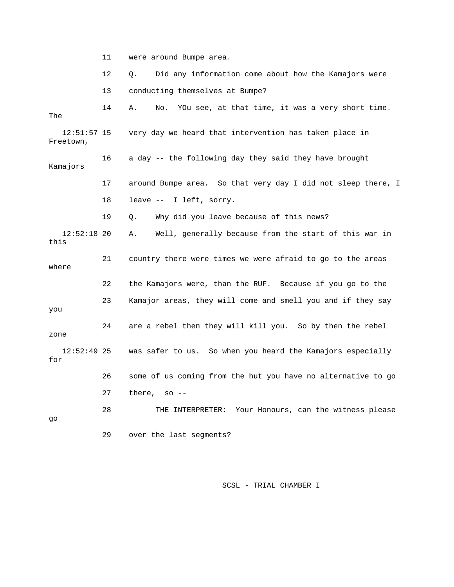11 were around Bumpe area.

12 Q. Did any information come about how the Kamajors were

13 conducting themselves at Bumpe?

 14 A. No. YOu see, at that time, it was a very short time. 16 a day -- the following day they said they have brought 17 around Bumpe area. So that very day I did not sleep there, I 12:52:18 20 A. Well, generally because from the start of this war in 21 country there were times we were afraid to go to the areas 22 the Kamajors were, than the RUF. Because if you go to the 23 Kamajor areas, they will come and smell you and if they say zone 12:52:49 25 was safer to us. So when you heard the Kamajors especially 27 there, so -- 28 THE INTERPRETER: Your Honours, can the witness please 29 over the last segments? The 12:51:57 15 very day we heard that intervention has taken place in Freetown, Kamajors 18 leave -- I left, sorry. 19 Q. Why did you leave because of this news? this where you 24 are a rebel then they will kill you. So by then the rebel for 26 some of us coming from the hut you have no alternative to go go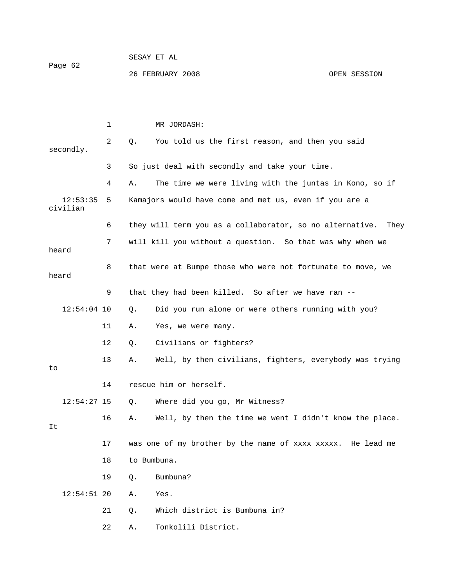| Page 62 | SESAY ET AL      |              |
|---------|------------------|--------------|
|         | 26 FEBRUARY 2008 | OPEN SESSION |

|                      | 1  |             | MR JORDASH:                                                      |
|----------------------|----|-------------|------------------------------------------------------------------|
| secondly.            | 2  | Q.          | You told us the first reason, and then you said                  |
|                      | 3  |             | So just deal with secondly and take your time.                   |
|                      | 4  | Α.          | The time we were living with the juntas in Kono, so if           |
| 12:53:35<br>civilian | 5  |             | Kamajors would have come and met us, even if you are a           |
|                      | 6  |             | they will term you as a collaborator, so no alternative.<br>They |
| heard                | 7  |             | will kill you without a question. So that was why when we        |
| heard                | 8  |             | that were at Bumpe those who were not fortunate to move, we      |
|                      | 9  |             | that they had been killed. So after we have ran --               |
| $12:54:04$ 10        |    | Q.          | Did you run alone or were others running with you?               |
|                      | 11 | Α.          | Yes, we were many.                                               |
|                      | 12 | Q.          | Civilians or fighters?                                           |
| to                   | 13 | Α.          | Well, by then civilians, fighters, everybody was trying          |
|                      | 14 |             | rescue him or herself.                                           |
| $12:54:27$ 15        |    | Q.          | Where did you go, Mr Witness?                                    |
| It                   | 16 | Α.          | Well, by then the time we went I didn't know the place.          |
|                      | 17 |             | was one of my brother by the name of xxxx xxxxx. He lead me      |
|                      | 18 | to Bumbuna. |                                                                  |
|                      | 19 | Q.          | Bumbuna?                                                         |
| $12:54:51$ 20        |    | Α.          | Yes.                                                             |
|                      | 21 | Q.          | Which district is Bumbuna in?                                    |
|                      | 22 | Α.          | Tonkolili District.                                              |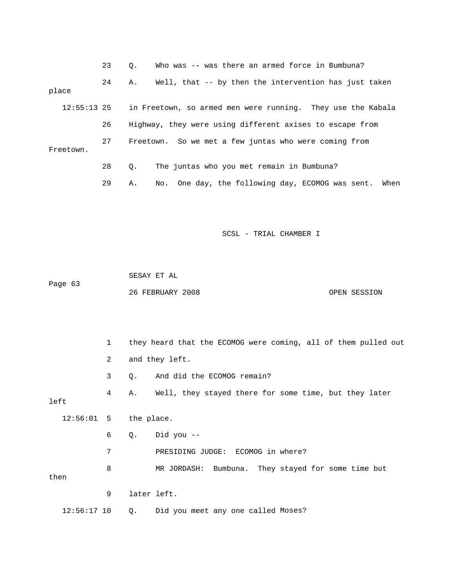|             | 23 | Who was -- was there an armed force in Bumbuna?<br>$\circ$ .   |
|-------------|----|----------------------------------------------------------------|
| place       | 24 | Well, that -- by then the intervention has just taken<br>Α.    |
| 12:55:13 25 |    | in Freetown, so armed men were running. They use the Kabala    |
|             | 26 | Highway, they were using different axises to escape from       |
| Freetown.   | 27 | Freetown. So we met a few juntas who were coming from          |
|             | 28 | The juntas who you met remain in Bumbuna?<br>$\circ$ .         |
|             | 29 | No. One day, the following day, ECOMOG was sent.<br>When<br>Α. |

|         | SESAY ET AL      |              |
|---------|------------------|--------------|
| Paqe 63 |                  |              |
|         | 26 FEBRUARY 2008 | OPEN SESSION |

 1 they heard that the ECOMOG were coming, all of them pulled out 2 and they left. 3 Q. And did the ECOMOG remain? 4 A. Well, they stayed there for some time, but they later left 6 Q. Did you -- 7 PRESIDING JUDGE: ECOMOG in where? 8 MR JORDASH: Bumbuna. They stayed for some time but 12:56:17 10 Q. Did you meet any one called Moses? 12:56:01 5 the place. then 9 later left.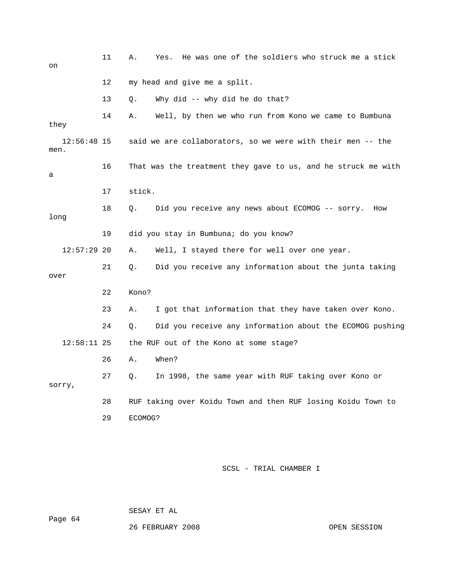| on                    | 11 | He was one of the soldiers who struck me a stick<br>Α.<br>Yes. |
|-----------------------|----|----------------------------------------------------------------|
|                       | 12 | my head and give me a split.                                   |
|                       | 13 | Why did -- why did he do that?<br>О.                           |
| they                  | 14 | Well, by then we who run from Kono we came to Bumbuna<br>Α.    |
| $12:56:48$ 15<br>men. |    | said we are collaborators, so we were with their men -- the    |
| а                     | 16 | That was the treatment they gave to us, and he struck me with  |
|                       | 17 | stick.                                                         |
| long                  | 18 | Did you receive any news about ECOMOG -- sorry.<br>Q.<br>How   |
|                       | 19 | did you stay in Bumbuna; do you know?                          |
| $12:57:29$ 20         |    | Well, I stayed there for well over one year.<br>Α.             |
| over                  | 21 | Did you receive any information about the junta taking<br>О.   |
|                       | 22 | Kono?                                                          |
|                       | 23 | I got that information that they have taken over Kono.<br>Α.   |
|                       | 24 | Did you receive any information about the ECOMOG pushing<br>Q. |
| $12:58:11$ 25         |    | the RUF out of the Kono at some stage?                         |
|                       | 26 | When?<br>Α.                                                    |
| sorry,                | 27 | In 1998, the same year with RUF taking over Kono or<br>Q.      |
|                       | 28 | RUF taking over Koidu Town and then RUF losing Koidu Town to   |
|                       | 29 | ECOMOG?                                                        |

SESAY ET AL

26 FEBRUARY 2008 OPEN SESSION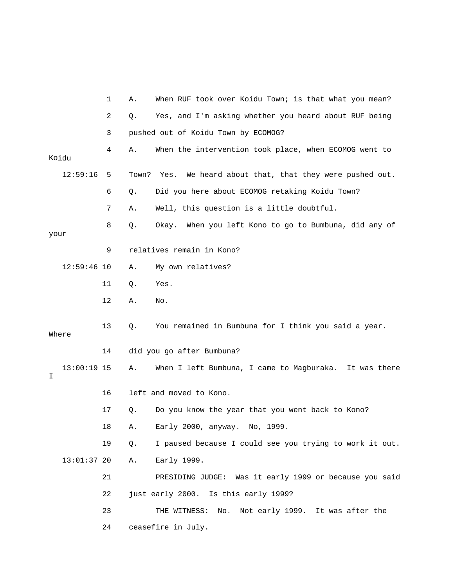|                    | 1  | Α.    | When RUF took over Koidu Town; is that what you mean?   |
|--------------------|----|-------|---------------------------------------------------------|
|                    | 2  | Q.    | Yes, and I'm asking whether you heard about RUF being   |
|                    | 3  |       | pushed out of Koidu Town by ECOMOG?                     |
| Koidu              | 4  | Α.    | When the intervention took place, when ECOMOG went to   |
| 12:59:16           | 5  | Town? | We heard about that, that they were pushed out.<br>Yes. |
|                    | 6  | Q.    | Did you here about ECOMOG retaking Koidu Town?          |
|                    | 7  | Α.    | Well, this question is a little doubtful.               |
| your               | 8  | Q.    | Okay. When you left Kono to go to Bumbuna, did any of   |
|                    | 9  |       | relatives remain in Kono?                               |
| $12:59:46$ 10      |    | Α.    | My own relatives?                                       |
|                    | 11 | Q.    | Yes.                                                    |
|                    | 12 | Α.    | No.                                                     |
| Where              | 13 | Q.    | You remained in Bumbuna for I think you said a year.    |
|                    | 14 |       | did you go after Bumbuna?                               |
| $13:00:19$ 15<br>I |    | Α.    | When I left Bumbuna, I came to Magburaka. It was there  |
|                    | 16 |       | left and moved to Kono.                                 |
|                    | 17 | Q.    | Do you know the year that you went back to Kono?        |
|                    | 18 | Α.    | Early 2000, anyway.<br>No, 1999.                        |
|                    | 19 | Q.    | I paused because I could see you trying to work it out. |
| $13:01:37$ 20      |    | Α.    | Early 1999.                                             |
|                    | 21 |       | PRESIDING JUDGE: Was it early 1999 or because you said  |
|                    | 22 |       | just early 2000. Is this early 1999?                    |
|                    | 23 |       | THE WITNESS:<br>No.<br>Not early 1999. It was after the |
|                    | 24 |       | ceasefire in July.                                      |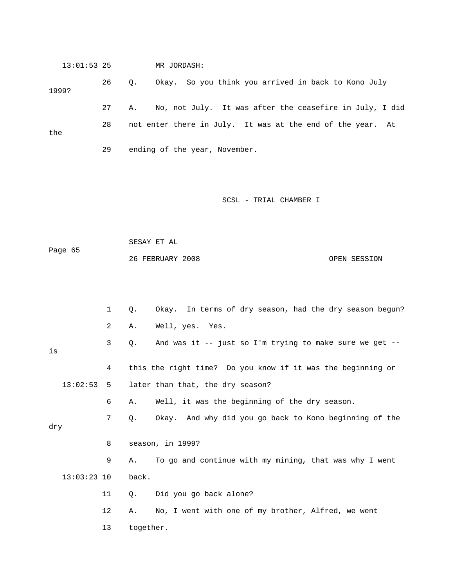13:01:53 25 MR JORDASH: 26 Q. Okay. So you think you arrived in back to Kono July 28 not enter there in July. It was at the end of the year. At the 29 ending of the year, November. 1999? 27 A. No, not July. It was after the ceasefire in July, I did

SCSL - TRIAL CHAMBER I

 26 FEBRUARY 2008 OPEN SESSION SESAY ET AL Page 65

|     |               | 1  | $Q$ .     | Okay. In terms of dry season, had the dry season begun?     |
|-----|---------------|----|-----------|-------------------------------------------------------------|
|     |               | 2  | Α.        | Well, yes. Yes.                                             |
| is  |               | 3  | Q.        | And was it -- just so I'm trying to make sure we get --     |
|     |               | 4  |           | this the right time? Do you know if it was the beginning or |
|     | 13:02:53      | 5  |           | later than that, the dry season?                            |
|     |               | 6  | Α.        | Well, it was the beginning of the dry season.               |
| dry |               | 7  | Q.        | Okay. And why did you go back to Kono beginning of the      |
|     |               |    |           |                                                             |
|     |               | 8  |           | season, in 1999?                                            |
|     |               | 9  | Α.        | To go and continue with my mining, that was why I went      |
|     | $13:03:23$ 10 |    | back.     |                                                             |
|     |               | 11 | Q.        | Did you go back alone?                                      |
|     |               | 12 | Α.        | No, I went with one of my brother, Alfred, we went          |
|     |               | 13 | together. |                                                             |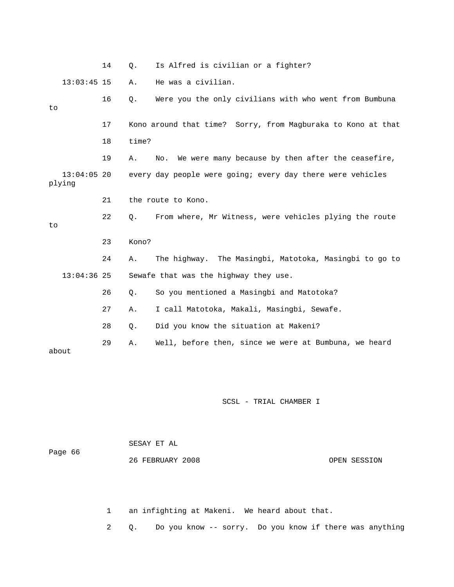14 Q. Is Alfred is civilian or a fighter? 13:03:45 15 A. He was a civilian. 16 Q. Were you the only civilians with who went from Bumbuna 19 A. No. We were many because by then after the ceasefire, plying 21 the route to Kono. 22 Q. From where, Mr Witness, were vehicles plying the route 24 A. The highway. The Masingbi, Matotoka, Masingbi to go to 13:04:36 25 Sewafe that was the highway they use. So you mentioned a Masingbi and Matotoka? 27 A. I call Matotoka, Makali, Masingbi, Sewafe. 28 Q. Did you know the situation at Makeni? 29 A. Well, before then, since we were at Bumbuna, we heard about to 17 Kono around that time? Sorry, from Magburaka to Kono at that 18 time? 13:04:05 20 every day people were going; every day there were vehicles to 23 Kono? 26 Q.

SCSL - TRIAL CHAMBER I

|         | SESAY ET AL      |              |
|---------|------------------|--------------|
| Page 66 |                  |              |
|         | 26 FEBRUARY 2008 | OPEN SESSION |

1 an infighting at Makeni. We heard about that.

2 Q. Do you know -- sorry. Do you know if there was anything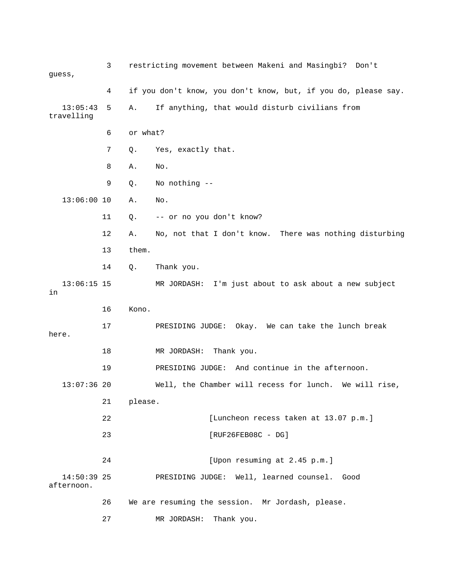| guess,                    | 3  | restricting movement between Makeni and Masingbi? Don't        |
|---------------------------|----|----------------------------------------------------------------|
|                           | 4  | if you don't know, you don't know, but, if you do, please say. |
| 13:05:43<br>travelling    | 5  | If anything, that would disturb civilians from<br>Α.           |
|                           | 6  | or what?                                                       |
|                           | 7  | Yes, exactly that.<br>Q.                                       |
|                           | 8  | No.<br>Α.                                                      |
|                           | 9  | No nothing --<br>Q.                                            |
| $13:06:00$ 10             |    | Α.<br>No.                                                      |
|                           | 11 | -- or no you don't know?<br>Q.                                 |
|                           | 12 | No, not that I don't know. There was nothing disturbing<br>Α.  |
|                           | 13 | them.                                                          |
|                           | 14 | Q.<br>Thank you.                                               |
| $13:06:15$ 15<br>in       |    | I'm just about to ask about a new subject<br>MR JORDASH:       |
|                           | 16 | Kono.                                                          |
| here.                     | 17 | PRESIDING JUDGE: Okay. We can take the lunch break             |
|                           | 18 | MR JORDASH:<br>Thank you.                                      |
|                           | 19 | PRESIDING JUDGE: And continue in the afternoon.                |
| $13:07:36$ 20             |    | Well, the Chamber will recess for lunch. We will rise,         |
|                           | 21 | please.                                                        |
|                           | 22 | [Luncheon recess taken at 13.07 p.m.]                          |
|                           | 23 | $[RUF26FEB08C - DG]$                                           |
|                           | 24 | [Upon resuming at 2.45 p.m.]                                   |
| 14:50:39 25<br>afternoon. |    | PRESIDING JUDGE: Well, learned counsel.<br>Good                |
|                           | 26 | We are resuming the session. Mr Jordash, please.               |
|                           | 27 | Thank you.<br>MR JORDASH:                                      |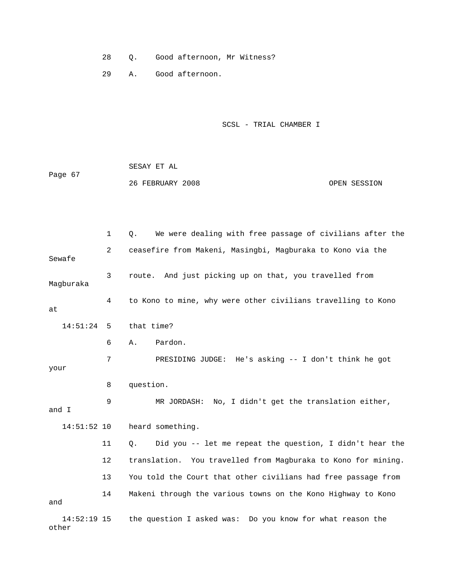- 28 Q. Good afternoon, Mr Witness?
- 29 A. Good afternoon.

```
 SCSL - TRIAL CHAMBER I
```

|         | SESAY ET AL      |              |
|---------|------------------|--------------|
| Page 67 |                  |              |
|         | 26 FEBRUARY 2008 | OPEN SESSION |

|                        | 1  | We were dealing with free passage of civilians after the<br>Q. |
|------------------------|----|----------------------------------------------------------------|
| Sewafe                 | 2  | ceasefire from Makeni, Masingbi, Magburaka to Kono via the     |
| Magburaka              | 3  | And just picking up on that, you travelled from<br>route.      |
| at                     | 4  | to Kono to mine, why were other civilians travelling to Kono   |
| 14:51:24               | 5  | that time?                                                     |
|                        | 6  | Pardon.<br>Α.                                                  |
| your                   | 7  | PRESIDING JUDGE: He's asking -- I don't think he got           |
|                        | 8  | question.                                                      |
| and I                  | 9  | MR JORDASH: No, I didn't get the translation either,           |
| $14:51:52$ 10          |    | heard something.                                               |
|                        | 11 | Did you -- let me repeat the question, I didn't hear the<br>Q. |
|                        | 12 | translation. You travelled from Magburaka to Kono for mining.  |
|                        | 13 | You told the Court that other civilians had free passage from  |
| and                    | 14 | Makeni through the various towns on the Kono Highway to Kono   |
| $14:52:19$ 15<br>other |    | the question I asked was: Do you know for what reason the      |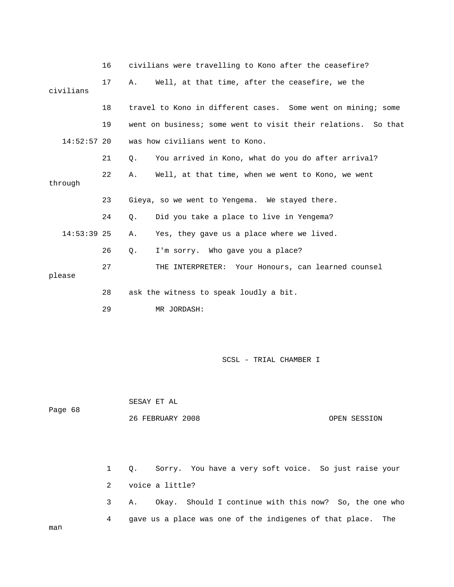|               | 16 | civilians were travelling to Kono after the ceasefire?        |
|---------------|----|---------------------------------------------------------------|
| civilians     | 17 | Well, at that time, after the ceasefire, we the<br>Α.         |
|               | 18 | travel to Kono in different cases. Some went on mining; some  |
|               | 19 | went on business; some went to visit their relations. So that |
| $14:52:57$ 20 |    | was how civilians went to Kono.                               |
|               | 21 | You arrived in Kono, what do you do after arrival?<br>Ο.      |
| through       | 22 | Α.<br>Well, at that time, when we went to Kono, we went       |
|               |    |                                                               |
|               | 23 | Gieya, so we went to Yengema. We stayed there.                |
|               | 24 | Did you take a place to live in Yengema?<br>Ο.                |
| $14:53:39$ 25 |    | Yes, they gave us a place where we lived.<br>Α.               |
|               | 26 | I'm sorry. Who gave you a place?<br>Q.                        |
| please        | 27 | THE INTERPRETER: Your Honours, can learned counsel            |
|               |    |                                                               |
|               | 28 | ask the witness to speak loudly a bit.                        |
|               | 29 | MR JORDASH:                                                   |

 SESAY ET AL Page 68 26 FEBRUARY 2008 OPEN SESSION

 1 Q. Sorry. You have a very soft voice. So just raise your 2 voice a little? 3 A. Okay. Should I continue with this now? So, the one who 4 gave us a place was one of the indigenes of that place. The

man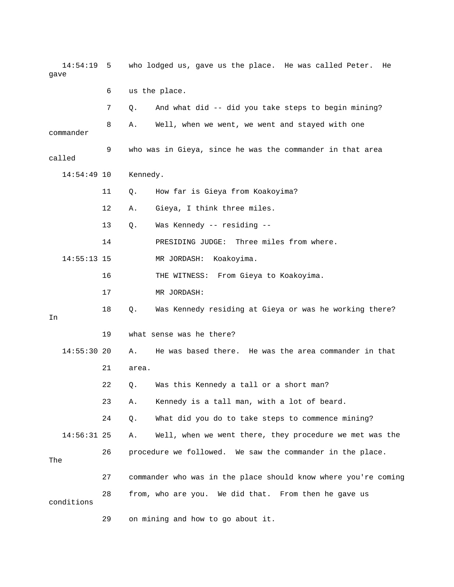14:54:19 5 who lodged us, gave us the place. He was called Peter. He gave 6 us the place. 7 Q. And what did -- did you take steps to begin mining? 8 A. Well, when we went, we went and stayed with one 9 who was in Gieya, since he was the commander in that area called 14:54:49 10 Kennedy. 11 Q. How far is Gieya from Koakoyima? 13 Q. Was Kennedy -- residing -- 14:55:13 15 MR JORDASH: Koakoyima. 16 THE WITNESS: From Gieya to Koakoyima. 18 Q. Was Kennedy residing at Gieya or was he working there? 14:55:30 20 A. He was based there. He was the area commander in that 23 A. Kennedy is a tall man, with a lot of beard. 24 Q. What did you do to take steps to commence mining? 14:56:31 25 A. Well, when we went there, they procedure we met was the 27 commander who was in the place should know where you're coming 29 on mining and how to go about it. commander 12 A. Gieya, I think three miles. 14 PRESIDING JUDGE: Three miles from where. 17 MR JORDASH: In 19 what sense was he there? 21 area. 22 Q. Was this Kennedy a tall or a short man? 26 procedure we followed. We saw the commander in the place. The 28 from, who are you. We did that. From then he gave us conditions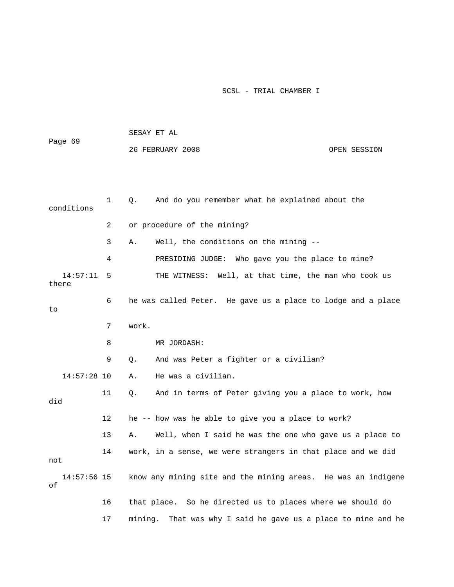| Page 69             |    | SESAY ET AL                                                      |  |  |  |
|---------------------|----|------------------------------------------------------------------|--|--|--|
|                     |    | 26 FEBRUARY 2008<br>OPEN SESSION                                 |  |  |  |
|                     |    |                                                                  |  |  |  |
|                     |    |                                                                  |  |  |  |
| conditions          | 1  | And do you remember what he explained about the<br>Q.            |  |  |  |
|                     | 2  | or procedure of the mining?                                      |  |  |  |
|                     | 3  | Well, the conditions on the mining --<br>Α.                      |  |  |  |
|                     | 4  | PRESIDING JUDGE: Who gave you the place to mine?                 |  |  |  |
| 14:57:11<br>there   | 5  | THE WITNESS: Well, at that time, the man who took us             |  |  |  |
| to                  | 6  | he was called Peter. He gave us a place to lodge and a place     |  |  |  |
|                     | 7  | work.                                                            |  |  |  |
|                     | 8  | MR JORDASH:                                                      |  |  |  |
|                     | 9  | And was Peter a fighter or a civilian?<br>Q.                     |  |  |  |
| $14:57:28$ 10       |    | He was a civilian.<br>Α.                                         |  |  |  |
| did                 | 11 | And in terms of Peter giving you a place to work, how<br>Q.      |  |  |  |
|                     | 12 | he -- how was he able to give you a place to work?               |  |  |  |
|                     | 13 | Well, when I said he was the one who gave us a place to<br>Α.    |  |  |  |
| not                 | 14 | work, in a sense, we were strangers in that place and we did     |  |  |  |
| $14:57:56$ 15<br>οf |    | know any mining site and the mining areas. He was an indigene    |  |  |  |
|                     | 16 | that place. So he directed us to places where we should do       |  |  |  |
|                     | 17 | That was why I said he gave us a place to mine and he<br>mining. |  |  |  |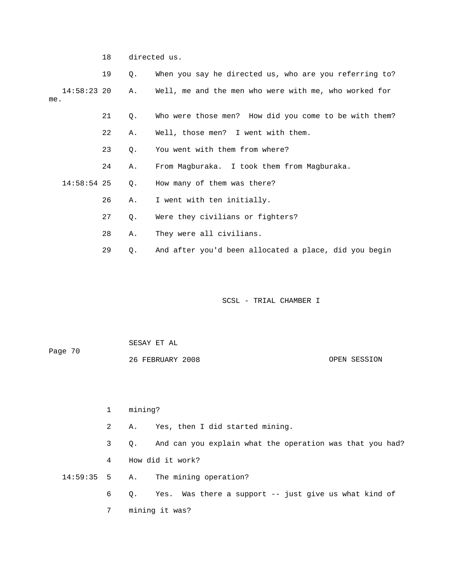18 directed us.

|     |               | 19 | Q. | When you say he directed us, who are you referring to? |
|-----|---------------|----|----|--------------------------------------------------------|
| me. | $14:58:23$ 20 |    | Α. | Well, me and the men who were with me, who worked for  |
|     |               | 21 | Q. | Who were those men? How did you come to be with them?  |
|     |               | 22 | Α. | Well, those men? I went with them.                     |
|     |               | 23 | О. | You went with them from where?                         |
|     |               | 24 | Α. | From Magburaka. I took them from Magburaka.            |
|     | $14:58:54$ 25 |    | 0. | How many of them was there?                            |
|     |               | 26 | Α. | I went with ten initially.                             |
|     |               | 27 | Q. | Were they civilians or fighters?                       |
|     |               | 28 | Α. | They were all civilians.                               |
|     |               | 29 | Q. | And after you'd been allocated a place, did you begin  |

| Page 70 | SESAY ET AL      |              |
|---------|------------------|--------------|
|         | 26 FEBRUARY 2008 | OPEN SESSION |

| 1            | mining?                                                        |
|--------------|----------------------------------------------------------------|
| $\mathbf{2}$ | A. Yes, then I did started mining.                             |
| 3            | And can you explain what the operation was that you had?<br>0. |
| 4            | How did it work?                                               |
|              | 14:59:35 5 A. The mining operation?                            |
| 6            | Q. Yes. Was there a support -- just give us what kind of       |
| 7            | mining it was?                                                 |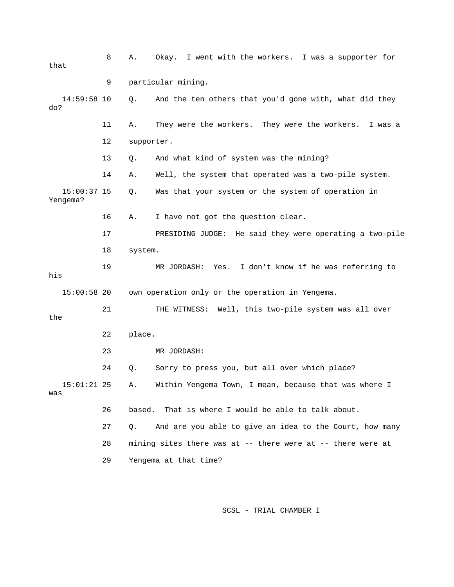8 A. Okay. I went with the workers. I was a supporter for 9 particular mining. 14:59:58 10 Q. And the ten others that you'd gone with, what did they 11 A. They were the workers. They were the workers. I was a 14 A. Well, the system that operated was a two-pile system. Yengema? 16 A. I have not got the question clear. 18 system. 19 MR JORDASH: Yes. I don't know if he was referring to 22 place. Within Yengema Town, I mean, because that was where I 26 based. That is where I would be able to talk about. 27 Q. And are you able to give an idea to the Court, how many 29 Yengema at that time? that do? 12 supporter. 13 Q. And what kind of system was the mining? 15:00:37 15 Q. Was that your system or the system of operation in 17 PRESIDING JUDGE: He said they were operating a two-pile his 15:00:58 20 own operation only or the operation in Yengema. 21 THE WITNESS: Well, this two-pile system was all over the 23 MR JORDASH: 24 Q. Sorry to press you, but all over which place?  $15:01:21$  25 A. was 28 mining sites there was at -- there were at -- there were at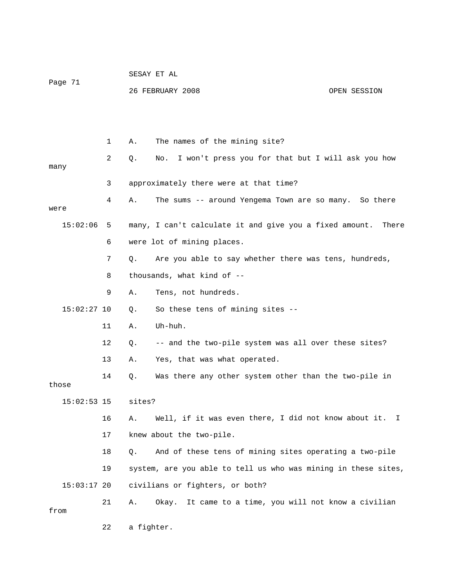| Page 71       |    | SESAY ET AL |                                                                |              |  |
|---------------|----|-------------|----------------------------------------------------------------|--------------|--|
|               |    |             | 26 FEBRUARY 2008                                               | OPEN SESSION |  |
|               |    |             |                                                                |              |  |
|               |    |             |                                                                |              |  |
|               | 1  | Α.          | The names of the mining site?                                  |              |  |
| many          | 2  | Q.          | I won't press you for that but I will ask you how<br>No.       |              |  |
|               | 3  |             | approximately there were at that time?                         |              |  |
|               | 4  |             |                                                                |              |  |
| were          |    | Α.          | The sums -- around Yengema Town are so many. So there          |              |  |
| 15:02:06      | 5  |             | many, I can't calculate it and give you a fixed amount.        | There        |  |
|               | 6  |             | were lot of mining places.                                     |              |  |
|               | 7  | Q.          | Are you able to say whether there was tens, hundreds,          |              |  |
|               | 8  |             | thousands, what kind of --                                     |              |  |
|               | 9  | Α.          | Tens, not hundreds.                                            |              |  |
| $15:02:27$ 10 |    | Q.          | So these tens of mining sites --                               |              |  |
|               | 11 | Α.          | Uh-huh.                                                        |              |  |
|               | 12 | Q.          | -- and the two-pile system was all over these sites?           |              |  |
|               | 13 | Α.          | Yes, that was what operated.                                   |              |  |
| those         | 14 | Q.          | Was there any other system other than the two-pile in          |              |  |
| $15:02:53$ 15 |    | sites?      |                                                                |              |  |
|               | 16 | Α.          | Well, if it was even there, I did not know about it.           | I.           |  |
|               | 17 |             | knew about the two-pile.                                       |              |  |
|               | 18 | Q.          | And of these tens of mining sites operating a two-pile         |              |  |
|               | 19 |             | system, are you able to tell us who was mining in these sites, |              |  |
| $15:03:17$ 20 |    |             | civilians or fighters, or both?                                |              |  |
| from          | 21 | Α.          | It came to a time, you will not know a civilian<br>Okay.       |              |  |
|               | 22 | a fighter.  |                                                                |              |  |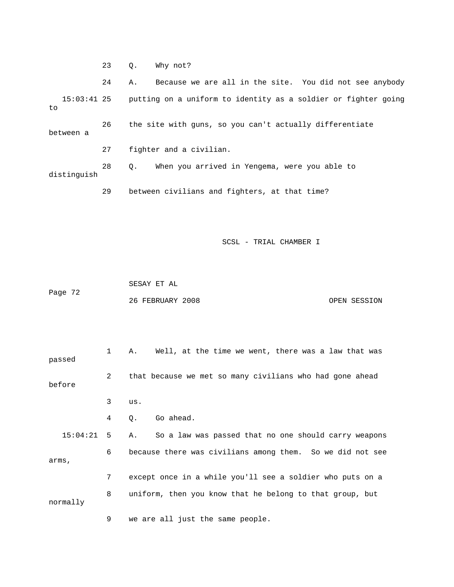23 Q. Why not?

 24 A. Because we are all in the site. You did not see anybody 15:03:41 25 putting on a uniform to identity as a soldier or fighter going 26 the site with guns, so you can't actually differentiate distinguish to between a 27 fighter and a civilian. 28 Q. When you arrived in Yengema, were you able to

29 between civilians and fighters, at that time?

|         | SESAY ET AL      |              |
|---------|------------------|--------------|
| Page 72 |                  |              |
|         | 26 FEBRUARY 2008 | OPEN SESSION |

|          | $\mathbf{1}$ | Well, at the time we went, there was a law that was<br>Α.  |
|----------|--------------|------------------------------------------------------------|
| passed   |              |                                                            |
|          | 2            | that because we met so many civilians who had gone ahead   |
| before   |              |                                                            |
|          | 3            | us.                                                        |
|          | 4            | Go ahead.<br>Q.                                            |
| 15:04:21 | -5           | So a law was passed that no one should carry weapons<br>Α. |
|          | 6            | because there was civilians among them. So we did not see  |
| arms,    |              |                                                            |
|          | 7            | except once in a while you'll see a soldier who puts on a  |
|          | 8            | uniform, then you know that he belong to that group, but   |
| normally |              |                                                            |
|          | 9            | we are all just the same people.                           |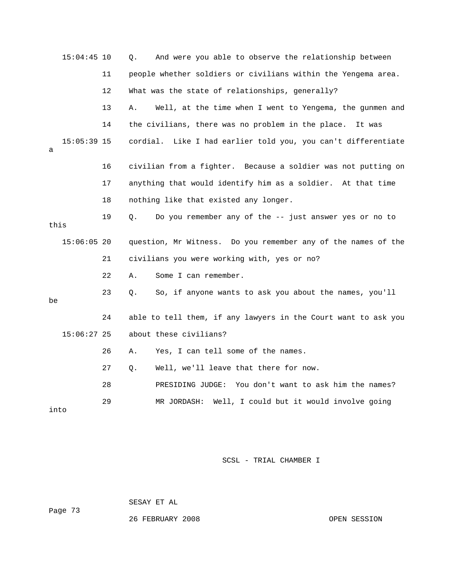|      | $15:04:45$ 10 |    | And were you able to observe the relationship between<br>Q.      |
|------|---------------|----|------------------------------------------------------------------|
|      |               | 11 | people whether soldiers or civilians within the Yengema area.    |
|      |               | 12 | What was the state of relationships, generally?                  |
|      |               | 13 | Well, at the time when I went to Yengema, the gunmen and<br>Α.   |
|      |               | 14 | the civilians, there was no problem in the place.<br>It was      |
| а    | $15:05:39$ 15 |    | Like I had earlier told you, you can't differentiate<br>cordial. |
|      |               | 16 | civilian from a fighter. Because a soldier was not putting on    |
|      |               | 17 | anything that would identify him as a soldier. At that time      |
|      |               | 18 | nothing like that existed any longer.                            |
| this |               | 19 | Do you remember any of the -- just answer yes or no to<br>Q.     |
|      | $15:06:05$ 20 |    | question, Mr Witness. Do you remember any of the names of the    |
|      |               | 21 | civilians you were working with, yes or no?                      |
|      |               | 22 | Some I can remember.<br>Α.                                       |
| be   |               | 23 | So, if anyone wants to ask you about the names, you'll<br>Q.     |
|      |               | 24 | able to tell them, if any lawyers in the Court want to ask you   |
|      | $15:06:27$ 25 |    | about these civilians?                                           |
|      |               | 26 | Yes, I can tell some of the names.<br>Α.                         |
|      |               | 27 | Well, we'll leave that there for now.<br>О.                      |
|      |               | 28 | PRESIDING JUDGE: You don't want to ask him the names?            |
| into |               | 29 | Well, I could but it would involve going<br>MR JORDASH:          |

Page 73 SESAY ET AL

26 FEBRUARY 2008

OPEN SESSION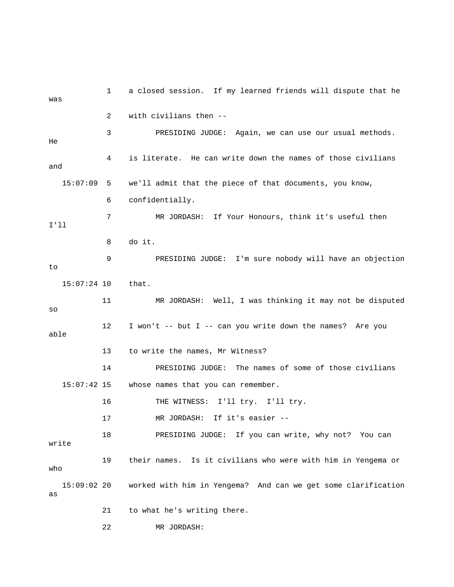1 a closed session. If my learned friends will dispute that he was 2 with civilians then -- 3 PRESIDING JUDGE: Again, we can use our usual methods. 4 is literate. He can write down the names of those civilians and 15:07:09 5 we'll admit that the piece of that documents, you know, 6 confidentially. 7 MR JORDASH: If Your Honours, think it's useful then ll I' 8 do it. 14 PRESIDING JUDGE: The names of some of those civilians 16 THE WITNESS: I'll try. I'll try. MR JORDASH: If it's easier -- 18 PRESIDING JUDGE: If you can write, why not? You can write 19 their names. Is it civilians who were with him in Yengema or 15:09:02 20 worked with him in Yengema? And can we get some clarification 21 to what he's writing there. 22 MR JORDASH: He 9 PRESIDING JUDGE: I'm sure nobody will have an objection to 15:07:24 10 that. 11 MR JORDASH: Well, I was thinking it may not be disputed so 12 I won't -- but I -- can you write down the names? Are you able 13 to write the names, Mr Witness? 15:07:42 15 whose names that you can remember. 17 M who as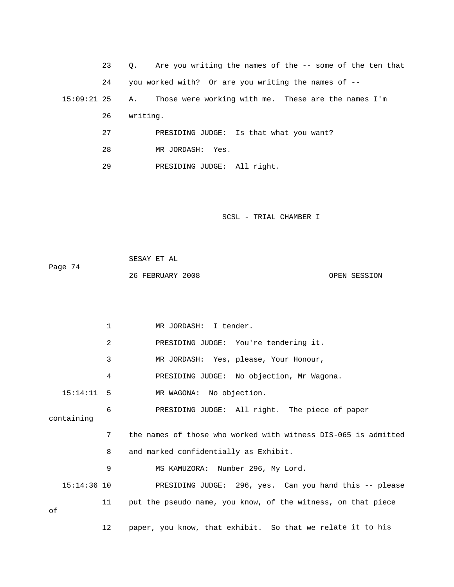| 23            | Are you writing the names of the $-$ - some of the ten that<br>$\circ$ . |
|---------------|--------------------------------------------------------------------------|
| 24            | you worked with? Or are you writing the names of --                      |
| $15:09:21$ 25 | Those were working with me. These are the names I'm<br>A.,               |
| 26            | writing.                                                                 |
| 27            | PRESIDING JUDGE: Is that what you want?                                  |
| 28            | MR JORDASH: Yes.                                                         |

29 PRESIDING JUDGE: All right.

|         | SESAY ET AL      |              |
|---------|------------------|--------------|
| Page 74 |                  |              |
|         | 26 FEBRUARY 2008 | OPEN SESSION |

|              | 1              | MR JORDASH: I tender.                                          |
|--------------|----------------|----------------------------------------------------------------|
|              | $\overline{2}$ | PRESIDING JUDGE: You're tendering it.                          |
|              | 3              | MR JORDASH: Yes, please, Your Honour,                          |
|              | 4              | PRESIDING JUDGE: No objection, Mr Wagona.                      |
| $15:14:11$ 5 |                | MR WAGONA: No objection.                                       |
| containing   | 6              | PRESIDING JUDGE: All right. The piece of paper                 |
|              | 7              | the names of those who worked with witness DIS-065 is admitted |
|              | 8              | and marked confidentially as Exhibit.                          |
|              | 9              | MS KAMUZORA: Number 296, My Lord.                              |
| 15:14:36 10  |                | PRESIDING JUDGE: 296, yes. Can you hand this -- please         |
| оf           | 11             | put the pseudo name, you know, of the witness, on that piece   |
|              | 12             | paper, you know, that exhibit. So that we relate it to his     |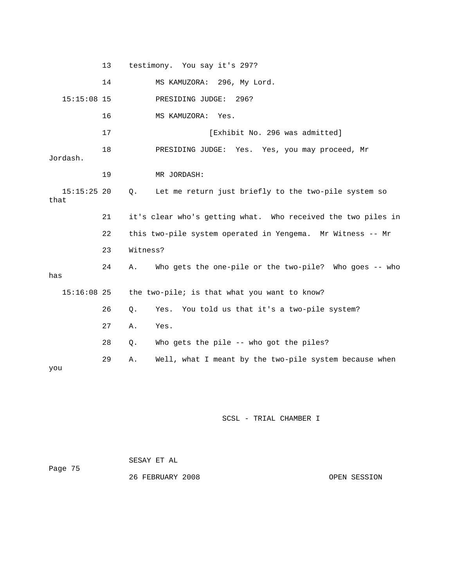13 testimony. You say it's 297? 14 MS KAMUZORA: 296, My Lord. 17 [Exhibit No. 296 was admitted] 18 PRESIDING JUDGE: Yes. Yes, you may proceed, Mr 22 this two-pile system operated in Yengema. Mr Witness -- Mr 24 A. Who gets the one-pile or the two-pile? Who goes -- who has  $15:16:08$  25 the two-pile; is that what you want to know? 26 Q. Yes. You told us that it's a two-pile system? 28 Q. Who gets the pile -- who got the piles? 29 A. Well, what I meant by the two-pile system because when 15:15:08 15 PRESIDING JUDGE: 296? 16 MS KAMUZORA: Yes. Jordash. 19 MR JORDASH: 15:15:25 20 Q. Let me return just briefly to the two-pile system so that 21 it's clear who's getting what. Who received the two piles in 23 Witness? 27 A. Yes. you

| Page 75 | SESAY ET AL      |              |
|---------|------------------|--------------|
|         | 26 FEBRUARY 2008 | OPEN SESSION |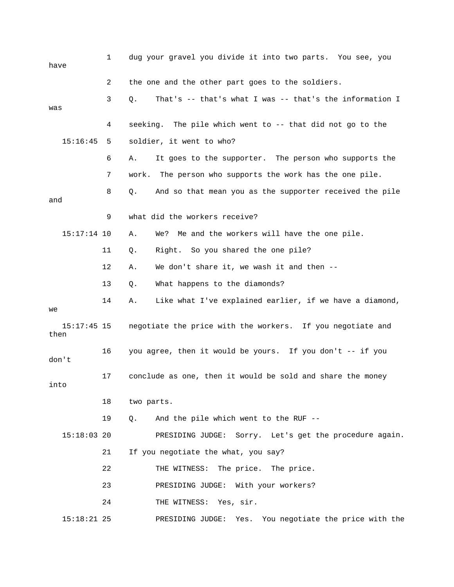| have                | 1  | dug your gravel you divide it into two parts. You see, you    |
|---------------------|----|---------------------------------------------------------------|
|                     | 2  | the one and the other part goes to the soldiers.              |
| was                 | 3  | That's -- that's what I was -- that's the information I<br>Q. |
|                     | 4  | seeking. The pile which went to -- that did not go to the     |
| 15:16:45            | 5  | soldier, it went to who?                                      |
|                     | 6  | It goes to the supporter. The person who supports the<br>Α.   |
|                     | 7  | work.<br>The person who supports the work has the one pile.   |
| and                 | 8  | And so that mean you as the supporter received the pile<br>Q. |
|                     | 9  | what did the workers receive?                                 |
| $15:17:14$ 10       |    | Me and the workers will have the one pile.<br>Α.<br>We?       |
|                     | 11 | Right. So you shared the one pile?<br>Q.                      |
|                     | 12 | We don't share it, we wash it and then --<br>Α.               |
|                     | 13 | What happens to the diamonds?<br>Q.                           |
| we                  | 14 | Like what I've explained earlier, if we have a diamond,<br>Α. |
| 15:17:45 15<br>then |    | negotiate the price with the workers. If you negotiate and    |
| don't               | 16 | you agree, then it would be yours. If you don't -- if you     |
| into                | 17 | conclude as one, then it would be sold and share the money    |
|                     | 18 | two parts.                                                    |
|                     | 19 | And the pile which went to the RUF --<br>Q.                   |
| $15:18:03$ 20       |    | PRESIDING JUDGE: Sorry. Let's get the procedure again.        |
|                     | 21 | If you negotiate the what, you say?                           |
|                     | 22 | THE WITNESS: The price. The price.                            |
|                     | 23 | PRESIDING JUDGE: With your workers?                           |
|                     | 24 | THE WITNESS: Yes, sir.                                        |
| $15:18:21$ 25       |    | You negotiate the price with the<br>PRESIDING JUDGE:<br>Yes.  |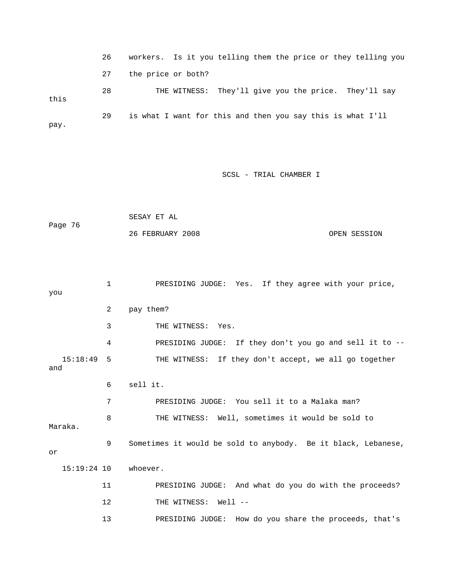26 workers. Is it you telling them the price or they telling you 27 the price or both? 28 THE WITNESS: They'll give you the price. They'll say this 29 is what I want for this and then you say this is what I'll pay.

SCSL - TRIAL CHAMBER I

```
 26 FEBRUARY 2008 OPEN SESSION 
             SESAY ET AL 
Page 76
```
 2 pay them? 3 THE WITNESS: Yes. 4 PRESIDING JUDGE: If they don't you go and sell it to -- 15:18:49 5 THE WITNESS: If they don't accept, we all go together and 8 THE WITNESS: Well, sometimes it would be sold to Maraka. 9 Sometimes it would be sold to anybody. Be it black, Lebanese, 5:19:24 10 whoever. 1 11 PRESIDING JUDGE: And what do you do with the proceeds? 1 PRESIDING JUDGE: Yes. If they agree with your price, you 6 sell it. 7 PRESIDING JUDGE: You sell it to a Malaka man? or 12 THE WITNESS: Well --13 PRESIDING JUDGE: How do you share the proceeds, that's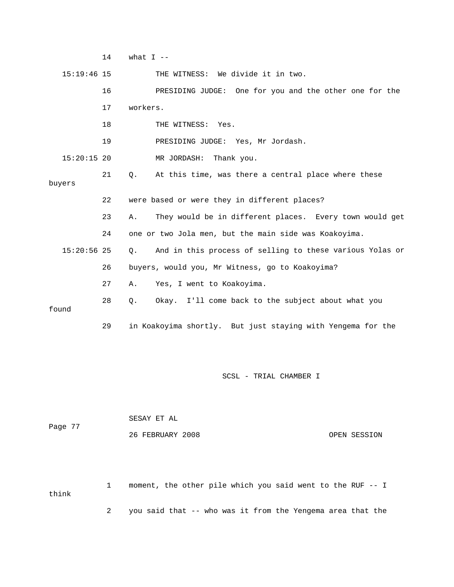$14$  what  $I$  -- 15:19:46 15 THE WITNESS: We divide it in two. 16 PRESIDING JUDGE: One for you and the other one for the 17 workers. 18 THE WITNESS: Yes. 15:20:15 20 MR JORDASH: Thank you. 21 Q. At this time, was there a central place where these 22 were based or were they in different places? 24 one or two Jola men, but the main side was Koakoyima. 15:20:56 25 Q. And in this process of selling to these various Yolas or 27 A. Yes, I went to Koakoyima. 28 Q. Okay. I'll come back to the subject about what you found 29 in Koakoyima shortly. But just staying with Yengema for the 19 PRESIDING JUDGE: Yes, Mr Jordash. buyers 23 A. They would be in different places. Every town would get 26 buyers, would you, Mr Witness, go to Koakoyima?

SCSL - TRIAL CHAMBER I

| Page 77 | SESAY ET AL      |              |
|---------|------------------|--------------|
|         | 26 FEBRUARY 2008 | OPEN SESSION |

 1 moment, the other pile which you said went to the RUF -- I 2 you said that -- who was it from the Yengema area that the think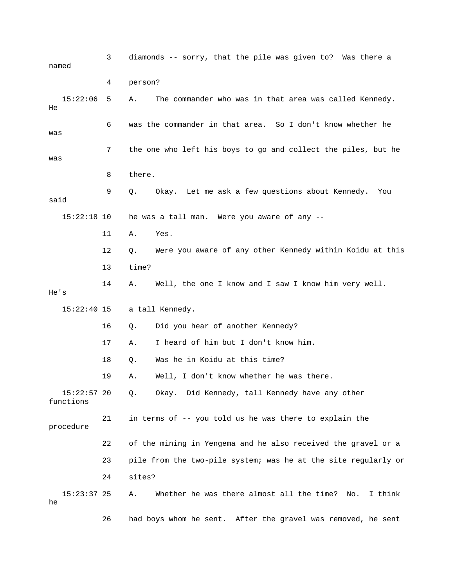| named                      | 3  | diamonds -- sorry, that the pile was given to? Was there a        |
|----------------------------|----|-------------------------------------------------------------------|
|                            | 4  | person?                                                           |
| 15:22:06<br>He             | 5  | The commander who was in that area was called Kennedy.<br>Α.      |
| was                        | 6  | was the commander in that area. So I don't know whether he        |
| was                        | 7  | the one who left his boys to go and collect the piles, but he     |
|                            | 8  | there.                                                            |
| said                       | 9  | Okay. Let me ask a few questions about Kennedy.<br>Q.<br>You      |
| $15:22:18$ 10              |    | he was a tall man. Were you aware of any --                       |
|                            | 11 | Α.<br>Yes.                                                        |
|                            | 12 | Were you aware of any other Kennedy within Koidu at this<br>Q.    |
|                            | 13 | time?                                                             |
| He's                       | 14 | Well, the one I know and I saw I know him very well.<br>Α.        |
| $15:22:40$ 15              |    | a tall Kennedy.                                                   |
|                            | 16 | Did you hear of another Kennedy?<br>Q.                            |
|                            | 17 | I heard of him but I don't know him.<br>Α.                        |
|                            | 18 | Was he in Koidu at this time?<br>Q.                               |
|                            | 19 | Well, I don't know whether he was there.<br>Α.                    |
| $15:22:57$ 20<br>functions |    | Okay. Did Kennedy, tall Kennedy have any other<br>Q.              |
| procedure                  | 21 | in terms of -- you told us he was there to explain the            |
|                            | 22 | of the mining in Yengema and he also received the gravel or a     |
|                            | 23 | pile from the two-pile system; was he at the site regularly or    |
|                            | 24 | sites?                                                            |
| $15:23:37$ 25<br>he        |    | Whether he was there almost all the time?<br>I think<br>Α.<br>No. |
|                            | 26 | had boys whom he sent. After the gravel was removed, he sent      |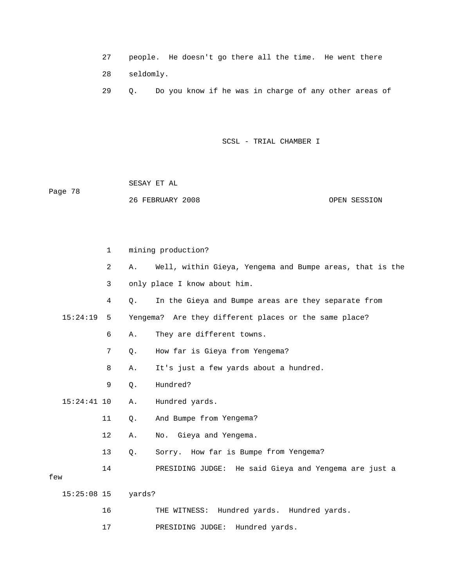|  |  |  |  |  | ?7 people. He doesn't go there all the time. He went there |
|--|--|--|--|--|------------------------------------------------------------|
|--|--|--|--|--|------------------------------------------------------------|

28 seldomly.

29 Q. Do you know if he was in charge of any other areas of

|         | SESAY ET AL      |              |
|---------|------------------|--------------|
| Page 78 |                  |              |
|         | 26 FEBRUARY 2008 | OPEN SESSION |

|               | $\mathbf{1}$   |        | mining production?                                       |
|---------------|----------------|--------|----------------------------------------------------------|
|               | $\overline{a}$ | Α.     | Well, within Gieya, Yengema and Bumpe areas, that is the |
|               | 3              |        | only place I know about him.                             |
|               | 4              | О.     | In the Gieya and Bumpe areas are they separate from      |
| 15:24:19      | 5              |        | Yengema? Are they different places or the same place?    |
|               | 6              | Α.     | They are different towns.                                |
|               | $\sqrt{ }$     | $Q$ .  | How far is Gieya from Yengema?                           |
|               | 8              | Α.     | It's just a few yards about a hundred.                   |
|               | 9              | Q.     | Hundred?                                                 |
| $15:24:41$ 10 |                | Α.     | Hundred yards.                                           |
|               | 11             | $Q$ .  | And Bumpe from Yengema?                                  |
|               | 12             | Α.     | No. Gieya and Yengema.                                   |
|               | 13             | Q.     | Sorry. How far is Bumpe from Yengema?                    |
|               | 14             |        | PRESIDING JUDGE: He said Gieya and Yengema are just a    |
| few           |                |        |                                                          |
| $15:25:08$ 15 |                | yards? |                                                          |
|               | 16             |        | THE WITNESS: Hundred yards. Hundred yards.               |
|               | 17             |        | PRESIDING JUDGE:<br>Hundred yards.                       |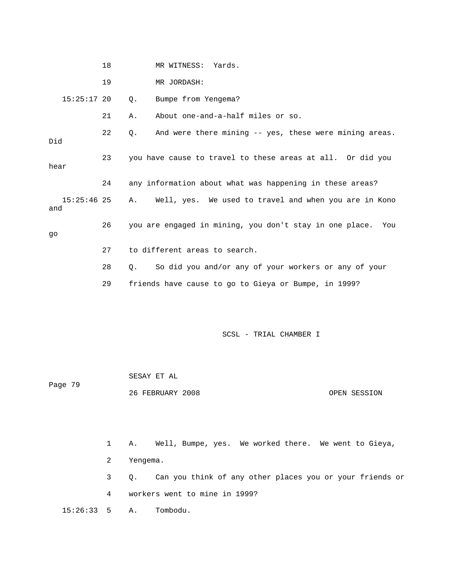18 MR WITNESS: Yards. 19 MR JORDAS H: 15:25:17 20 Q. Bumpe from Yengema? 21 A. About one-and-a-half miles or so. 22 Q. And were there mining -- yes, these were mining areas. 24 any information about what was happening in these areas? 15:25:46 25 A. Well, yes. We used to travel and when you are in Kono and 26 you are engaged in mining, you don't stay in one place. You 27 to different areas to search. 28 Q. So did you and/or any of your workers or any of your e, in 1999? 29 friends have cause to go to Gieya or Bump Did 23 you have cause to travel to these areas at all. Or did you hear go

SCSL - TRIAL CHAMBER I

| Page 79 | SESAY ET AL      |              |
|---------|------------------|--------------|
|         | 26 FEBRUARY 2008 | OPEN SESSION |

1 A. Well, Bumpe, yes. We worked there. We went to Gieya, 2 Yengema. 3 Q. Can you think of any other places you or your friends or 4 workers went to mine in 1999? 15:26:33 5 A. Tombodu.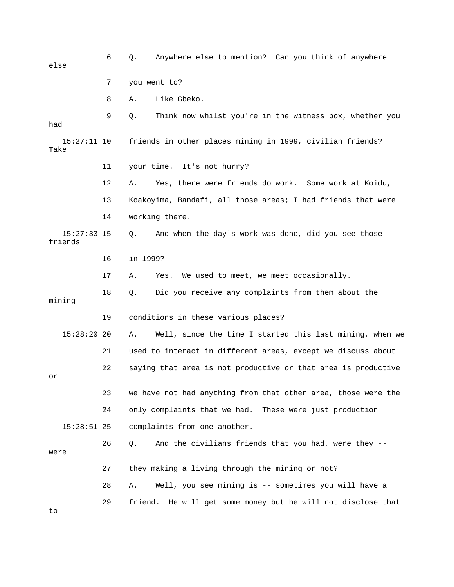| else                     | 6  | Anywhere else to mention? Can you think of anywhere<br>Q.       |
|--------------------------|----|-----------------------------------------------------------------|
|                          | 7  | you went to?                                                    |
|                          | 8  | Like Gbeko.<br>Α.                                               |
| had                      | 9  | Think now whilst you're in the witness box, whether you<br>Q.   |
| $15:27:11$ 10<br>Take    |    | friends in other places mining in 1999, civilian friends?       |
|                          | 11 | It's not hurry?<br>your time.                                   |
|                          | 12 | Yes, there were friends do work. Some work at Koidu,<br>Α.      |
|                          | 13 | Koakoyima, Bandafi, all those areas; I had friends that were    |
|                          | 14 | working there.                                                  |
| $15:27:33$ 15<br>friends |    | And when the day's work was done, did you see those<br>Q.       |
|                          | 16 | in 1999?                                                        |
|                          | 17 | We used to meet, we meet occasionally.<br>Α.<br>Yes.            |
| mining                   | 18 | Did you receive any complaints from them about the<br>Q.        |
|                          | 19 | conditions in these various places?                             |
| $15:28:20$ 20            |    | Well, since the time I started this last mining, when we<br>Α.  |
|                          | 21 | used to interact in different areas, except we discuss about    |
| or                       | 22 | saying that area is not productive or that area is productive   |
|                          | 23 | we have not had anything from that other area, those were the   |
|                          | 24 | only complaints that we had. These were just production         |
| $15:28:51$ 25            |    | complaints from one another.                                    |
| were                     | 26 | And the civilians friends that you had, were they --<br>Q.      |
|                          | 27 | they making a living through the mining or not?                 |
|                          | 28 | Well, you see mining is -- sometimes you will have a<br>Α.      |
| to                       | 29 | He will get some money but he will not disclose that<br>friend. |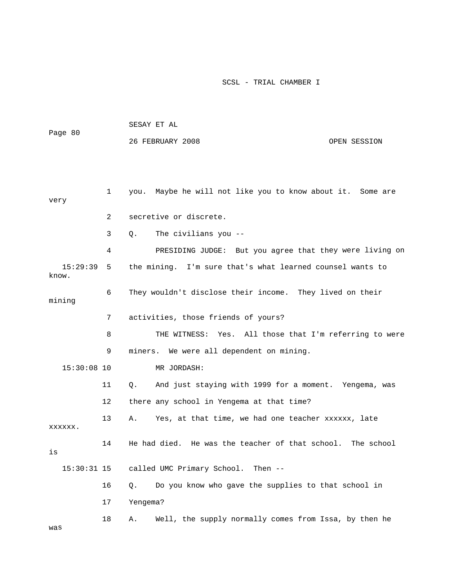|                   |    | SESAY ET AL                                                          |  |  |  |  |
|-------------------|----|----------------------------------------------------------------------|--|--|--|--|
| Page 80           |    | 26 FEBRUARY 2008<br>OPEN SESSION                                     |  |  |  |  |
|                   |    |                                                                      |  |  |  |  |
|                   |    |                                                                      |  |  |  |  |
| very              | 1  | you. Maybe he will not like you to know about it. Some are           |  |  |  |  |
|                   | 2  | secretive or discrete.                                               |  |  |  |  |
|                   | 3  | The civilians you --<br>Q.                                           |  |  |  |  |
|                   | 4  | PRESIDING JUDGE: But you agree that they were living on              |  |  |  |  |
| 15:29:39<br>know. | 5  | the mining. I'm sure that's what learned counsel wants to            |  |  |  |  |
| mining            | 6  | They wouldn't disclose their income. They lived on their             |  |  |  |  |
|                   | 7  | activities, those friends of yours?                                  |  |  |  |  |
|                   | 8  | THE WITNESS: Yes. All those that I'm referring to were               |  |  |  |  |
|                   | 9  | miners. We were all dependent on mining.                             |  |  |  |  |
| $15:30:08$ 10     |    | MR JORDASH:                                                          |  |  |  |  |
|                   | 11 | And just staying with 1999 for a moment. Yengema, was<br>$Q_{\star}$ |  |  |  |  |
|                   | 12 | there any school in Yengema at that time?                            |  |  |  |  |
| XXXXXX.           | 13 | Yes, at that time, we had one teacher xxxxxx, late<br>Α.             |  |  |  |  |
| is                | 14 | He had died. He was the teacher of that school. The school           |  |  |  |  |
| $15:30:31$ 15     |    | called UMC Primary School.<br>Then $--$                              |  |  |  |  |
|                   | 16 | Do you know who gave the supplies to that school in<br>Q.            |  |  |  |  |
|                   | 17 | Yengema?                                                             |  |  |  |  |
| was               | 18 | Well, the supply normally comes from Issa, by then he<br>Α.          |  |  |  |  |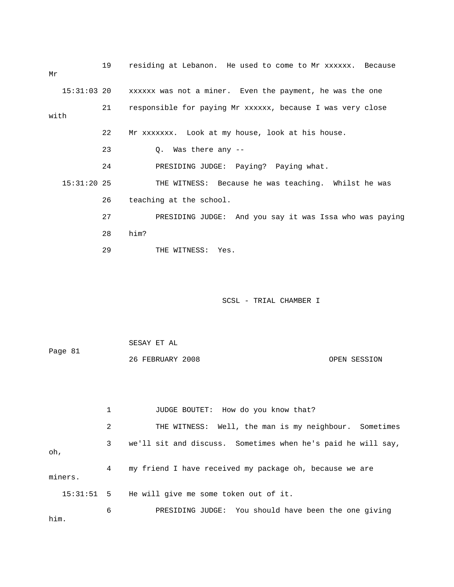| Μr   |               | 19 | residing at Lebanon. He used to come to Mr xxxxxx. Because           |
|------|---------------|----|----------------------------------------------------------------------|
|      |               |    | 15:31:03 20 xxxxxx was not a miner. Even the payment, he was the one |
| with |               | 21 | responsible for paying Mr xxxxxx, because I was very close           |
|      |               | 22 | Mr xxxxxxx. Look at my house, look at his house.                     |
|      |               | 23 | Q. Was there any --                                                  |
|      |               | 24 | PRESIDING JUDGE: Paying? Paying what.                                |
|      | $15:31:20$ 25 |    | THE WITNESS: Because he was teaching. Whilst he was                  |
|      |               | 26 | teaching at the school.                                              |
|      |               | 27 | PRESIDING JUDGE: And you say it was Issa who was paying              |
|      |               | 28 | him?                                                                 |
|      |               | 29 | THE WITNESS: Yes.                                                    |

 26 FEBRUARY 2008 OPEN SESSION JUDGE BOUTET: How do you know that? 2 THE WITNESS: Well, the man is my neighbour. Sometimes 3 we'll sit and discuss. Sometimes when he's paid he will say, , oh 4 my friend I have received my package oh, because we are 15:31:51 5 He will give me some token out of it. SESAY ET AL Page 81 1 miners.

 6 PRESIDING JUDGE: You should have been the one giving him.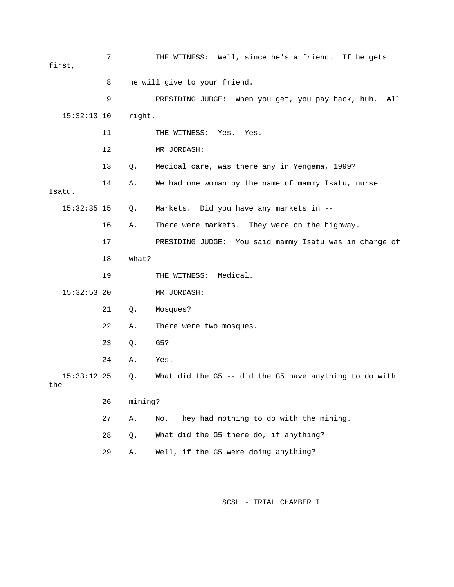|     | first,        | 7  |         | THE WITNESS: Well, since he's a friend. If he gets       |
|-----|---------------|----|---------|----------------------------------------------------------|
|     |               | 8  |         | he will give to your friend.                             |
|     |               | 9  |         | PRESIDING JUDGE: When you get, you pay back, huh.<br>All |
|     | $15:32:13$ 10 |    | right.  |                                                          |
|     |               | 11 |         | THE WITNESS: Yes.<br>Yes.                                |
|     |               | 12 |         | MR JORDASH:                                              |
|     |               | 13 | Q.      | Medical care, was there any in Yengema, 1999?            |
|     | Isatu.        | 14 | Α.      | We had one woman by the name of mammy Isatu, nurse       |
|     | $15:32:35$ 15 |    | Q.      | Markets. Did you have any markets in --                  |
|     |               | 16 | Α.      | There were markets. They were on the highway.            |
|     |               | 17 |         | PRESIDING JUDGE: You said mammy Isatu was in charge of   |
|     |               | 18 | what?   |                                                          |
|     |               | 19 |         | THE WITNESS: Medical.                                    |
|     | $15:32:53$ 20 |    |         | MR JORDASH:                                              |
|     |               | 21 | Q.      | Mosques?                                                 |
|     |               | 22 | Α.      | There were two mosques.                                  |
|     |               | 23 | Q.      | G5?                                                      |
|     |               | 24 | Α.      | Yes.                                                     |
| the | $15:33:12$ 25 |    | Q.      | What did the G5 -- did the G5 have anything to do with   |
|     |               | 26 | mining? |                                                          |
|     |               | 27 | Α.      | They had nothing to do with the mining.<br>No.           |
|     |               | 28 | Q.      | What did the G5 there do, if anything?                   |
|     |               | 29 | Α.      | Well, if the G5 were doing anything?                     |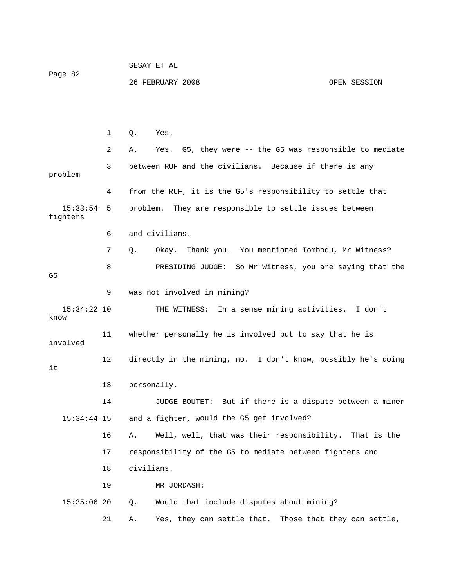SESAY ET AL Page 82 26 FEBRUARY 2008 OPEN SESSION

 1 Q. Yes. 2 A. Yes. G5, they were -- the G5 was responsible to mediate 3 between RUF and the civilians. Because if there is any problem 4 from the RUF, it is the G5's responsibility to settle that 15:33:54 5 problem. They are responsible to settle issues between fighters 6 and civilians. 8 BRESIDING JUDGE: So Mr Witness, you are saying that the 9 was not involved in mining? 15:34:22 10 THE WITNESS: In a sense mining activities. I don't 12 directly in the mining, no. I don't know, possibly he's doing 13 personally. 14 JUDGE BOUTET: But if there is a dispute between a miner 15:34:44 15 and a fighter, would the G5 get involved? 18 civilians. 19 MR JORDASH: 0. Would that include disputes about mining? 21 A. Yes, they can settle that. Those that they can settle, 7 Q. Okay. Thank you. You mentioned Tombodu, Mr Witness? G5 know 11 whether personally he is involved but to say that he is involved it 16 A. Well, well, that was their responsibility. That is the 17 responsibility of the G5 to mediate between fighters and  $15:35:06$  20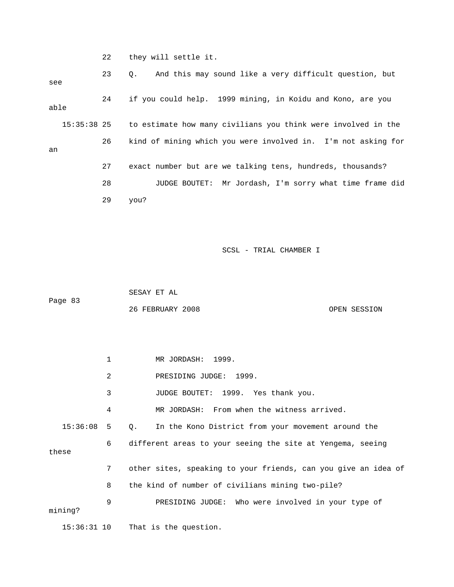22 they will settle it.

 23 Q. And this may sound like a very difficult question, but 24 if you could help. 1999 mining, in Koidu and Kono, are you 15:35:38 25 to estimate how many civilians you think were involved in the 27 exact number but are we talking tens, hundreds, thousands? 28 JUDGE BOUTET: Mr Jordash, I'm sorry what time frame did 29 you? see able 26 kind of mining which you were involved in. I'm not asking for an

SCSL - TRIAL CHAMBER I

Page 83 SESAY ET AL 26 FEBRUARY 2008 OPEN SESSION

 1 MR JORDASH: 1999. 2 PRESIDING JUDGE: 1999. JUDGE BOUTET: 1999. Yes thank you. 4 MR JORDASH: From when the witness arrived. 15:36:08 5 Q. In the Kono District from your movement around the 6 different areas to your seeing the site at Yengema, seeing these 7 other sites, speaking to your friends, can you give an idea of 8 the kind of number of civilians mining two-pile? 9 PRESIDING JUDGE: Who were involved in your type of ning? mi 15:36:31 10 That is the question. 3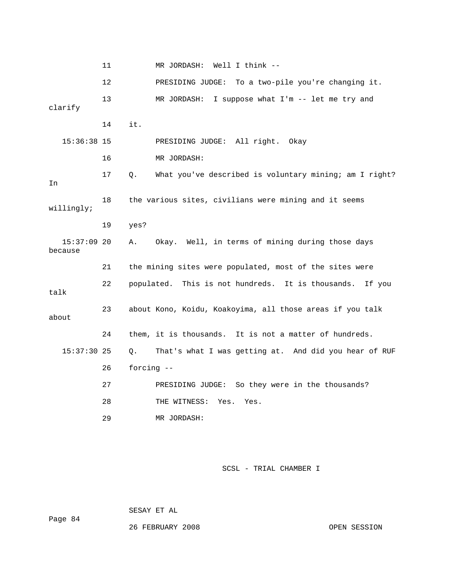11 MR JORDASH: Well I think -- 12 **DRESIDING JUDGE:** To a two-pile you're changing it. 13 MR JORDASH: I suppose what I'm -- let me try and clarify 14 it. 16 MR JORDASH: 18 the various sites, civilians were mining and it seems 19 yes? 15:37:09 20 A. Okay. Well, in terms of mining during those days 22 populated. This is not hundreds. It is thousands. If you 23 about Kono, Koidu, Koakoyima, all those areas if you talk 24 them, it is thousands. It is not a matter of hundreds. 15:37:30 25 Q. That's what I was getting at. And did you hear of RUF 28 THE WITNESS: Yes. Yes. MR JORDASH: 15:36:38 15 PRESIDING JUDGE: All right. Okay 17 Q. What you've described is voluntary mining; am I right? In willingly; because 21 the mining sites were populated, most of the sites were talk about 26 forcing -- 27 PRESIDING JUDGE: So they were in the thousands? 29

SCSL - TRIAL CHAMBER I

SESAY ET AL

26 FEBRUARY 2008 OPEN SESSION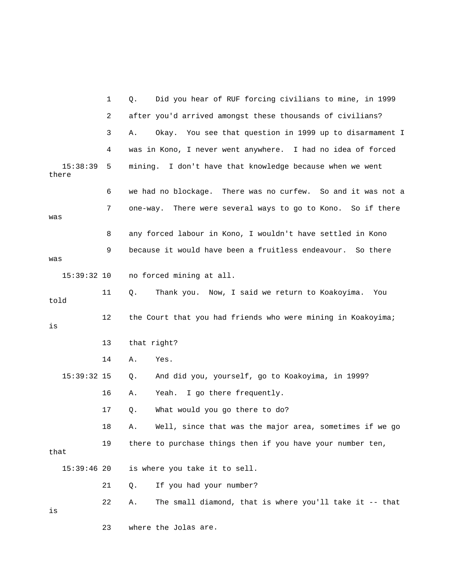|                   | 1  | Did you hear of RUF forcing civilians to mine, in 1999<br>Q.   |
|-------------------|----|----------------------------------------------------------------|
|                   | 2  | after you'd arrived amongst these thousands of civilians?      |
|                   | 3  | Okay. You see that question in 1999 up to disarmament I<br>Α.  |
|                   | 4  | was in Kono, I never went anywhere. I had no idea of forced    |
| 15:38:39<br>there | 5  | mining. I don't have that knowledge because when we went       |
|                   | 6  | we had no blockage. There was no curfew. So and it was not a   |
| was               | 7  | There were several ways to go to Kono. So if there<br>one-way. |
|                   | 8  | any forced labour in Kono, I wouldn't have settled in Kono     |
| was               | 9  | because it would have been a fruitless endeavour.<br>So there  |
| $15:39:32$ 10     |    | no forced mining at all.                                       |
| told              | 11 | Thank you. Now, I said we return to Koakoyima.<br>Q.<br>You    |
| is                | 12 | the Court that you had friends who were mining in Koakoyima;   |
|                   | 13 | that right?                                                    |
|                   | 14 | Yes.<br>Α.                                                     |
| $15:39:32$ 15     |    | And did you, yourself, go to Koakoyima, in 1999?<br>Q.         |
|                   | 16 | Yeah. I go there frequently.<br>Α.                             |
|                   | 17 | What would you go there to do?<br>Q.                           |
|                   | 18 | Well, since that was the major area, sometimes if we go<br>Α.  |
| that              | 19 | there to purchase things then if you have your number ten,     |
| $15:39:46$ 20     |    | is where you take it to sell.                                  |
|                   | 21 | If you had your number?<br>Q.                                  |
| is                | 22 | The small diamond, that is where you'll take it -- that<br>Α.  |
|                   | 23 | where the Jolas are.                                           |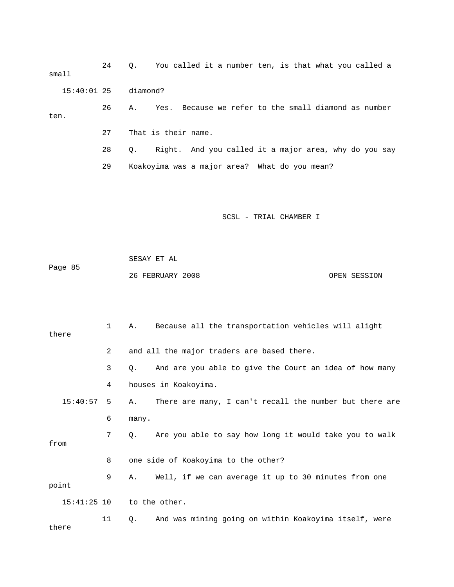24 Q. You called it a number ten, is that what you called a small 26 A. Yes. Because we refer to the small diamond as number 29 Koakoyima was a major area? What do you mean? 15:40:01 25 diamond? ten. 27 That is their name. 28 Q. Right. And you called it a major area, why do you say

SCSL - TRIAL CHAMBER I

OPEN SESSION

 SESAY ET AL Page 85 26 FEBRUARY 2008

there

 1 A. Because all the transportation vehicles will alight 3 Q. And are you able to give the Court an idea of how many 4 houses in Koakoyima.  $15:40:57$  5 A. There are many, I can't recall the number but there are 6 many. 7 Q. Are you able to say how long it would take you to walk 9 A. Well, if we can average it up to 30 minutes from one point 11 Q. And was mining going on within Koakoyima itself, were there 2 and all the major traders are based there. from 8 one side of Koakoyima to the other? 15:41:25 10 to the other.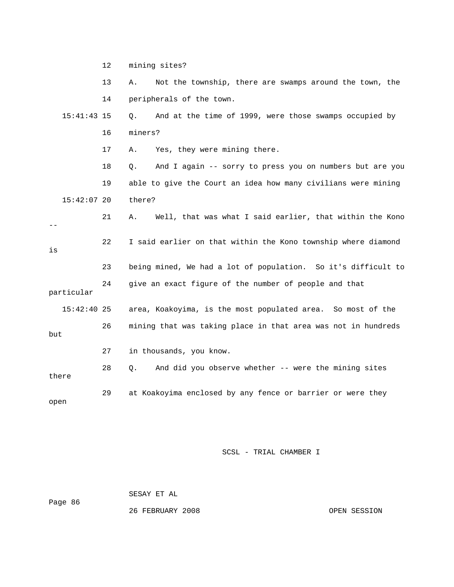|               | 13 | Not the township, there are swamps around the town, the<br>Α.  |
|---------------|----|----------------------------------------------------------------|
|               | 14 | peripherals of the town.                                       |
| $15:41:43$ 15 |    | And at the time of 1999, were those swamps occupied by<br>Q.   |
|               | 16 | miners?                                                        |
|               | 17 | Yes, they were mining there.<br>Α.                             |
|               | 18 | And I again -- sorry to press you on numbers but are you<br>Q. |
|               | 19 | able to give the Court an idea how many civilians were mining  |
| $15:42:07$ 20 |    | there?                                                         |
|               | 21 | Well, that was what I said earlier, that within the Kono<br>Α. |
| is            | 22 | I said earlier on that within the Kono township where diamond  |
|               | 23 | being mined, We had a lot of population. So it's difficult to  |
| particular    | 24 | give an exact figure of the number of people and that          |
| $15:42:40$ 25 |    | area, Koakoyima, is the most populated area. So most of the    |
| but           | 26 | mining that was taking place in that area was not in hundreds  |
|               | 27 | in thousands, you know.                                        |
| there         | 28 | And did you observe whether -- were the mining sites<br>Q.     |
| open          | 29 | at Koakoyima enclosed by any fence or barrier or were they     |

Page 86

SESAY ET AL

12 mining sites?

26 FEBRUARY 2008 OPEN SESSION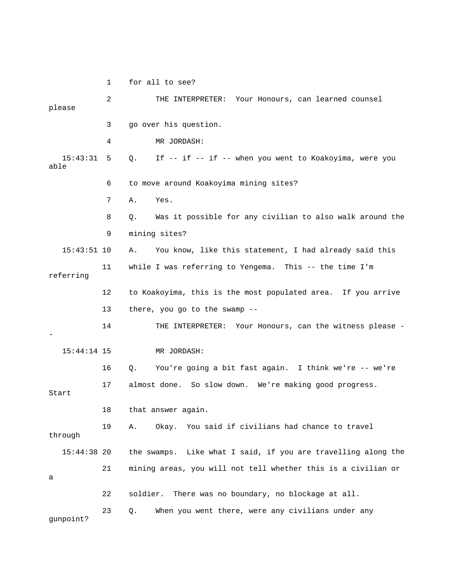1 for all to see? 2 THE INTERPRETER: Your Honours, can learned counsel please 3 go over his question. 4 MR JORDASH: 15:43:31 5 Q. If -- if -- if -- when you went to Koakoyima, were you able 6 to move around Koakoyima mining sites? 8 Q. Was it possible for any civilian to also walk around the 9 mining sites? 15:43:51 10 A. You know, like this statement, I had already said this 11 while I was referring to Yengema. This -- the time I'm referring 12 to Koakoyima, this is the most populated area. If you arrive 13 there, you go to the swamp --14 THE INTERPRETER: Your Honours, can the witness please -MR JORDASH: 16 Q. You're going a bit fast again. I think we're -- we're 17 almost done. So slow down. We're making good progress. 18 that answer again. 19 A. Okay. You said if civilians had chance to travel 15:44:38 20 the swamps. Like what I said, if you are travelling along the 21 mining areas, you will not tell whether this is a civilian or 22 soldier. There was no boundary, no blockage at all. 7 A. Yes. - 15:44:14 15 Start through a 23 Q. When you went there, were any civilians under any gunpoint?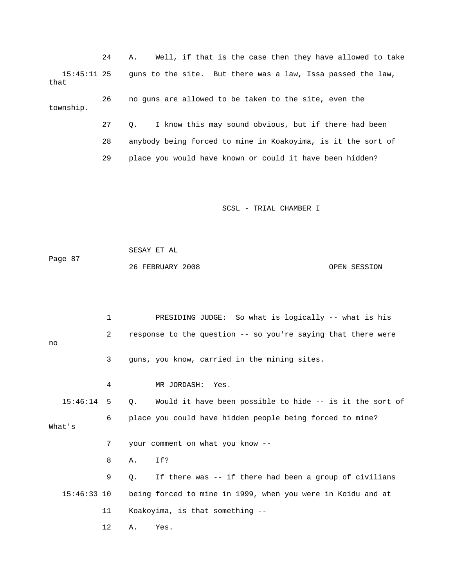24 A. Well, if that is the case then they have allowed to take 26 no guns are allowed to be taken to the site, even the township. 27 Q. I know this may sound obvious, but if there had been 28 anybody being forced to mine in Koakoyima, is it the sort of 15:45:11 25 guns to the site. But there was a law, Issa passed the law, that 29 place you would have known or could it have been hidden?

SCSL - TRIAL CHAMBER I

 SESAY ET AL Page 87 26 FEBRUARY 2008 OPEN SESSION

 3 guns, you know, carried in the mining sites. 4 MR JORDASH: Yes. 15:46:14 5 Q. Would it have been possible to hide -- is it the sort of 6 place you could have hidden people being forced to mine? What's 9 Q. If there was -- if there had been a group of civilians 15:46:33 10 being forced to mine in 1999, when you were in Koidu and at 12 A. Yes. 1 PRESIDING JUDGE: So what is logically -- what is his 2 response to the question -- so you're saying that there were no 7 your comment on what you know -- 8 A. If? 11 Koakoyima, is that something --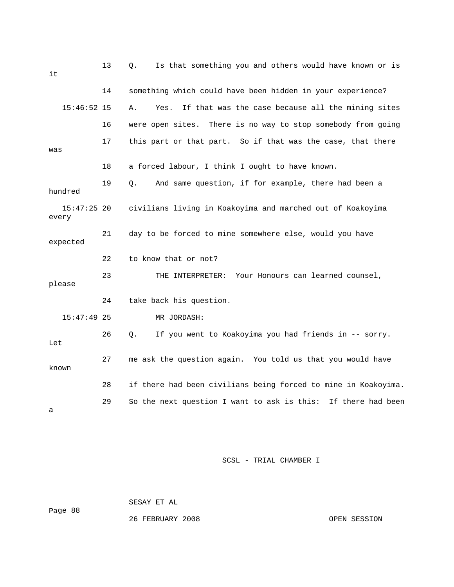13 Q. Is that something you and others would have known or is 14 something which could have been hidden in your experience? 15:46:52 15 A. Yes. If that was the case because all the mining sites 17 this part or that part. So if that was the case, that there 18 a forced labour, I think I ought to have known. 19 Q. And same question, if for example, there had been a 15:47:25 20 civilians living in Koakoyima and marched out of Koakoyima 21 day to be forced to mine somewhere else, would you have 22 to know that or not? 23 THE INTERPRETER: Your Honours can learned counsel, please 24 take back his question. 26 Q. If you went to Koakoyima you had friends in -- sorry. 27 me ask the question again. You told us that you would have 28 if there had been civilians being forced to mine in Koakoyima. 29 So the next question I want to ask is this: If there had been it 16 were open sites. There is no way to stop somebody from going was hundred every expected 15:47:49 25 MR JORDASH: Let known a

SCSL - TRIAL CHAMBER I S

Page 88

26 FEBRUARY 2008

SESAY ET AL

OPEN SESSION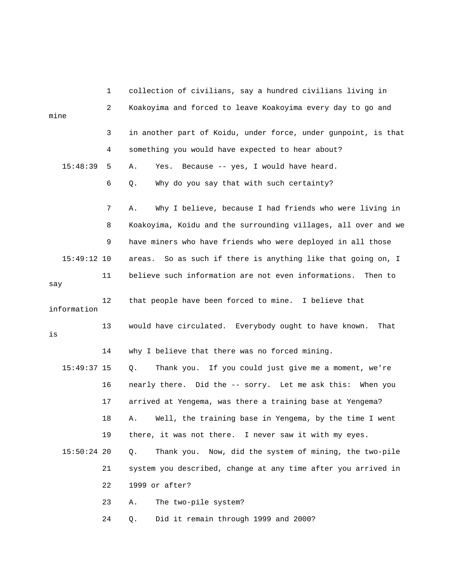|               | 1  | collection of civilians, say a hundred civilians living in      |
|---------------|----|-----------------------------------------------------------------|
| mine          | 2  | Koakoyima and forced to leave Koakoyima every day to go and     |
|               | 3  | in another part of Koidu, under force, under gunpoint, is that  |
|               | 4  | something you would have expected to hear about?                |
| 15:48:39      | 5  | Because -- yes, I would have heard.<br>Α.<br>Yes.               |
|               | 6  | Why do you say that with such certainty?<br>Q.                  |
|               | 7  | Why I believe, because I had friends who were living in<br>Α.   |
|               | 8  | Koakoyima, Koidu and the surrounding villages, all over and we  |
|               | 9  | have miners who have friends who were deployed in all those     |
| $15:49:12$ 10 |    | So as such if there is anything like that going on, I<br>areas. |
| say           | 11 | believe such information are not even informations.<br>Then to  |
| information   | 12 | that people have been forced to mine. I believe that            |
| is            | 13 | would have circulated. Everybody ought to have known.<br>That   |
|               | 14 | why I believe that there was no forced mining.                  |
| $15:49:37$ 15 |    | Thank you. If you could just give me a moment, we're<br>0.      |
|               | 16 | nearly there. Did the -- sorry. Let me ask this: When you       |
|               | 17 | arrived at Yengema, was there a training base at Yengema?       |
|               | 18 | Well, the training base in Yengema, by the time I went<br>Α.    |
|               | 19 | there, it was not there. I never saw it with my eyes.           |
| $15:50:24$ 20 |    | Thank you. Now, did the system of mining, the two-pile<br>Q.    |
|               | 21 | system you described, change at any time after you arrived in   |
|               | 22 | 1999 or after?                                                  |
|               | 23 | The two-pile system?<br>Α.                                      |
|               | 24 | Did it remain through 1999 and 2000?<br>Q.                      |
|               |    |                                                                 |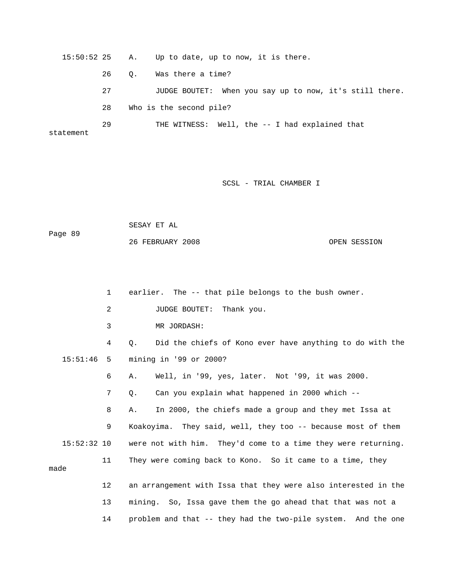15:50:52 25 A. Up to date, up to now, it is there. 26 Q. Was there a time? 27 JUDGE BOUTET: When you say up to now, it's still there. 28 Who is the second pile? 29 THE WITNESS: Well, the -- I had explained that statement

SCSL - TRIAL CHAMBER I

 SESAY ET AL OPEN SESSION Page 89 26 FEBRUARY 2008

1 earlier. The -- that pile belongs to the bush owner. 2 JUDGE BOUTET: Thank you. 3 MR JORDASH: 4 Q. Did the chiefs of Kono ever have anything to do with the 15:51:46 5 mining in '99 or 2000? 6 A. Well, in '99, yes, later. Not '99, it was 2000. 7 Q. Can you explain what happened in 2000 which -- 8 A. In 2000, the chiefs made a group and they met Issa at 9 Koakoyima. They said, well, they too -- because most of them 15:52:32 10 were not with him. They'd come to a time they were returning. 11 They were coming back to Kono. So it came to a time, they made 12 an arrangement with Issa that they were also interested in the 13 mining. So, Issa gave them the go ahead that that was not a 14 problem and that -- they had the two-pile system. And the one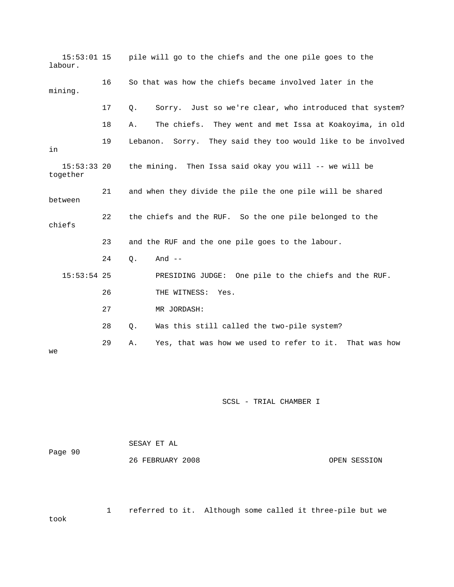15:53:01 15 pile will go to the chiefs and the one pile goes to the 17 Q. Sorry. Just so we're clear, who introduced that system? 18 A. The chiefs. They went and met Issa at Koakoyima, in old 19 Lebanon. Sorry. They said they too would like to be involved between chiefs 24 Q. And -- PRESIDING JUDGE: One pile to the chiefs and the RUF. 27 MR JORDASH: 28 Q. Was this still called the two-pile system? labour. 16 So that was how the chiefs became involved later in the mining. in 15:53:33 20 the mining. Then Issa said okay you will -- we will be together 21 and when they divide the pile the one pile will be shared 22 the chiefs and the RUF. So the one pile belonged to the 23 and the RUF and the one pile goes to the labour. 15:53:54 25 26 THE WITNESS: Yes. 29 A. Yes, that was how we used to refer to it. That was how we

SCSL - TRIAL CHAMBER I

|         | SESAY ET AL      |              |
|---------|------------------|--------------|
| Page 90 |                  |              |
|         | 26 FEBRUARY 2008 | OPEN SESSION |

1 referred to it. Although some called it three-pile but we

took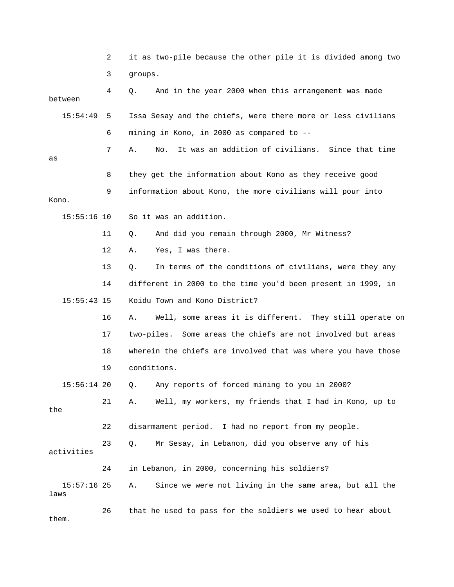|                       | 2  | it as two-pile because the other pile it is divided among two   |
|-----------------------|----|-----------------------------------------------------------------|
|                       | 3  | groups.                                                         |
| between               | 4  | And in the year 2000 when this arrangement was made<br>Q.       |
| 15:54:49              | 5  | Issa Sesay and the chiefs, were there more or less civilians    |
|                       | 6  | mining in Kono, in 2000 as compared to --                       |
| as                    | 7  | It was an addition of civilians. Since that time<br>Α.<br>No.   |
|                       | 8  | they get the information about Kono as they receive good        |
| Kono.                 | 9  | information about Kono, the more civilians will pour into       |
| $15:55:16$ 10         |    | So it was an addition.                                          |
|                       | 11 | And did you remain through 2000, Mr Witness?<br>Q.              |
|                       | 12 | Yes, I was there.<br>Α.                                         |
|                       | 13 | In terms of the conditions of civilians, were they any<br>$Q$ . |
|                       | 14 | different in 2000 to the time you'd been present in 1999, in    |
| $15:55:43$ 15         |    | Koidu Town and Kono District?                                   |
|                       | 16 | Well, some areas it is different. They still operate on<br>Α.   |
|                       | 17 | two-piles. Some areas the chiefs are not involved but areas     |
|                       | 18 | wherein the chiefs are involved that was where you have those   |
|                       | 19 | conditions.                                                     |
| 15:56:14 20           |    | Any reports of forced mining to you in 2000?<br>Q.              |
| the                   | 21 | Well, my workers, my friends that I had in Kono, up to<br>Α.    |
|                       | 22 | disarmament period. I had no report from my people.             |
| activities            | 23 | Mr Sesay, in Lebanon, did you observe any of his<br>$Q$ .       |
|                       | 24 | in Lebanon, in 2000, concerning his soldiers?                   |
| $15:57:16$ 25<br>laws |    | Since we were not living in the same area, but all the<br>Α.    |
|                       | 26 | that he used to pass for the soldiers we used to hear about     |

them.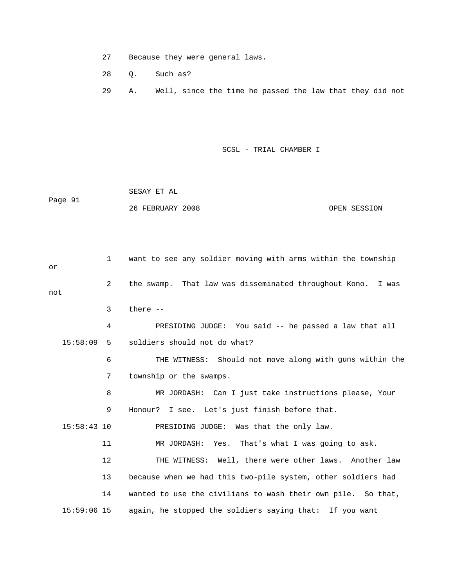- 27 Because they were general laws.
- 28 Q. Such as?
- 29 A. Well, since the time he passed the law that they did not

 26 FEBRUARY 2008 OPEN SESSION SESAY ET AL Page 91

 1 want to see any soldier moving with arms within the township 2 the swamp. That law was disseminated throughout Kono. I was 3 there -- 4 PRESIDING JUDGE: You said -- he passed a law that all 15:58:09 5 soldiers should not do what? 6 THE WITNESS: Should not move along with guns within the 7 township or the swamps. 8 MR JORDASH: Can I just take instructions please, Your 9 Honour? I see. Let's just finish before that. 15:58:43 10 PRESIDING JUDGE: Was that the only law. 11 MR JORDASH: Yes. That's what I was going to ask. 12 THE WITNESS: Well, there were other laws. Another law 13 because when we had this two-pile system, other soldiers had 15:59:06 15 again, he stopped the soldiers saying that: If you want or not 14 wanted to use the civilians to wash their own pile. So that,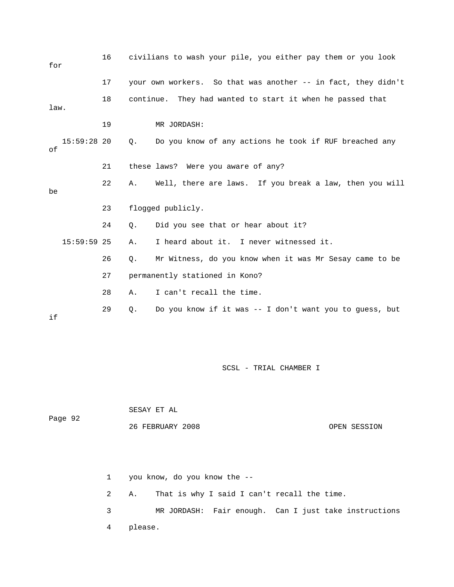| for  |               | 16 |           | civilians to wash your pile, you either pay them or you look  |
|------|---------------|----|-----------|---------------------------------------------------------------|
|      |               | 17 |           | your own workers. So that was another -- in fact, they didn't |
| law. |               | 18 |           | continue. They had wanted to start it when he passed that     |
|      |               | 19 |           | MR JORDASH:                                                   |
| оf   | $15:59:28$ 20 |    | Q.        | Do you know of any actions he took if RUF breached any        |
|      |               | 21 |           | these laws? Were you aware of any?                            |
| be   |               | 22 | Α.        | Well, there are laws. If you break a law, then you will       |
|      |               | 23 |           | flogged publicly.                                             |
|      |               | 24 | $\circ$ . | Did you see that or hear about it?                            |
|      | $15:59:59$ 25 |    | Α.        | I heard about it. I never witnessed it.                       |
|      |               | 26 | Q.        | Mr Witness, do you know when it was Mr Sesay came to be       |
|      |               | 27 |           | permanently stationed in Kono?                                |
|      |               | 28 | Α.        | I can't recall the time.                                      |
| if   |               | 29 | О.        | Do you know if it was -- I don't want you to quess, but       |

 OPEN SESSION SESAY ET AL Page 92 26 FEBRUARY 2008

> 2 A. That is why I said I can't recall the time. 3 MR JORDASH: Fair enough. Can I just take instructions 4 please. 1 you know, do you know the --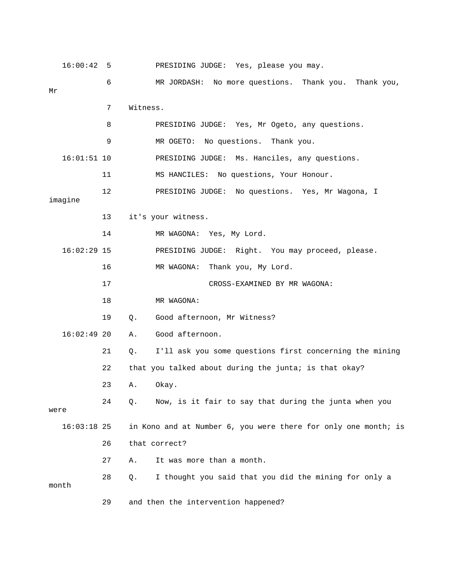| 16:00:42      | - 5 | PRESIDING JUDGE: Yes, please you may.                          |
|---------------|-----|----------------------------------------------------------------|
| Mr            | 6   | MR JORDASH: No more questions. Thank you. Thank you,           |
|               | 7   | Witness.                                                       |
|               | 8   | PRESIDING JUDGE: Yes, Mr Ogeto, any questions.                 |
|               | 9   | MR OGETO: No questions. Thank you.                             |
| $16:01:51$ 10 |     | PRESIDING JUDGE: Ms. Hanciles, any questions.                  |
|               | 11  | MS HANCILES: No questions, Your Honour.                        |
| imagine       | 12  | PRESIDING JUDGE: No questions. Yes, Mr Wagona, I               |
|               | 13  | it's your witness.                                             |
|               | 14  | MR WAGONA: Yes, My Lord.                                       |
| $16:02:29$ 15 |     | PRESIDING JUDGE: Right. You may proceed, please.               |
|               | 16  | Thank you, My Lord.<br>MR WAGONA:                              |
|               | 17  | CROSS-EXAMINED BY MR WAGONA:                                   |
|               | 18  | MR WAGONA:                                                     |
|               | 19  | Good afternoon, Mr Witness?<br>Q.                              |
| $16:02:49$ 20 |     | Good afternoon.<br>Α.                                          |
|               | 21  | I'll ask you some questions first concerning the mining<br>Q.  |
|               | 22  | that you talked about during the junta; is that okay?          |
|               | 23  | Okay.<br>Α.                                                    |
| were          | 24  | Now, is it fair to say that during the junta when you<br>Q.    |
| $16:03:18$ 25 |     | in Kono and at Number 6, you were there for only one month; is |
|               | 26  | that correct?                                                  |
|               | 27  | It was more than a month.<br>Α.                                |
| month         | 28  | I thought you said that you did the mining for only a<br>Q.    |
|               | 29  | and then the intervention happened?                            |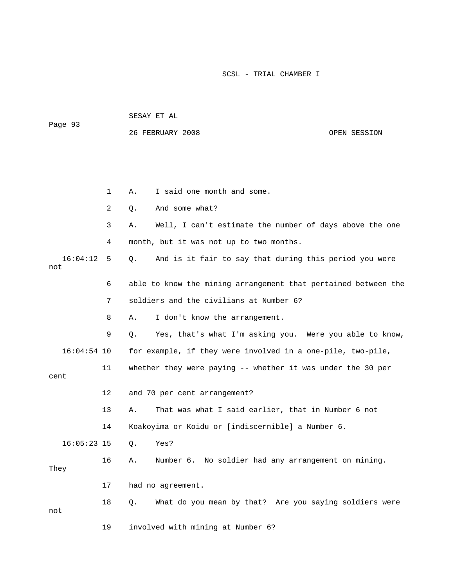| Page 93         |              | 26 FEBRUARY 2008                                               | OPEN SESSION |
|-----------------|--------------|----------------------------------------------------------------|--------------|
|                 |              |                                                                |              |
|                 | $\mathbf{1}$ | I said one month and some.<br>Α.                               |              |
|                 | 2            | And some what?<br>Q.                                           |              |
|                 | 3            | Well, I can't estimate the number of days above the one<br>Α.  |              |
|                 | 4            | month, but it was not up to two months.                        |              |
| 16:04:12<br>not | 5            | And is it fair to say that during this period you were<br>О.   |              |
|                 | 6            | able to know the mining arrangement that pertained between the |              |
|                 | 7            | soldiers and the civilians at Number 6?                        |              |
|                 | 8            | I don't know the arrangement.<br>Α.                            |              |
|                 | 9            | Yes, that's what I'm asking you. Were you able to know,<br>Q.  |              |
| $16:04:54$ 10   |              | for example, if they were involved in a one-pile, two-pile,    |              |
| cent            | 11           | whether they were paying -- whether it was under the 30 per    |              |
|                 | 12           | and 70 per cent arrangement?                                   |              |
|                 | 13           | That was what I said earlier, that in Number 6 not<br>Α.       |              |
|                 | 14           | Koakoyima or Koidu or [indiscernible] a Number 6.              |              |
| $16:05:23$ 15   |              | Q.<br>Yes?                                                     |              |
| They            | 16           | Number 6. No soldier had any arrangement on mining.<br>Α.      |              |
|                 | 17           | had no agreement.                                              |              |
| not             | 18           | What do you mean by that? Are you saying soldiers were<br>Q.   |              |
|                 | 19           | involved with mining at Number 6?                              |              |

SESAY ET AL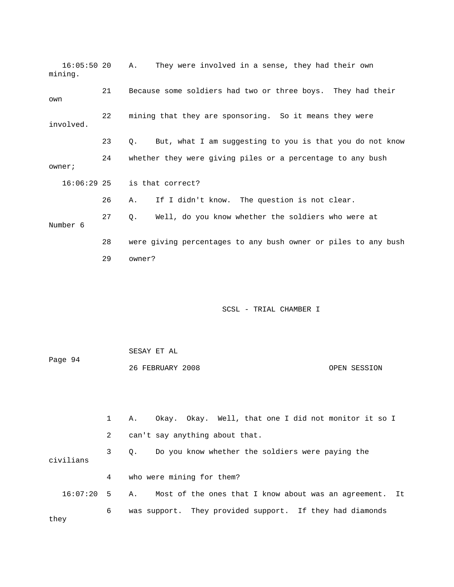| $16:05:50$ 20<br>mining. |    | They were involved in a sense, they had their own<br>Α.               |
|--------------------------|----|-----------------------------------------------------------------------|
| own                      | 21 | Because some soldiers had two or three boys. They had their           |
| involved.                | 22 | mining that they are sponsoring. So it means they were                |
|                          | 23 | But, what I am suggesting to you is that you do not know<br>$\circ$ . |
| owner;                   | 24 | whether they were giving piles or a percentage to any bush            |
| 16:06:29 25              |    | is that correct?                                                      |
|                          | 26 | If I didn't know. The question is not clear.<br>Α.                    |
| Number 6                 | 27 | Well, do you know whether the soldiers who were at<br>0.              |
|                          | 28 | were giving percentages to any bush owner or piles to any bush        |
|                          | 29 | owner?                                                                |
|                          |    |                                                                       |
|                          |    |                                                                       |
|                          |    | SCSL - TRIAL CHAMBER I                                                |

 SESAY ET AL Page 94 26 FEBRUARY 2008 OPEN SESSION

1 A. Okay. Okay. Well, that one I did not monitor it so I 3 Q. Do you know whether the soldiers were paying the 4 who were mining for them? 16:07:20 5 A. Most of the ones that I know about was an agreement. It 6 was support. They provided support. If they had diamonds they 2 can't say anything about that. civilians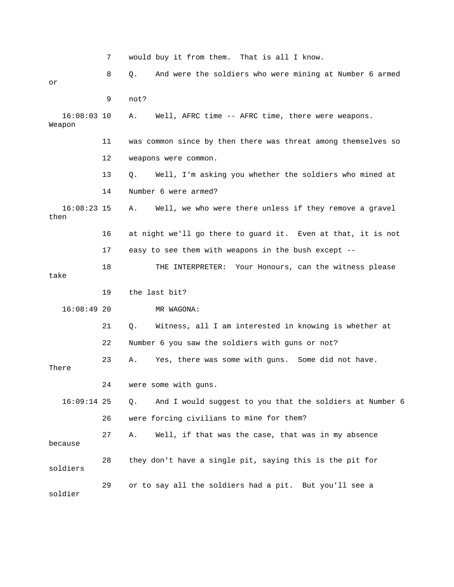7 would buy it from them. That is all I know. 8 Q. And were the soldiers who were mining at Number 6 armed 9 not? 16:08:03 10 A. Well, AFRC time -- AFRC time, there were weapons. Weapon 11 was common since by then there was threat among themselves so 13 Q. Well, I'm asking you whether the soldiers who mined at 16:08:23 15 A. Well, we who were there unless if they remove a gravel 18 THE INTERPRETER: Your Honours, can the witness please 16:08:49 20 MR WAGONA: 21 Q. Witness, all I am interested in knowing is whether at 24 were some with guns. 16:09:14 25 Q. And I would suggest to you that the soldiers at Number 6 26 were forcing civilians to mine for them? 27 A. Well, if that was the case, that was in my absence because 28 they don't have a single pit, saying this is the pit for or 12 weapons were common. 14 Number 6 were armed? then 16 at night we'll go there to guard it. Even at that, it is not 17 easy to see them with weapons in the bush except - take 19 the last bit? 22 Number 6 you saw the soldiers with guns or not? 23 A. Yes, there was some with guns. Some did not have. There soldiers 29 or to say all the soldiers had a pit. But you'll see a soldier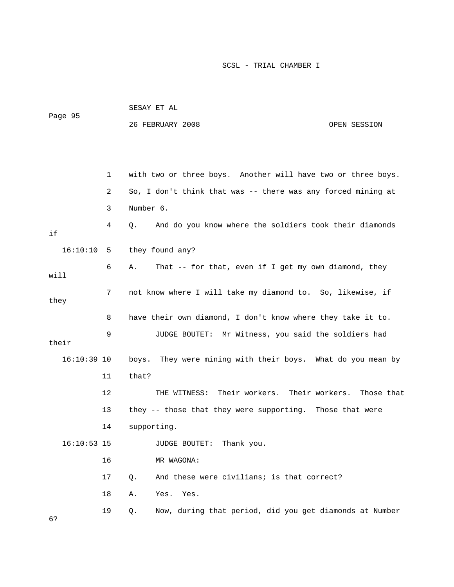| Page 95 | SESAY ET AL      |              |
|---------|------------------|--------------|
|         | 26 FEBRUARY 2008 | OPEN SESSION |

|               | 1  | with two or three boys. Another will have two or three boys.  |
|---------------|----|---------------------------------------------------------------|
|               | 2  | So, I don't think that was -- there was any forced mining at  |
|               | 3  | Number 6.                                                     |
| if            | 4  | And do you know where the soldiers took their diamonds<br>Q.  |
| 16:10:10      | 5  | they found any?                                               |
| will          | 6  | That -- for that, even if I get my own diamond, they<br>Α.    |
| they          | 7  | not know where I will take my diamond to. So, likewise, if    |
|               | 8  | have their own diamond, I don't know where they take it to.   |
| their         | 9  | JUDGE BOUTET: Mr Witness, you said the soldiers had           |
| $16:10:39$ 10 |    | boys. They were mining with their boys. What do you mean by   |
|               | 11 | that?                                                         |
|               | 12 | THE WITNESS: Their workers.<br>Their workers.<br>Those that   |
|               | 13 | they -- those that they were supporting. Those that were      |
|               | 14 | supporting.                                                   |
| $16:10:53$ 15 |    | JUDGE BOUTET: Thank you.                                      |
|               | 16 | MR WAGONA:                                                    |
|               | 17 | And these were civilians; is that correct?<br>О.              |
|               | 18 | Α.<br>Yes. Yes.                                               |
| 6?            | 19 | Now, during that period, did you get diamonds at Number<br>Q. |
|               |    |                                                               |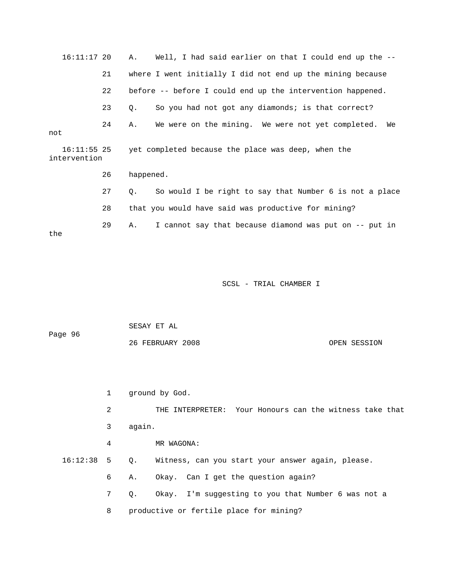16:11:17 20 A. Well, I had said earlier on that I could end up the -- 21 where I went initially I did not end up the mining because 22 before -- before I could end up the intervention happened. 23 Q. So you had not got any diamonds; is that correct? 24 A. We were on the mining. We were not yet completed. We intervention 27 Q. So would I be right to say that Number 6 is not a place 28 that you would have said was productive for mining? 29 A. I cannot say that because diamond was put on -- put in the not 16:11:55 25 yet completed because the place was deep, when the 26 happened.

SCSL - TRIAL CHAMBER I

|         | SESAY ET AL      |              |
|---------|------------------|--------------|
| Page 96 |                  |              |
|         | 26 FEBRUARY 2008 | OPEN SESSION |

1 ground by God.

 2 THE INTERPRETER: Your Honours can the witness take that 3 again.

4 MR WAGONA:

Q. Witness, can you start your answer again, please.  $16:12:38$  5

- 6 A. Okay. Can I get the question again?
- 7 Q. Okay. I'm suggesting to you that Number 6 was not a
- 8 productive or fertile place for mining?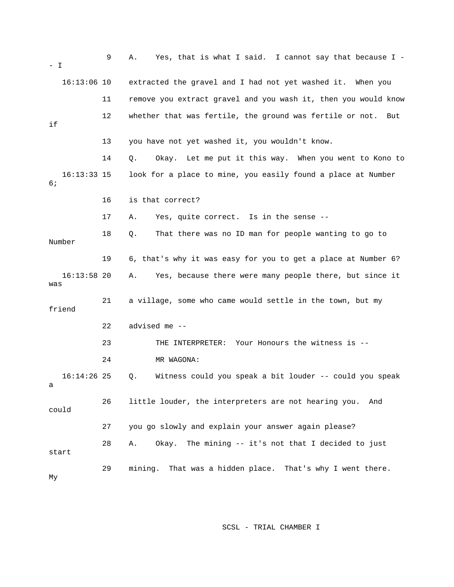| $-$ I                | 9  | Yes, that is what I said. I cannot say that because I -<br>Α.   |
|----------------------|----|-----------------------------------------------------------------|
| $16:13:06$ 10        |    | extracted the gravel and I had not yet washed it. When you      |
|                      | 11 | remove you extract gravel and you wash it, then you would know  |
| if                   | 12 | whether that was fertile, the ground was fertile or not.<br>But |
|                      | 13 | you have not yet washed it, you wouldn't know.                  |
|                      | 14 | Okay. Let me put it this way. When you went to Kono to<br>Q.    |
| $16:13:33$ 15<br>6 ; |    | look for a place to mine, you easily found a place at Number    |
|                      | 16 | is that correct?                                                |
|                      | 17 | Yes, quite correct. Is in the sense --<br>Α.                    |
| Number               | 18 | That there was no ID man for people wanting to go to<br>Q.      |
|                      | 19 | 6, that's why it was easy for you to get a place at Number 6?   |
| $16:13:58$ 20<br>was |    | Yes, because there were many people there, but since it<br>Α.   |
| friend               | 21 | a village, some who came would settle in the town, but my       |
|                      | 22 | advised me --                                                   |
|                      | 23 | THE INTERPRETER: Your Honours the witness is --                 |
|                      | 24 | MR WAGONA:                                                      |
| $16:14:26$ 25        |    | Witness could you speak a bit louder -- could you speak<br>Q.   |
| could                | 26 | little louder, the interpreters are not hearing you.<br>And     |
|                      | 27 | you go slowly and explain your answer again please?             |
| start                | 28 | Okay. The mining -- it's not that I decided to just<br>Α.       |
| Мy                   | 29 | mining. That was a hidden place. That's why I went there.       |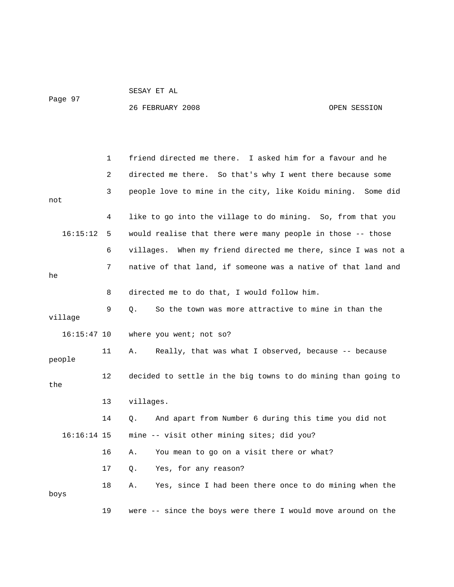Page 97

SESAY ET AL

26 FEBRUARY 2008 OPEN SESSION

|               | $\mathbf 1$ | friend directed me there. I asked him for a favour and he     |
|---------------|-------------|---------------------------------------------------------------|
|               | 2           | directed me there. So that's why I went there because some    |
| not           | 3           | people love to mine in the city, like Koidu mining. Some did  |
|               | 4           | like to go into the village to do mining. So, from that you   |
| 16:15:12      | 5           | would realise that there were many people in those -- those   |
|               | 6           | villages. When my friend directed me there, since I was not a |
| he            | 7           | native of that land, if someone was a native of that land and |
|               | 8           | directed me to do that, I would follow him.                   |
| village       | 9           | Q.<br>So the town was more attractive to mine in than the     |
| $16:15:47$ 10 |             | where you went; not so?                                       |
| people        | 11          | Really, that was what I observed, because -- because<br>Α.    |
| the           | 12          | decided to settle in the big towns to do mining than going to |
|               | 13          | villages.                                                     |
|               | 14          | And apart from Number 6 during this time you did not<br>О.    |
| $16:16:14$ 15 |             | mine -- visit other mining sites; did you?                    |
|               | 16          | You mean to go on a visit there or what?<br>Α.                |
|               | 17          | Yes, for any reason?<br>Q.                                    |
| boys          | 18          | Yes, since I had been there once to do mining when the<br>Α.  |
|               | 19          | were -- since the boys were there I would move around on the  |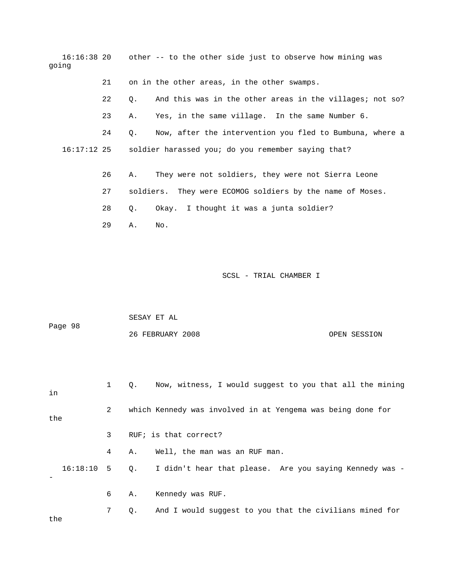16:16:38 20 other -- to the other side just to observe how mining was going 21 on in the other areas, in the other swamps. 22 Q. And this was in the other areas in the villages; not so? 24 Q. Now, after the intervention you fled to Bumbuna, where a soldier harassed you; do you remember saying that? 26 A. They were not soldiers, they were not Sierra Leone 27 soldiers. They were ECOMOG soldiers by the name of Moses. 28 Q. Okay. I thought it was a junta soldier? 29 A. No. 23 A. Yes, in the same village. In the same Number 6.  $16:17:12$  25

SCSL - TRIAL CHAMBER I

| Page 98      |                |                                                             | 26 FEBRUARY 2008                                         | OPEN SESSION |  |  |
|--------------|----------------|-------------------------------------------------------------|----------------------------------------------------------|--------------|--|--|
| in           | $\mathbf{1}$   | $Q_{\star}$                                                 | Now, witness, I would suggest to you that all the mining |              |  |  |
| the          | $\overline{2}$ | which Kennedy was involved in at Yengema was being done for |                                                          |              |  |  |
|              | 3              |                                                             | RUF; is that correct?                                    |              |  |  |
|              | 4              | Α.                                                          | Well, the man was an RUF man.                            |              |  |  |
| $16:18:10$ 5 |                | $Q_{\star}$                                                 | I didn't hear that please. Are you saying Kennedy was -  |              |  |  |
|              | 6              | Α.                                                          | Kennedy was RUF.                                         |              |  |  |
| the          | 7              | Q.                                                          | And I would suggest to you that the civilians mined for  |              |  |  |

SESAY ET AL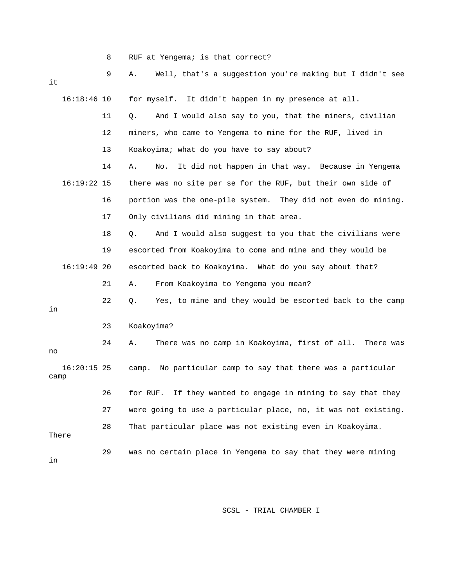|  | RUF at Yengema; is that correct? |  |  |
|--|----------------------------------|--|--|
|  |                                  |  |  |

| it   |               | 9  | Well, that's a suggestion you're making but I didn't see<br>Α.   |
|------|---------------|----|------------------------------------------------------------------|
|      | $16:18:46$ 10 |    | for myself. It didn't happen in my presence at all.              |
|      |               | 11 | And I would also say to you, that the miners, civilian<br>Q.     |
|      |               | 12 | miners, who came to Yengema to mine for the RUF, lived in        |
|      |               | 13 | Koakoyima; what do you have to say about?                        |
|      |               | 14 | It did not happen in that way. Because in Yengema<br>Α.<br>No.   |
|      | $16:19:22$ 15 |    | there was no site per se for the RUF, but their own side of      |
|      |               | 16 | portion was the one-pile system. They did not even do mining.    |
|      |               | 17 | Only civilians did mining in that area.                          |
|      |               | 18 | And I would also suggest to you that the civilians were<br>Q.    |
|      |               | 19 | escorted from Koakoyima to come and mine and they would be       |
|      | 16:19:4920    |    | escorted back to Koakoyima. What do you say about that?          |
|      |               | 21 | From Koakoyima to Yengema you mean?<br>Α.                        |
| in   |               | 22 | Yes, to mine and they would be escorted back to the camp<br>Q.   |
|      |               | 23 | Koakoyima?                                                       |
| no   |               | 24 | There was no camp in Koakoyima, first of all.<br>There was<br>Α. |
| camp | $16:20:15$ 25 |    | No particular camp to say that there was a particular<br>camp.   |
|      |               | 26 | If they wanted to engage in mining to say that they<br>for RUF.  |
|      |               | 27 | were going to use a particular place, no, it was not existing.   |
|      | There         | 28 | That particular place was not existing even in Koakoyima.        |
| in   |               | 29 | was no certain place in Yengema to say that they were mining     |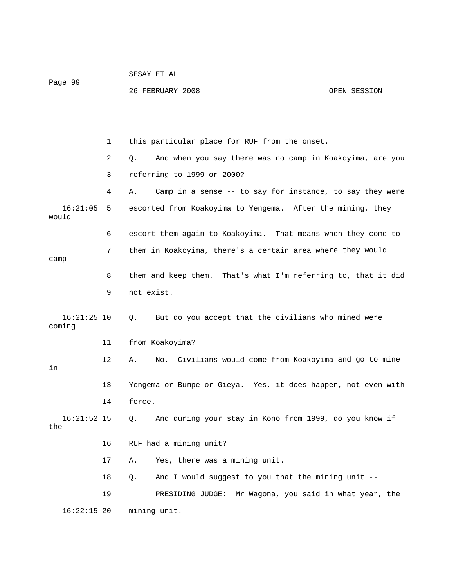| Page 99                 |    | 26 FEBRUARY 2008                                               | OPEN SESSION |
|-------------------------|----|----------------------------------------------------------------|--------------|
|                         |    |                                                                |              |
|                         | 1  | this particular place for RUF from the onset.                  |              |
|                         | 2  | And when you say there was no camp in Koakoyima, are you<br>Q. |              |
|                         | 3  | referring to 1999 or 2000?                                     |              |
|                         | 4  | Camp in a sense -- to say for instance, to say they were<br>Α. |              |
| 16:21:05<br>would       | 5  | escorted from Koakoyima to Yengema. After the mining, they     |              |
|                         | 6  | escort them again to Koakoyima. That means when they come to   |              |
| camp                    | 7  | them in Koakoyima, there's a certain area where they would     |              |
|                         | 8  | them and keep them. That's what I'm referring to, that it did  |              |
|                         | 9  | not exist.                                                     |              |
| $16:21:25$ 10<br>coming |    | But do you accept that the civilians who mined were<br>Q.      |              |
|                         | 11 | from Koakoyima?                                                |              |
| in                      | 12 | No. Civilians would come from Koakoyima and go to mine<br>Α.   |              |
|                         | 13 | Yengema or Bumpe or Gieya. Yes, it does happen, not even with  |              |
|                         | 14 | force.                                                         |              |
| $16:21:52$ 15<br>the    |    | And during your stay in Kono from 1999, do you know if<br>Q.   |              |
|                         | 16 | RUF had a mining unit?                                         |              |
|                         | 17 | Yes, there was a mining unit.<br>Α.                            |              |
|                         | 18 | And I would suggest to you that the mining unit --<br>Q.       |              |
|                         | 19 | PRESIDING JUDGE:<br>Mr Wagona, you said in what year, the      |              |
| $16:22:15$ 20           |    | mining unit.                                                   |              |

SESAY ET AL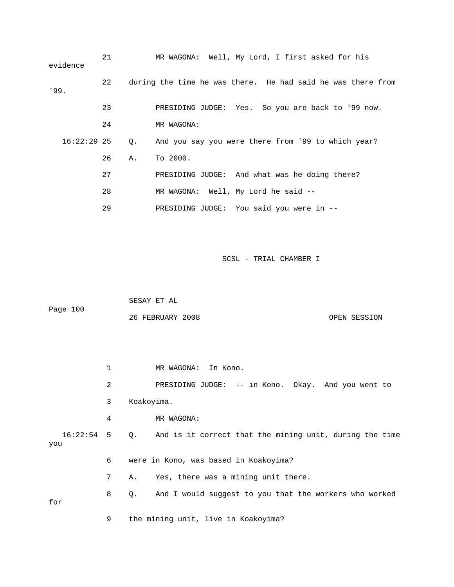| evidence      | 21 |    | MR WAGONA: Well, My Lord, I first asked for his             |
|---------------|----|----|-------------------------------------------------------------|
| '99.          | 22 |    | during the time he was there. He had said he was there from |
|               | 23 |    | PRESIDING JUDGE: Yes. So you are back to '99 now.           |
|               | 24 |    | MR WAGONA:                                                  |
| $16:22:29$ 25 |    | Q. | And you say you were there from '99 to which year?          |
|               | 26 | Α. | To 2000.                                                    |
|               | 27 |    | PRESIDING JUDGE: And what was he doing there?               |
|               | 28 |    | MR WAGONA: Well, My Lord he said --                         |
|               | 29 |    | PRESIDING JUDGE: You said you were in --                    |

| Page 100 | SESAY ET AL      |              |
|----------|------------------|--------------|
|          | 26 FEBRUARY 2008 | OPEN SESSION |

1 MR WAGONA: In Kono. nt to 2 PRESIDING JUDGE: -- in Kono. Okay. And you we 16:22:54 5 Q. And is it correct that the mining unit, during the time you 6 were in Kono, was based in Koakoyima? 7 A. Yes, there was a mining unit there. 8 Q. And I would suggest to you that the workers who worked 3 Koakoyima. 4 MR WAGONA: for 9 the mining unit, live in Koakoyima?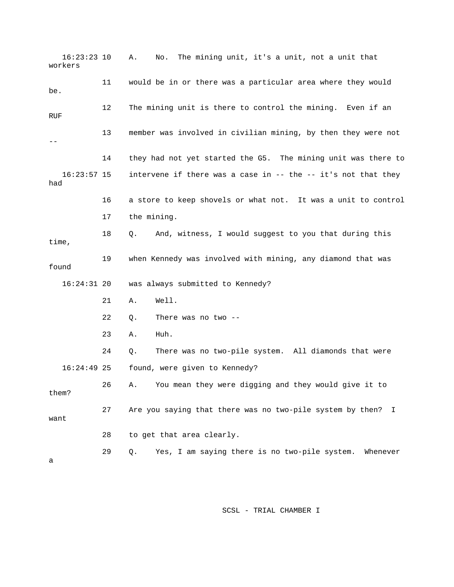16:23:23 10 A. No. The mining unit, it's a unit, not a unit that workers 11 would be in or there was a particular area where they would 12 The mining unit is there to control the mining. Even if an 13 member was involved in civilian mining, by then they were not 14 they had not yet started the G5. The mining unit was there to intervene if there was a case in  $-$ - the  $-$  it's not that they had 16 a store to keep shovels or what not. It was a unit to control 18 Q. And, witness, I would suggest to you that during this 19 when Kennedy was involved with mining, any diamond that was 16:24:31 20 was always submitted to Kennedy? 21 A. Well. 23 A. Huh. 24 Q. There was no two-pile system. All diamonds that were 28 to get that area clearly. 29 Q. Yes, I am saying there is no two-pile system. Whenever be. **RUF** --  $16:23:57$  15 17 the mining. time, found 22 Q. There was no two -- 16:24:49 25 found, were given to Kennedy? 26 A. You mean they were digging and they would give it to them? 27 Are you saying that there was no two-pile system by then? I want a

SCSL - TRIAL CHAMBER I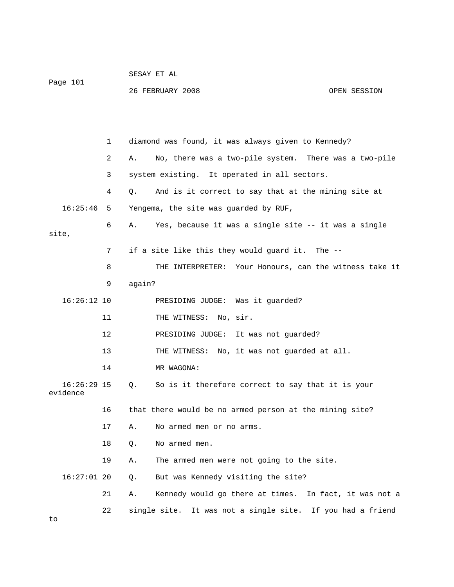| Page 101 | SESAY ET AL      |              |
|----------|------------------|--------------|
|          | 26 FEBRUARY 2008 | OPEN SESSION |

 2 A. No, there was a two-pile system. There was a two-pile 3 system existing. It operated in all sectors. 16:25:46 5 Yengema, the site was guarded by RUF, 6 A. Yes, because it was a single site -- it was a single site, 7 if a site like this they would guard it. The -- 8 THE INTERPRETER: Your Honours, can the witness take it 9 again? PRESIDING JUDGE: Was it guarded? 12 PRESIDING JUDGE: It was not guarded? 13 THE WITNESS: No, it was not guarded at all. 16:26:29 15 Q. So is it therefore correct to say that it is your 19 A. The armed men were not going to the site. 16:27:01 20 Q. But was Kennedy visiting the site? 22 single site. It was not a single site. If you had a friend 1 diamond was found, it was always given to Kennedy? 4 Q. And is it correct to say that at the mining site at 16:26:1 11 THE WITNESS: No, sir. 14 MR WAGONA: evidence 16 that there would be no armed person at the mining site? 17 A. No armed men or no arms. 18 O. No armed men. 21 A. Kennedy would go there at times. In fact, it was not a to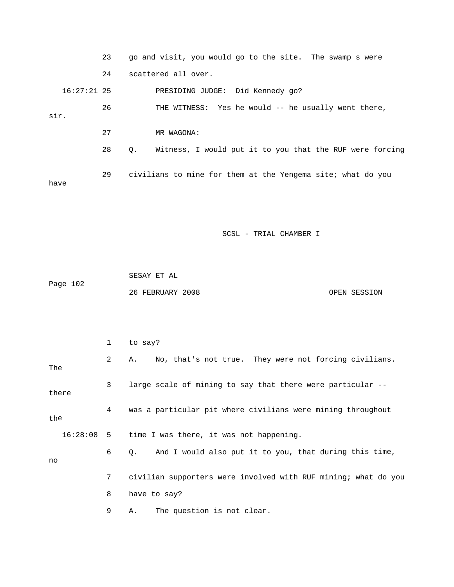|      |               | 23 |    | go and visit, you would go to the site. The swamp s were    |
|------|---------------|----|----|-------------------------------------------------------------|
|      |               | 24 |    | scattered all over.                                         |
|      | $16:27:21$ 25 |    |    | PRESIDING JUDGE: Did Kennedy 90?                            |
| sir. |               | 26 |    | THE WITNESS: Yes he would -- he usually went there,         |
|      |               | 27 |    | MR WAGONA:                                                  |
|      |               | 28 | Q. | Witness, I would put it to you that the RUF were forcing    |
| have |               | 29 |    | civilians to mine for them at the Yengema site; what do you |
|      |               |    |    |                                                             |

|          | SESAY ET AL      |              |
|----------|------------------|--------------|
| Page 102 |                  |              |
|          | 26 FEBRUARY 2008 | OPEN SESSION |

|       | 1            | to say?                                                        |
|-------|--------------|----------------------------------------------------------------|
| The   | 2            | No, that's not true. They were not forcing civilians.<br>A.,   |
| there | $\mathbf{3}$ | large scale of mining to say that there were particular --     |
| the   | 4            | was a particular pit where civilians were mining throughout    |
|       |              | 16:28:08 5 time I was there, it was not happening.             |
| no    | 6            | And I would also put it to you, that during this time,<br>Q.   |
|       | 7            | civilian supporters were involved with RUF mining; what do you |
|       | 8            | have to say?                                                   |
|       | 9            | The question is not clear.<br>Α.                               |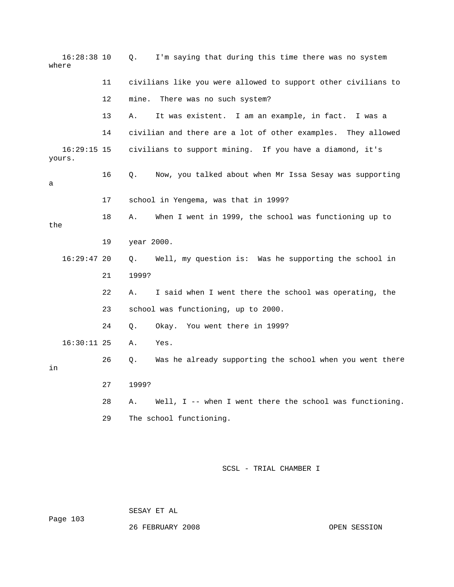16:28:38 10 Q. I'm saying that during this time there was no system where like you were allowed to support other civilians to 11 civilians 14 civilian and there are a lot of other examples. They allowed . yours 16 Q. Now, you talked about when Mr Issa Sesay was supporting 17 school in Yengema, was that in 1999? the 16:29:47 20 Q. Well, my question is: Was he supporting the school in 21 1999? . 23 school was functioning, up to 2000 26 Q. Was he already supporting the school when you went there 28 A. Well, I -- when I went there the school was functioning. 12 mine. There was no such system? 13 A. It was existent. I am an example, in fact. I was a 16:29:15 15 civilians to support mining. If you have a diamond, it's a 18 A. When I went in 1999, the school was functioning up to 19 year 2000. 22 A. I said when I went there the school was operating, the 24 Q. Okay. You went there in 1999? 16:30:11 25 A. Yes. in 27 1999? 29 The school functioning.

SCSL - TRIAL CHAMBER I

SESAY ET AL

Page 103

26 FEBRUARY 2008 OPEN SESSION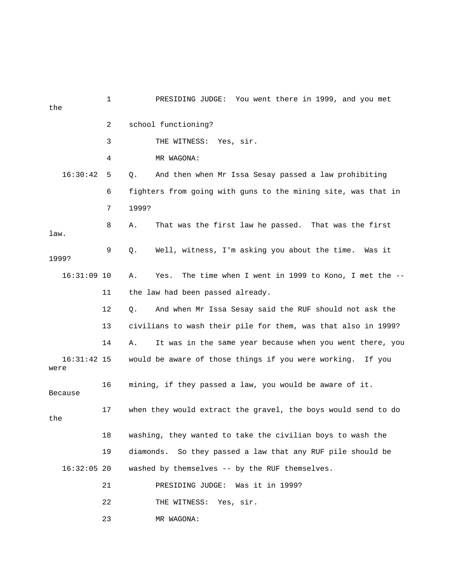| the                   | $\mathbf 1$ | PRESIDING JUDGE: You went there in 1999, and you met             |
|-----------------------|-------------|------------------------------------------------------------------|
|                       | 2           | school functioning?                                              |
|                       | 3           | THE WITNESS:<br>Yes, sir.                                        |
|                       | 4           | MR WAGONA:                                                       |
| 16:30:42              | 5           | $Q$ .<br>And then when Mr Issa Sesay passed a law prohibiting    |
|                       | 6           | fighters from going with guns to the mining site, was that in    |
|                       | 7           | 1999?                                                            |
| law.                  | 8           | That was the first law he passed. That was the first<br>Α.       |
| 1999?                 | 9           | Well, witness, I'm asking you about the time. Was it<br>Q.       |
| $16:31:09$ 10         |             | The time when I went in 1999 to Kono, I met the --<br>Α.<br>Yes. |
|                       | 11          | the law had been passed already.                                 |
|                       | 12          | Q.<br>And when Mr Issa Sesay said the RUF should not ask the     |
|                       | 13          | civilians to wash their pile for them, was that also in 1999?    |
|                       | 14          | It was in the same year because when you went there, you<br>Α.   |
| $16:31:42$ 15<br>were |             | would be aware of those things if you were working. If you       |
| <b>Because</b>        | 16          | mining, if they passed a law, you would be aware of it.          |
| the                   | 17          | when they would extract the gravel, the boys would send to do    |
|                       | 18          | washing, they wanted to take the civilian boys to wash the       |
|                       | 19          | diamonds.<br>So they passed a law that any RUF pile should be    |
| $16:32:05$ 20         |             | washed by themselves -- by the RUF themselves.                   |
|                       | 21          | PRESIDING JUDGE:<br>Was it in 1999?                              |
|                       | 22          | THE WITNESS:<br>Yes, sir.                                        |
|                       | 23          | MR WAGONA:                                                       |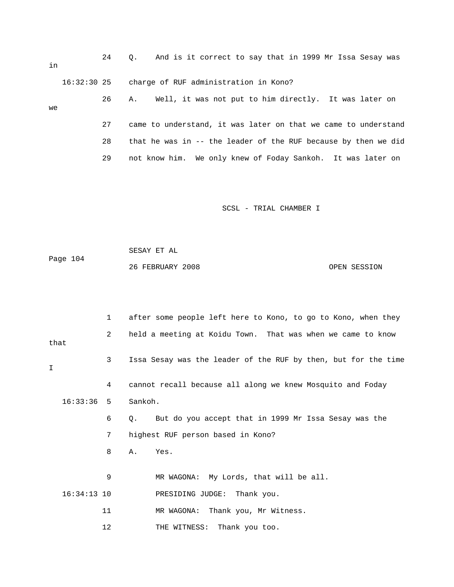| in |             | $\Omega$ . |  | And is it correct to say that in 1999 Mr Issa Sesay was     |  |  |  |  |  |
|----|-------------|------------|--|-------------------------------------------------------------|--|--|--|--|--|
|    | 16:32:30 25 |            |  | charge of RUF administration in Kono?                       |  |  |  |  |  |
|    |             |            |  | 26 A. Well, it was not put to him directly. It was later on |  |  |  |  |  |

| we |    |                                                                |
|----|----|----------------------------------------------------------------|
|    |    | came to understand, it was later on that we came to understand |
|    | 28 | that he was in -- the leader of the RUF because by then we did |
|    | 29 | not know him. We only knew of Foday Sankoh. It was later on    |

Page 104 SESAY ET AL 26 FEBRUARY 2008 OPEN SESSION

 2 held a meeting at Koidu Town. That was when we came to know 4 cannot recall because all along we knew Mosquito and Foday 16:33:36 5 Sankoh. 6 Q. But do you accept that in 1999 Mr Issa Sesay was the 7 highest RUF person based in Kono? 8 A. Yes. 9 MR WAGONA: My Lords, that will be all. 11 MR WAGONA: Thank you, Mr Witness. 12 THE WITNESS: Thank you too. 1 after some people left here to Kono, to go to Kono, when they that 3 Issa Sesay was the leader of the RUF by then, but for the time I 16:34:13 10 PRESIDING JUDGE: Thank you.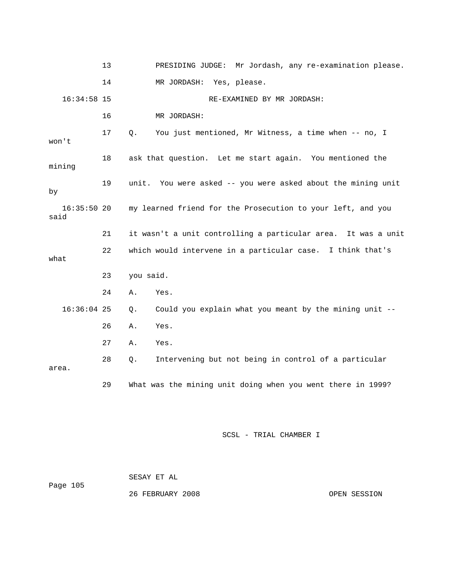|                       | 13 |           | PRESIDING JUDGE: Mr Jordash, any re-examination please.       |
|-----------------------|----|-----------|---------------------------------------------------------------|
|                       | 14 |           | MR JORDASH: Yes, please.                                      |
| $16:34:58$ 15         |    |           | RE-EXAMINED BY MR JORDASH:                                    |
|                       | 16 |           | MR JORDASH:                                                   |
| won't                 | 17 | Q.        | You just mentioned, Mr Witness, a time when -- no, I          |
| mining                | 18 |           | ask that question. Let me start again. You mentioned the      |
| by                    | 19 |           | unit. You were asked -- you were asked about the mining unit  |
| $16:35:50$ 20<br>said |    |           | my learned friend for the Prosecution to your left, and you   |
|                       | 21 |           | it wasn't a unit controlling a particular area. It was a unit |
| what                  | 22 |           | which would intervene in a particular case. I think that's    |
|                       | 23 | you said. |                                                               |
|                       | 24 | Α.        | Yes.                                                          |
| $16:36:04$ 25         |    |           |                                                               |
|                       |    | $\circ$ . | Could you explain what you meant by the mining unit --        |
|                       | 26 | Α.        | Yes.                                                          |
|                       | 27 | Α.        | Yes.                                                          |
| area.                 | 28 | Q.        | Intervening but not being in control of a particular          |

|          | SESAY ET AL      |      |
|----------|------------------|------|
| Page 105 |                  |      |
|          | 26 FEBRUARY 2008 | OPEN |

EN SESSION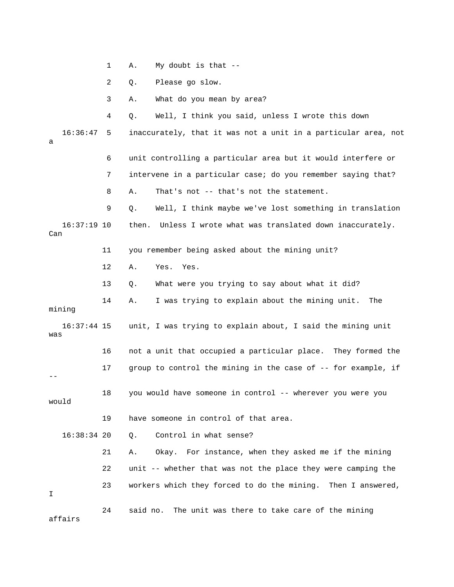1 A. My doubt is that --

2 Q. Please go slow.

3 A. What do you mean by area?

 16:36:47 5 inaccurately, that it was not a unit in a particular area, not 6 unit controlling a particular area but it would interfere or 7 intervene in a particular case; do you remember saying that? 8 A. That's not -- that's not the statement. 9 Q. Well, I think maybe we've lost something in translation 11 you remember being asked about the mining unit? 12 A. Yes. Yes. 13 Q. What were you trying to say about what it did? 14 A. I was trying to explain about the mining unit. The 16:37:44 15 unit, I was trying to explain about, I said the mining unit was 16 not a unit that occupied a particular place. They formed the 22 unit -- whether that was not the place they were camping the 23 workers which they forced to do the mining. Then I answered, 24 said no. The unit was there to take care of the mining 4 Q. Well, I think you said, unless I wrote this down a 16:37:19 10 then. Unless I wrote what was translated down inaccurately. Can mining 17 group to control the mining in the case of -- for example, if -- 18 you would have someone in control -- wherever you were you would 19 have someone in control of that area. 16:38:34 20 Q. Control in what sense? 21 A. Okay. For instance, when they asked me if the mining I affairs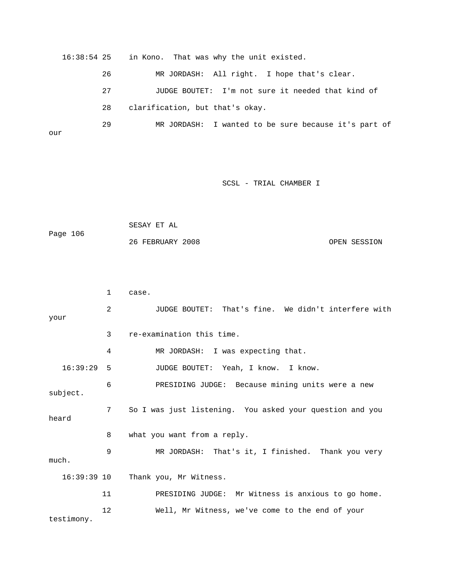16:38:54 25 in Kono. That was why the unit existed. 26 MR JORDASH: All right. I hope that's clear. 27 JUDGE BOUTET: I'm not sure it needed that kind of 28 clarification, but that's okay. 29 MR JORDASH: I wanted to be sure because it's part of our

SCSL - TRIAL CHAMBER I

```
Page 106
 SESAY ET AL 
 26 FEBRUARY 2008 OPEN SESSION
```
2 JUDGE BOUTET: That's fine. We didn't interfere with 3 re-examination this time. 4 MR JORDASH: I was expecting that. 6 PRESIDING JUDGE: Because mining units were a new subject. 7 So I was just listening. You asked your question and you 8 what you want from a reply. 9 MR JORDASH: That's it, I finished. Thank you very 11 PRESIDING JUDGE: Mr Witness is anxious to go home. 12 Well, Mr Witness, we've come to the end of your testimony. 1 case. your 16:39:29 5 JUDGE BOUTET: Yeah, I know. I know. heard much. 16:39:39 10 Thank you, Mr Witness.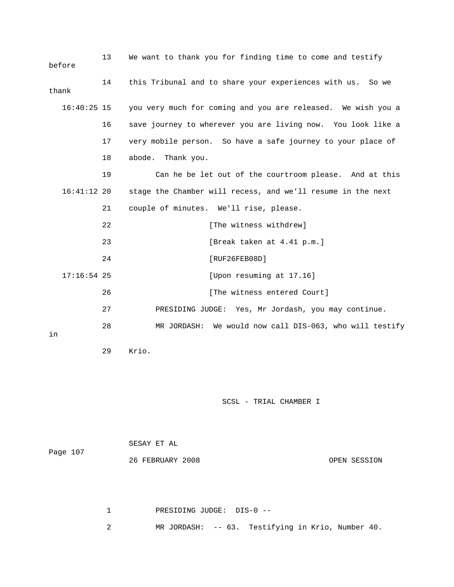| before | 13            | We want to thank you for finding time to come and testify    |
|--------|---------------|--------------------------------------------------------------|
| thank  | 14            | this Tribunal and to share your experiences with us. So we   |
|        | $16:40:25$ 15 | you very much for coming and you are released. We wish you a |
|        | 16            | save journey to wherever you are living now. You look like a |
|        | 17            | very mobile person. So have a safe journey to your place of  |
|        | 18            | abode. Thank you.                                            |
|        | 19            | Can he be let out of the courtroom please. And at this       |
|        | $16:41:12$ 20 | stage the Chamber will recess, and we'll resume in the next  |
|        | 21            | couple of minutes. We'll rise, please.                       |
|        | 22            | [The witness withdrew]                                       |
|        | 23            | [Break taken at 4.41 p.m.]                                   |
|        | 24            | [RUF26FEB08D]                                                |
|        | $17:16:54$ 25 | [Upon resuming at 17.16]                                     |
|        | 26            | [The witness entered Court]                                  |
|        | 27            | PRESIDING JUDGE: Yes, Mr Jordash, you may continue.          |
| in     | 28            | We would now call DIS-063, who will testify<br>MR JORDASH:   |

```
 29 Krio.
```

| Page 107 | SESAY ET AL      |              |
|----------|------------------|--------------|
|          | 26 FEBRUARY 2008 | OPEN SESSION |

 1 PRESIDING JUDGE: DIS-0 -- 2 MR JORDASH: -- 63. Testifying in Krio, Number 40.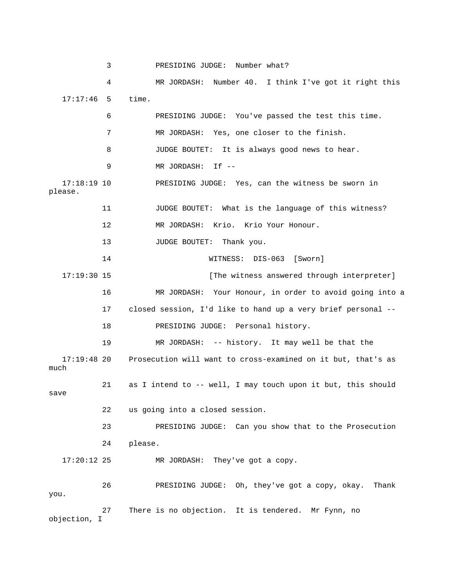3 PRESIDING JUDGE: Number what? 4 MR JORDASH: Number 40. I think I've got it right this 17:17:46 5 time. RESIDING JUDGE: You've passed the test this time. 7 MR JORDASH: Yes, one closer to the finish. 8 JUDGE BOUTET: It is always good news to hear. 17:18:19 10 PRESIDING JUDGE: Yes, can the witness be sworn in please. 13 JUDGE BOUTET: Thank you. 14 WITNESS: DIS-063 [Sworn] 17:19:30 15 **Interpreter** [The witness answered through interpreter] 16 MR JORDASH: Your Honour, in order to avoid going into a 17 closed session, I'd like to hand up a very brief personal --MR JORDASH: -- history. It may well be that the 17:19:48 20 Prosecution will want to cross-examined on it but, that's as 21 as I intend to -- well, I may touch upon it but, this should 22 us going into a closed session. 23 PRESIDING JUDGE: Can you show that to the Prosecution 24 please. 17:20:12 25 MR JORDASH: They've got a copy. ve got a copy, okay. Thank 26 PRESIDING JUDGE: Oh, they' 27 There is no objection. It is tendered. Mr Fynn, no 6 P 9 MR JORDASH: If -- 11 JUDGE BOUTET: What is the language of this witness? 12 MR JORDASH: Krio. Krio Your Honour. 18 PRESIDING JUDGE: Personal history. 19 M much save you. objection, I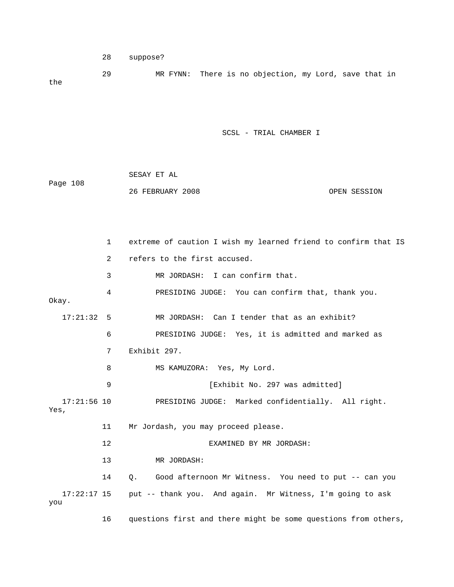```
 28 suppose?
```
 29 MR FYNN: There is no objection, my Lord, save that in the

SCSL - TRIAL CHAMBER I

| Page 108 | SESAY ET AL      |              |
|----------|------------------|--------------|
|          | 26 FEBRUARY 2008 | OPEN SESSION |

1 extreme of caution I wish my learned friend to confirm that IS 2 refers to the first accused. 4 PRESIDING JUDGE: You can confirm that, thank you. 6 PRESIDING JUDGE: Yes, it is admitted and marked as 7 Exhibit 297. 8 MS KAMUZORA: Yes, My Lord. 9 **Exhibit No. 297 was admitted**] 17:21:56 10 PRESIDING JUDGE: Marked confidentially. All right. Yes, 11 Mr Jordash, you may proceed please. 13 MR JORDASH: 14 Q. Good afternoon Mr Witness. You need to put -- can you 3 MR JORDASH: I can confirm that. Okay. 17:21:32 5 MR JORDASH: Can I tender that as an exhibit? 12 EXAMINED BY MR JORDASH: 17:22:17 15 put -- thank you. And again. Mr Witness, I'm going to ask you

16 questions first and there might be some questions from others,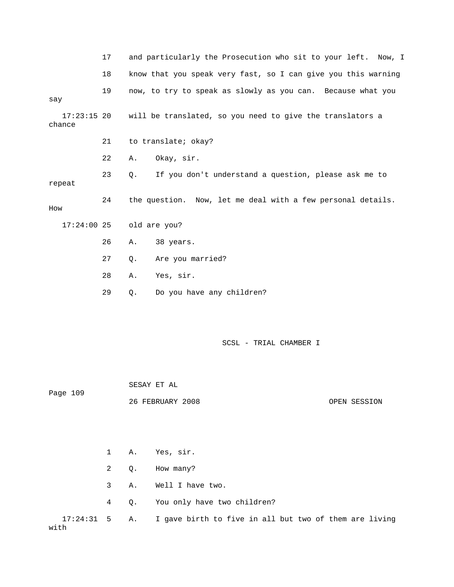|                         | 17 | and particularly the Prosecution who sit to your left. Now, I     |
|-------------------------|----|-------------------------------------------------------------------|
|                         | 18 | know that you speak very fast, so I can give you this warning     |
| say                     | 19 | now, to try to speak as slowly as you can. Because what you       |
| $17:23:15$ 20<br>chance |    | will be translated, so you need to give the translators a         |
|                         | 21 | to translate; okay?                                               |
|                         | 22 | Okay, sir.<br>Α.                                                  |
| repeat                  | 23 | If you don't understand a question, please ask me to<br>$\circ$ . |
| How                     | 24 | the question. Now, let me deal with a few personal details.       |
| $17:24:00$ 25           |    | old are you?                                                      |
|                         | 26 | 38 years.<br>Α.                                                   |
|                         | 27 | Are you married?<br>Q.                                            |
|                         | 28 | Yes, sir.<br>Α.                                                   |
|                         | 29 | Do you have any children?<br>Q.                                   |
|                         |    | SCSL - TRIAL CHAMBER I                                            |

 26 FEBRUARY 2008 OPEN SESSION 2 Q. How many? 3 A. Well I have two. 4 Q. You only have two children?  $17:24:31$  5 A. I gave birth to five in all but two of them are living Page 109 1 A. Yes, sir. with

SESAY ET AL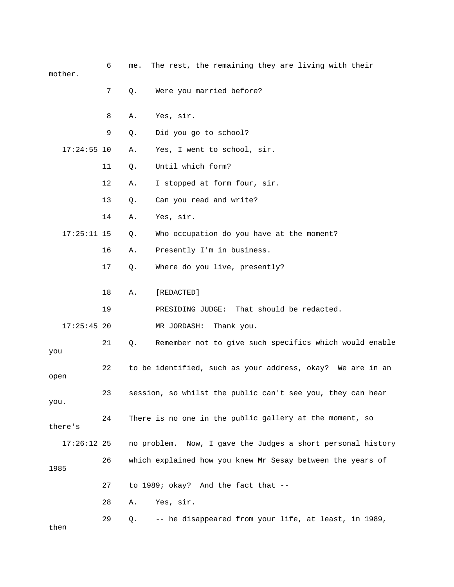6 me. The rest, the remaining they are living with their mother. 7 Q. Were you married before?

|               | 7  | Q. | Were you married before?                                    |
|---------------|----|----|-------------------------------------------------------------|
|               | 8  | Α. | Yes, sir.                                                   |
|               | 9  | Q. | Did you go to school?                                       |
| $17:24:55$ 10 |    | Α. | Yes, I went to school, sir.                                 |
|               | 11 | Q. | Until which form?                                           |
|               | 12 | Α. | I stopped at form four, sir.                                |
|               | 13 | Q. | Can you read and write?                                     |
|               | 14 | Α. | Yes, sir.                                                   |
| $17:25:11$ 15 |    | Q. | Who occupation do you have at the moment?                   |
|               | 16 | Α. | Presently I'm in business.                                  |
|               | 17 | Q. | Where do you live, presently?                               |
|               | 18 | Α. | [REDACTED]                                                  |
|               | 19 |    | That should be redacted.<br>PRESIDING JUDGE:                |
| $17:25:45$ 20 |    |    | MR JORDASH:<br>Thank you.                                   |
|               | 21 | Q. | Remember not to give such specifics which would enable      |
| you           |    |    |                                                             |
| open          | 22 |    | to be identified, such as your address, okay? We are in an  |
| you.          | 23 |    | session, so whilst the public can't see you, they can hear  |
| there's       | 24 |    | There is no one in the public gallery at the moment, so     |
| $17:26:12$ 25 |    |    | no problem. Now, I gave the Judges a short personal history |
| 1985          | 26 |    | which explained how you knew Mr Sesay between the years of  |
|               | 27 |    | to 1989; okay? And the fact that --                         |
|               | 28 | Α. | Yes, sir.                                                   |
|               | 29 | Q. | -- he disappeared from your life, at least, in 1989,        |
| then          |    |    |                                                             |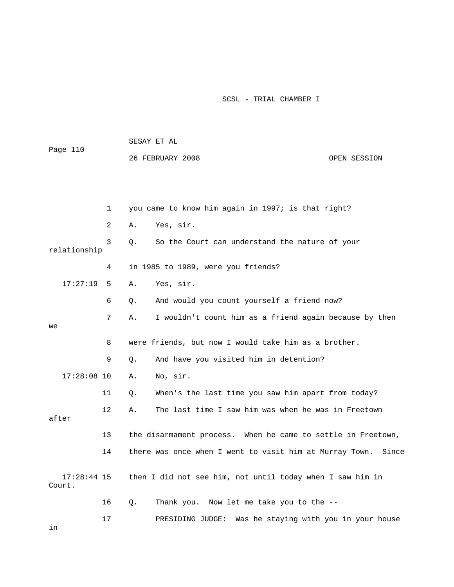| Page 110                |    | SESAY ET AL |                                                              |              |
|-------------------------|----|-------------|--------------------------------------------------------------|--------------|
|                         |    |             | 26 FEBRUARY 2008                                             | OPEN SESSION |
|                         |    |             |                                                              |              |
|                         |    |             |                                                              |              |
|                         | 1  |             | you came to know him again in 1997; is that right?           |              |
|                         | 2  | Α.          | Yes, sir.                                                    |              |
| relationship            | 3  | Q.          | So the Court can understand the nature of your               |              |
|                         | 4  |             | in 1985 to 1989, were you friends?                           |              |
| 17:27:19                | 5  | Α.          | Yes, sir.                                                    |              |
|                         | 6  | Q.          | And would you count yourself a friend now?                   |              |
| we                      | 7  | Α.          | I wouldn't count him as a friend again because by then       |              |
|                         | 8  |             | were friends, but now I would take him as a brother.         |              |
|                         | 9  | Q.          | And have you visited him in detention?                       |              |
| $17:28:08$ 10           |    | Α.          | No, sir.                                                     |              |
|                         | 11 | Q.          | When's the last time you saw him apart from today?           |              |
| after                   | 12 | Α.          | The last time I saw him was when he was in Freetown          |              |
|                         | 13 |             | the disarmament process. When he came to settle in Freetown, |              |
|                         | 14 |             | there was once when I went to visit him at Murray Town.      | Since        |
| $17:28:44$ 15<br>Court. |    |             | then I did not see him, not until today when I saw him in    |              |
|                         | 16 | Q.          | Thank you. Now let me take you to the --                     |              |
|                         | 17 |             | Was he staying with you in your house<br>PRESIDING JUDGE:    |              |

in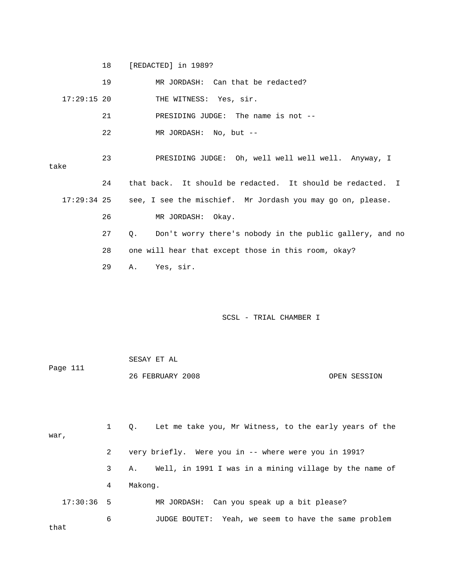18 [REDACTED] in 1989?

|               | 19 | MR JORDASH: Can that be redacted?                                          |
|---------------|----|----------------------------------------------------------------------------|
| $17:29:15$ 20 |    | THE WITNESS: Yes, sir.                                                     |
|               | 21 | PRESIDING JUDGE: The name is not --                                        |
|               | 22 | MR JORDASH: No, but --                                                     |
| take          | 23 | PRESIDING JUDGE: Oh, well well well well. Anyway, I                        |
|               | 24 | that back. It should be redacted. It should be redacted. I                 |
| $17:29:34$ 25 |    | see, I see the mischief. Mr Jordash you may go on, please.                 |
|               | 26 | MR JORDASH: Okay.                                                          |
|               | 27 | Don't worry there's nobody in the public gallery, and no<br>Q <sub>1</sub> |
|               | 28 | one will hear that except those in this room, okay?                        |
|               | 29 | A. Yes, sir.                                                               |
|               |    |                                                                            |

## SCSL - TRIAL CHAMBER I

 SESAY ET AL 26 FEBRUARY 2008 OPEN SESSION Page 111

 1 Q. Let me take you, Mr Witness, to the early years of the 3 A. Well, in 1991 I was in a mining village by the name of 6 JUDGE BOUTET: Yeah, we seem to have the same problem that war, 2 very briefly. Were you in -- where were you in 1991? 4 Makong. 17:30:36 5 MR JORDASH: Can you speak up a bit please?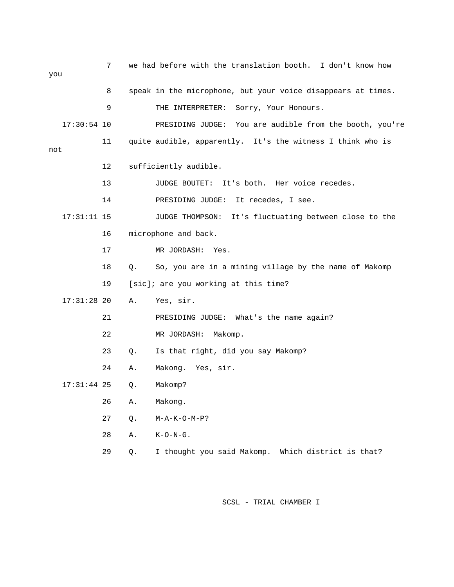| you |               | 7  |    | we had before with the translation booth. I don't know how   |
|-----|---------------|----|----|--------------------------------------------------------------|
|     |               | 8  |    | speak in the microphone, but your voice disappears at times. |
|     |               | 9  |    | THE INTERPRETER:<br>Sorry, Your Honours.                     |
|     | $17:30:54$ 10 |    |    | PRESIDING JUDGE: You are audible from the booth, you're      |
| not |               | 11 |    | quite audible, apparently. It's the witness I think who is   |
|     |               | 12 |    | sufficiently audible.                                        |
|     |               | 13 |    | JUDGE BOUTET:<br>It's both. Her voice recedes.               |
|     |               | 14 |    | PRESIDING JUDGE: It recedes, I see.                          |
|     | $17:31:11$ 15 |    |    | JUDGE THOMPSON: It's fluctuating between close to the        |
|     |               | 16 |    | microphone and back.                                         |
|     |               | 17 |    | MR JORDASH:<br>Yes.                                          |
|     |               | 18 | Q. | So, you are in a mining village by the name of Makomp        |
|     |               | 19 |    | [sic]; are you working at this time?                         |
|     | $17:31:28$ 20 |    | Α. | Yes, sir.                                                    |
|     |               | 21 |    | PRESIDING JUDGE: What's the name again?                      |
|     |               | 22 |    | MR JORDASH:<br>Makomp.                                       |
|     |               | 23 | Q. | Is that right, did you say Makomp?                           |
|     |               | 24 | Α. | Makong. Yes, sir.                                            |
|     | $17:31:44$ 25 |    | Q. | Makomp?                                                      |
|     |               | 26 | Α. | Makong.                                                      |
|     |               | 27 | Q. | $M - A - K - O - M - P$ ?                                    |
|     |               | 28 | Α. | $K-O-N-G$ .                                                  |
|     |               | 29 | Q. | I thought you said Makomp.<br>Which district is that?        |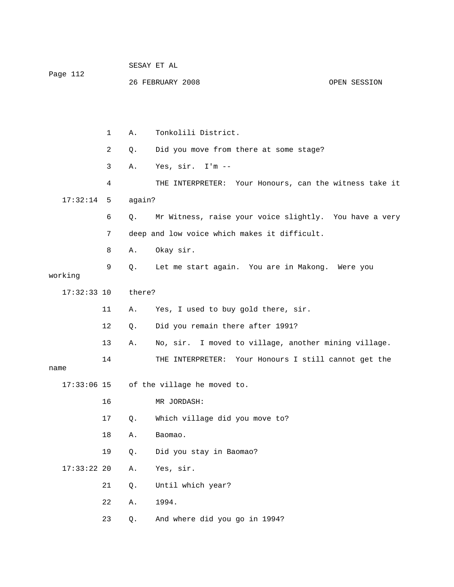|               |    |        | SESAY ET AL                                               |              |
|---------------|----|--------|-----------------------------------------------------------|--------------|
| Page 112      |    |        | 26 FEBRUARY 2008                                          | OPEN SESSION |
|               |    |        |                                                           |              |
|               |    |        |                                                           |              |
|               | 1  | Α.     | Tonkolili District.                                       |              |
|               | 2  | Q.     | Did you move from there at some stage?                    |              |
|               | 3  | Α.     | Yes, sir. I'm --                                          |              |
|               | 4  |        | Your Honours, can the witness take it<br>THE INTERPRETER: |              |
| 17:32:14      | 5  | again? |                                                           |              |
|               | 6  | $Q$ .  | Mr Witness, raise your voice slightly. You have a very    |              |
|               | 7  |        | deep and low voice which makes it difficult.              |              |
|               | 8  | Α.     | Okay sir.                                                 |              |
| working       | 9  | Q.     | Let me start again. You are in Makong. Were you           |              |
| $17:32:33$ 10 |    | there? |                                                           |              |
|               | 11 | Α.     | Yes, I used to buy gold there, sir.                       |              |
|               | 12 | Q.     | Did you remain there after 1991?                          |              |
|               | 13 | Α.     | No, sir. I moved to village, another mining village.      |              |
| name          | 14 |        | Your Honours I still cannot get the<br>THE INTERPRETER:   |              |
| $17:33:06$ 15 |    |        | of the village he moved to.                               |              |
|               | 16 |        | MR JORDASH:                                               |              |
|               | 17 | Q.     | Which village did you move to?                            |              |
|               | 18 | Α.     | Baomao.                                                   |              |
|               | 19 | Q.     | Did you stay in Baomao?                                   |              |
| $17:33:22$ 20 |    | Α.     | Yes, sir.                                                 |              |
|               | 21 | Q.     | Until which year?                                         |              |
|               | 22 | Α.     | 1994.                                                     |              |
|               | 23 | Q.     | And where did you go in 1994?                             |              |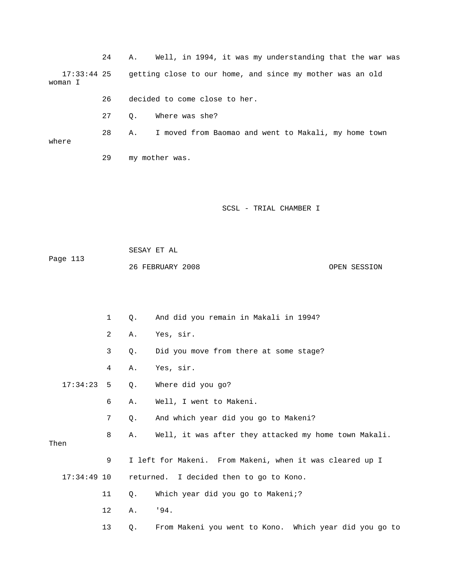24 A. Well, in 1994, it was my understanding that the war was 17:33:44 25 getting close to our home, and since my mother was an old 29 my mother was. woman I 26 decided to come close to her. 27 Q. Where was she? 28 A. I moved from Baomao and went to Makali, my home town where

SCSL - TRIAL CHAMBER I

 SESAY ET AL Page 113 26 FEBRUARY 2008

OPEN SESSION

1 Q. And did you remain in Makali in 1994? 2 A. Yes, sir. 3 Q. Did you move from there at some stage? 17:34:23 5 Q. Where did you go? 7 Q. And which year did you go to Makeni? 8 A. Well, it was after they attacked my home town Makali. Then 9 I left for Makeni. From Makeni, when it was cleared up I 11 Q. Which year did you go to Makeni;? 12 A. '94. 13 Q. From Makeni you went to Kono. Which year did you go to 4 A. Yes, sir. 6 A. Well, I went to Makeni. 17:34:49 10 returned. I decided then to go to Kono.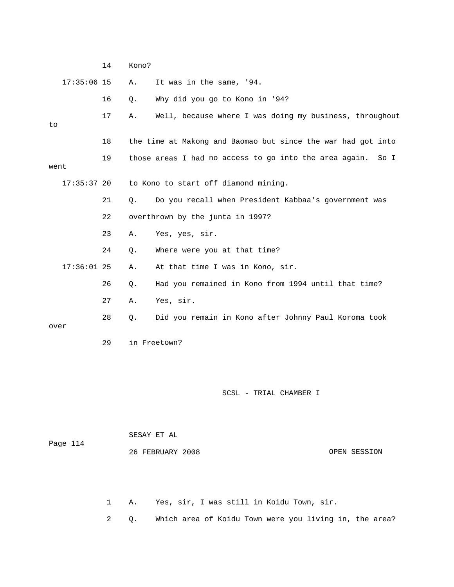|      |               | 14 | Kono? |                                                              |              |
|------|---------------|----|-------|--------------------------------------------------------------|--------------|
|      | $17:35:06$ 15 |    | Α.    | It was in the same, '94.                                     |              |
|      |               | 16 | Q.    | Why did you go to Kono in '94?                               |              |
| to   |               | 17 | Α.    | Well, because where I was doing my business, throughout      |              |
|      |               | 18 |       | the time at Makong and Baomao but since the war had got into |              |
|      |               |    |       |                                                              |              |
| went |               | 19 |       | those areas I had no access to go into the area again.       | So I         |
|      | $17:35:37$ 20 |    |       | to Kono to start off diamond mining.                         |              |
|      |               | 21 | $Q$ . | Do you recall when President Kabbaa's government was         |              |
|      |               | 22 |       | overthrown by the junta in 1997?                             |              |
|      |               | 23 | Α.    | Yes, yes, sir.                                               |              |
|      |               | 24 | Q.    | Where were you at that time?                                 |              |
|      | $17:36:01$ 25 |    | Α.    | At that time I was in Kono, sir.                             |              |
|      |               | 26 | Q.    | Had you remained in Kono from 1994 until that time?          |              |
|      |               | 27 | Α.    | Yes, sir.                                                    |              |
|      |               | 28 | Q.    | Did you remain in Kono after Johnny Paul Koroma took         |              |
| over |               | 29 |       | in Freetown?                                                 |              |
|      |               |    |       |                                                              |              |
|      |               |    |       |                                                              |              |
|      |               |    |       | SCSL - TRIAL CHAMBER I                                       |              |
|      |               |    |       |                                                              |              |
|      |               |    |       |                                                              |              |
|      |               |    |       | SESAY ET AL                                                  |              |
|      | Page 114      |    |       | 26 FEBRUARY 2008                                             | OPEN SESSION |

1 A. Yes, sir, I was still in Koidu Town, sir.

2 Q. Which area of Koidu Town were you living in, the area?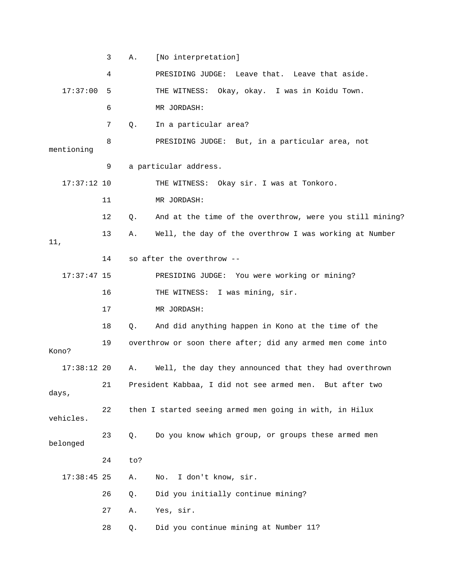3 A. [No interpretation] 4 PRESIDING JUDGE: Leave that. Leave that aside. 17:37:00 5 THE WITNESS: Okay, okay. I was in Koidu Town. 7 Q. In a particular area? 8 PRESIDING JUDGE: But, in a particular area, not mentioning 9 a particular address. 17:37:12 10 THE WITNESS: Okay sir. I was at Tonkoro. 11 MR JORDASH: 12 Q. And at the time of the overthrow, were you still mining? 13 A. Well, the day of the overthrow I was working at Number 14 so after the overthrow -- 17:37:47 15 PRESIDING JUDGE: You were working or mining? 18 Q. And did anything happen in Kono at the time of the 19 overthrow or soon there after; did any armed men come into Kono? 17:38:12 20 A. Well, the day they announced that they had overthrown 21 President Kabbaa, I did not see armed men. But after two 23 Q. Do you know which group, or groups these armed men 24 to? 17:38:45 25 A. No. I don't know, sir. 27 A. Yes, sir. 28 Q. Did you continue mining at Number 11? 6 MR JORDASH: 11, 16 THE WITNESS: I was mining, sir. 17 MR JORDASH: days, 22 then I started seeing armed men going in with, in Hilux vehicles. belonged 26 Q. Did you initially continue mining?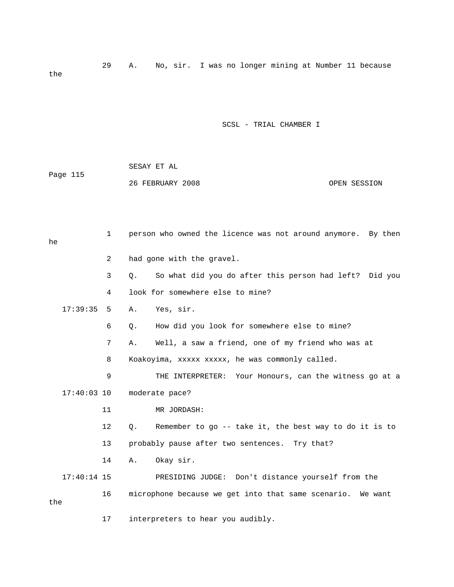29 A. No, sir. I was no longer mining at Number 11 because the

SCSL - TRIAL CHAMBER I

| Page 115 | SESAY ET AL      |              |
|----------|------------------|--------------|
|          | 26 FEBRUARY 2008 | OPEN SESSION |

| he  |               | $\mathbf{1}$   |       | person who owned the licence was not around anymore. By then |
|-----|---------------|----------------|-------|--------------------------------------------------------------|
|     |               | $\overline{2}$ |       | had gone with the gravel.                                    |
|     |               | 3              | Q.    | So what did you do after this person had left? Did you       |
|     |               | 4              |       | look for somewhere else to mine?                             |
|     | 17:39:35      | 5              | Α.    | Yes, sir.                                                    |
|     |               | 6              | $Q$ . | How did you look for somewhere else to mine?                 |
|     |               | 7              | Α.    | Well, a saw a friend, one of my friend who was at            |
|     |               | 8              |       | Koakoyima, xxxxx xxxxx, he was commonly called.              |
|     |               | 9              |       | THE INTERPRETER: Your Honours, can the witness go at a       |
|     | $17:40:03$ 10 |                |       | moderate pace?                                               |
|     |               | 11             |       | MR JORDASH:                                                  |
|     |               | 12             | Q.    | Remember to go -- take it, the best way to do it is to       |
|     |               | 13             |       | probably pause after two sentences. Try that?                |
|     |               | 14             | Α.    | Okay sir.                                                    |
|     | $17:40:14$ 15 |                |       | PRESIDING JUDGE: Don't distance yourself from the            |
| the |               | 16             |       | microphone because we get into that same scenario. We want   |
|     |               | 17             |       | interpreters to hear you audibly.                            |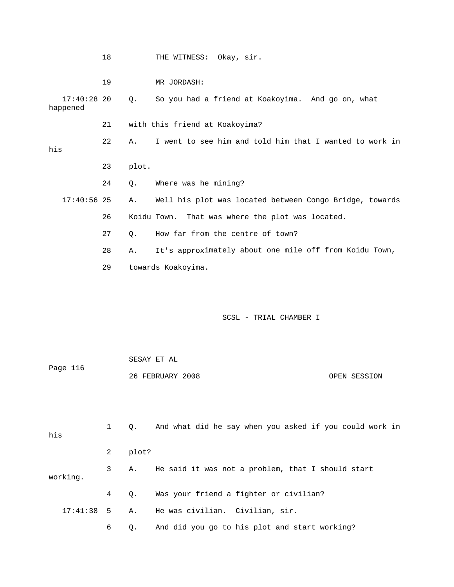|                           | 18 |       | THE WITNESS: Okay, sir.                                 |
|---------------------------|----|-------|---------------------------------------------------------|
|                           | 19 |       | MR JORDASH:                                             |
| $17:40:28$ 20<br>happened |    | Q.    | So you had a friend at Koakoyima. And go on, what       |
|                           | 21 |       | with this friend at Koakoyima?                          |
| his                       | 22 | Α.    | I went to see him and told him that I wanted to work in |
|                           | 23 | plot. |                                                         |
|                           | 24 | Q.    | Where was he mining?                                    |
| $17:40:56$ 25             |    | Α.    | Well his plot was located between Congo Bridge, towards |
|                           | 26 |       | Koidu Town.<br>That was where the plot was located.     |
|                           | 27 | $Q$ . | How far from the centre of town?                        |
|                           | 28 | Α.    | It's approximately about one mile off from Koidu Town,  |
|                           | 29 |       | towards Koakoyima.                                      |
|                           |    |       |                                                         |
|                           |    |       | SCSL - TRIAL CHAMBER I                                  |
|                           |    |       | SESAY ET AL                                             |
| Page 116                  |    |       | 26 FEBRUARY 2008<br>OPEN SESSION                        |
| his                       | 1  | Q.    | And what did he say when you asked if you could work in |
|                           | 2  | plot? |                                                         |
| working.                  | 3  | Α.    | He said it was not a problem, that I should start       |
|                           | 4  | Q.    | Was your friend a fighter or civilian?                  |

6 Q. And did you go to his plot and start working?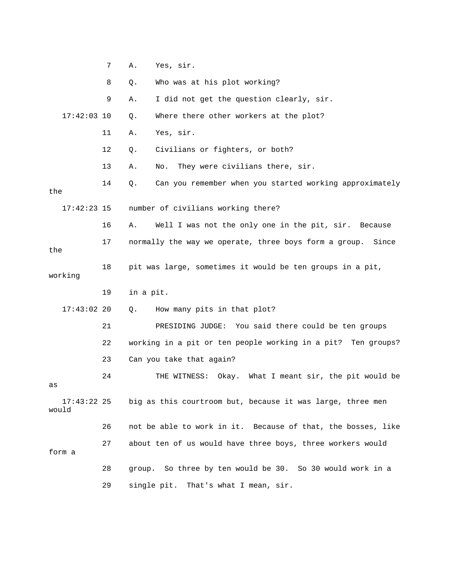|                        | 7  | Α.        | Yes, sir.                                                       |
|------------------------|----|-----------|-----------------------------------------------------------------|
|                        | 8  | Q.        | Who was at his plot working?                                    |
|                        | 9  | Α.        | I did not get the question clearly, sir.                        |
| $17:42:03$ 10          |    | Q.        | Where there other workers at the plot?                          |
|                        | 11 | Α.        | Yes, sir.                                                       |
|                        | 12 | Q.        | Civilians or fighters, or both?                                 |
|                        | 13 | Α.        | They were civilians there, sir.<br>No.                          |
| the                    | 14 | Q.        | Can you remember when you started working approximately         |
| $17:42:23$ 15          |    |           | number of civilians working there?                              |
|                        | 16 | Α.        | Well I was not the only one in the pit, sir. Because            |
| the                    | 17 |           | normally the way we operate, three boys form a group. Since     |
| working                | 18 |           | pit was large, sometimes it would be ten groups in a pit,       |
|                        |    |           |                                                                 |
|                        | 19 | in a pit. |                                                                 |
| $17:43:02$ 20          |    | Q.        | How many pits in that plot?                                     |
|                        | 21 |           | PRESIDING JUDGE: You said there could be ten groups             |
|                        | 22 |           | working in a pit or ten people working in a pit?<br>Ten groups? |
|                        | 23 |           | Can you take that again?                                        |
| as                     | 24 |           | Okay.<br>What I meant sir, the pit would be<br>THE WITNESS:     |
| $17:43:22$ 25<br>would |    |           | big as this courtroom but, because it was large, three men      |
|                        | 26 |           | not be able to work in it. Because of that, the bosses, like    |
| form a                 | 27 |           | about ten of us would have three boys, three workers would      |
|                        | 28 |           | group. So three by ten would be 30. So 30 would work in a       |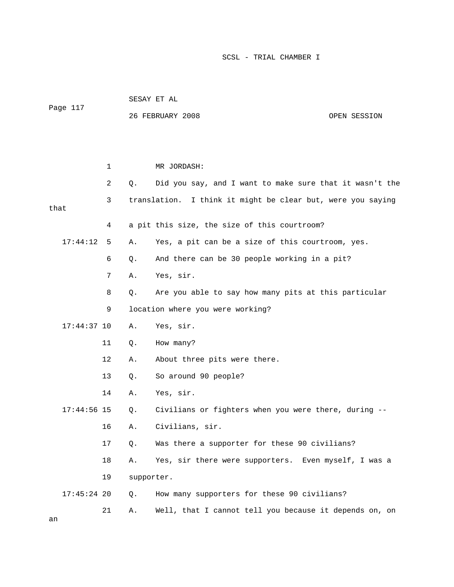|               |    | SESAY ET AL |                                                                |              |  |  |
|---------------|----|-------------|----------------------------------------------------------------|--------------|--|--|
| Page 117      |    |             | 26 FEBRUARY 2008                                               | OPEN SESSION |  |  |
|               |    |             |                                                                |              |  |  |
|               |    |             |                                                                |              |  |  |
|               | 1  |             | MR JORDASH:                                                    |              |  |  |
|               | 2  | Q.          | Did you say, and I want to make sure that it wasn't the        |              |  |  |
| that          | 3  |             | translation.<br>I think it might be clear but, were you saying |              |  |  |
|               | 4  |             | a pit this size, the size of this courtroom?                   |              |  |  |
| 17:44:12      | 5  | Α.          | Yes, a pit can be a size of this courtroom, yes.               |              |  |  |
|               | 6  | Q.          | And there can be 30 people working in a pit?                   |              |  |  |
|               | 7  | Α.          | Yes, sir.                                                      |              |  |  |
|               | 8  | Q.          | Are you able to say how many pits at this particular           |              |  |  |
|               | 9  |             | location where you were working?                               |              |  |  |
| $17:44:37$ 10 |    | Α.          | Yes, sir.                                                      |              |  |  |
|               | 11 | Q.          | How many?                                                      |              |  |  |
|               | 12 | Α.          | About three pits were there.                                   |              |  |  |
|               | 13 | Q.          | So around 90 people?                                           |              |  |  |
|               | 14 | Α.          | Yes, sir.                                                      |              |  |  |
| $17:44:56$ 15 |    | Q.          | Civilians or fighters when you were there, during --           |              |  |  |
|               | 16 | Α.          | Civilians, sir.                                                |              |  |  |
|               | 17 | Q.          | Was there a supporter for these 90 civilians?                  |              |  |  |
|               | 18 | Α.          | Yes, sir there were supporters. Even myself, I was a           |              |  |  |
|               | 19 | supporter.  |                                                                |              |  |  |
| $17:45:24$ 20 |    | Q.          | How many supporters for these 90 civilians?                    |              |  |  |
|               | 21 | Α.          | Well, that I cannot tell you because it depends on, on         |              |  |  |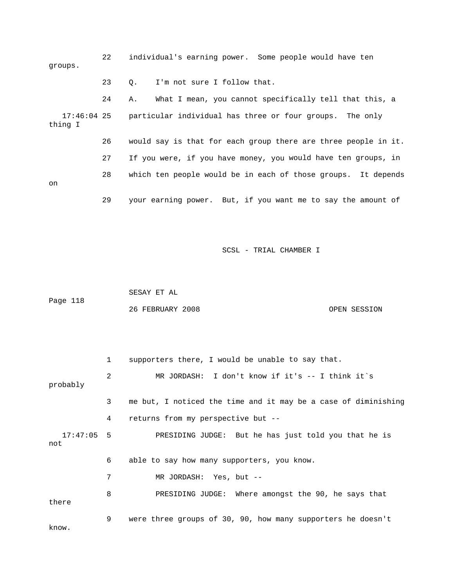| groups.                  | 22 |    | individual's earning power. Some people would have ten         |
|--------------------------|----|----|----------------------------------------------------------------|
|                          | 23 | 0. | I'm not sure I follow that.                                    |
|                          | 24 | Α. | What I mean, you cannot specifically tell that this, a         |
| $17:46:04$ 25<br>thing I |    |    | particular individual has three or four groups. The only       |
|                          | 26 |    | would say is that for each group there are three people in it. |
|                          | 27 |    | If you were, if you have money, you would have ten groups, in  |
| on                       | 28 |    | which ten people would be in each of those groups. It depends  |
|                          | 29 |    | your earning power. But, if you want me to say the amount of   |

Page 118 SESAY ET AL 26 FEBRUARY 2008 OPEN SESSION

|                     | $\mathbf{1}$ | supporters there, I would be unable to say that.               |
|---------------------|--------------|----------------------------------------------------------------|
| probably            | 2            | MR JORDASH: I don't know if it's $-$ I think it's              |
|                     | 3            | me but, I noticed the time and it may be a case of diminishing |
|                     | 4            | returns from my perspective but --                             |
| $17:47:05$ 5<br>not |              | PRESIDING JUDGE: But he has just told you that he is           |
|                     | 6            | able to say how many supporters, you know.                     |
|                     | 7            | MR JORDASH: Yes, but --                                        |
| there               | 8            | PRESIDING JUDGE: Where amongst the 90, he says that            |
| know.               | 9            | were three groups of 30, 90, how many supporters he doesn't    |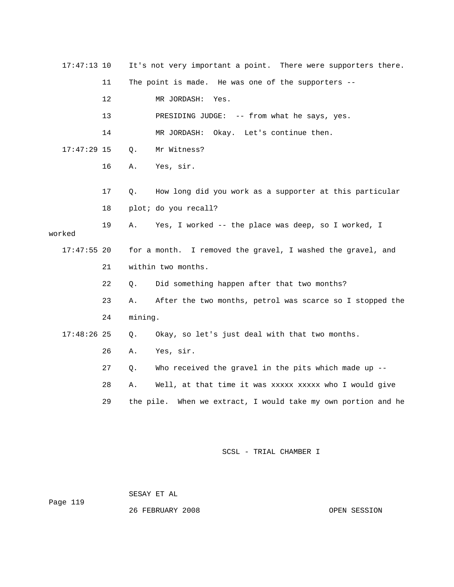| $17:47:13$ 10 |    |         | It's not very important a point. There were supporters there. |
|---------------|----|---------|---------------------------------------------------------------|
|               | 11 |         | The point is made. He was one of the supporters --            |
|               | 12 |         | MR JORDASH:<br>Yes.                                           |
|               | 13 |         | PRESIDING JUDGE: -- from what he says, yes.                   |
|               | 14 |         | MR JORDASH: Okay. Let's continue then.                        |
| $17:47:29$ 15 |    | Q.      | Mr Witness?                                                   |
|               | 16 | Α.      | Yes, sir.                                                     |
|               |    |         |                                                               |
|               | 17 | Q.      | How long did you work as a supporter at this particular       |
|               | 18 |         | plot; do you recall?                                          |
| worked        | 19 | Α.      | Yes, I worked -- the place was deep, so I worked, I           |
|               |    |         |                                                               |
|               |    |         |                                                               |
| $17:47:55$ 20 |    |         | for a month. I removed the gravel, I washed the gravel, and   |
|               | 21 |         | within two months.                                            |
|               | 22 | О.      | Did something happen after that two months?                   |
|               | 23 | Α.      | After the two months, petrol was scarce so I stopped the      |
|               | 24 | mining. |                                                               |
| $17:48:26$ 25 |    | Q.      | Okay, so let's just deal with that two months.                |
|               | 26 | Α.      | Yes, sir.                                                     |
|               | 27 | Q.      | Who received the gravel in the pits which made up --          |
|               | 28 | Α.      | Well, at that time it was xxxxx xxxxx who I would give        |
|               | 29 |         | the pile. When we extract, I would take my own portion and he |

SESAY ET AL

Page 119

26 FEBRUARY 2008 OPEN SESSION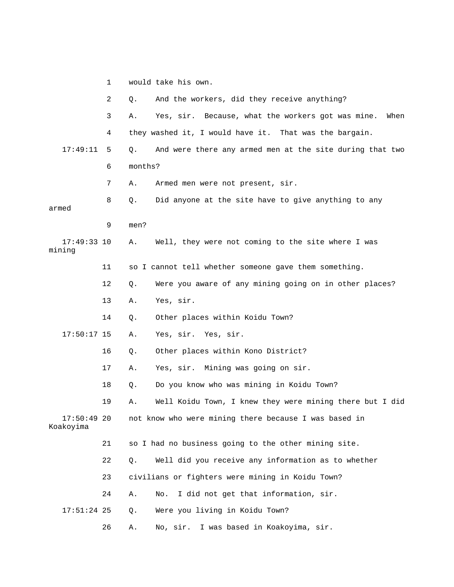|                            | 2  | Q.      | And the workers, did they receive anything?                  |
|----------------------------|----|---------|--------------------------------------------------------------|
|                            | 3  | Α.      | Yes, sir.<br>Because, what the workers got was mine.<br>When |
|                            | 4  |         | they washed it, I would have it. That was the bargain.       |
| 17:49:11                   | 5  | Q.      | And were there any armed men at the site during that two     |
|                            | 6  | months? |                                                              |
|                            | 7  | Α.      | Armed men were not present, sir.                             |
| armed                      | 8  | Q.      | Did anyone at the site have to give anything to any          |
|                            | 9  | men?    |                                                              |
| $17:49:33$ 10<br>mining    |    | Α.      | Well, they were not coming to the site where I was           |
|                            | 11 |         | so I cannot tell whether someone gave them something.        |
|                            | 12 | Q.      | Were you aware of any mining going on in other places?       |
|                            | 13 | Α.      | Yes, sir.                                                    |
|                            | 14 | Q.      | Other places within Koidu Town?                              |
| $17:50:17$ 15              |    | Α.      | Yes, sir. Yes, sir.                                          |
|                            | 16 | Q.      | Other places within Kono District?                           |
|                            | 17 | Α.      | Yes, sir. Mining was going on sir.                           |
|                            | 18 | Q.      | Do you know who was mining in Koidu Town?                    |
|                            | 19 | Α.      | Well Koidu Town, I knew they were mining there but I did     |
| $17:50:49$ 20<br>Koakoyima |    |         | not know who were mining there because I was based in        |
|                            | 21 |         | so I had no business going to the other mining site.         |
|                            | 22 | Q.      | Well did you receive any information as to whether           |
|                            | 23 |         | civilians or fighters were mining in Koidu Town?             |
|                            | 24 | Α.      | I did not get that information, sir.<br>No.                  |
| $17:51:24$ 25              |    | Q.      | Were you living in Koidu Town?                               |
|                            | 26 | Α.      | I was based in Koakoyima, sir.<br>No, sir.                   |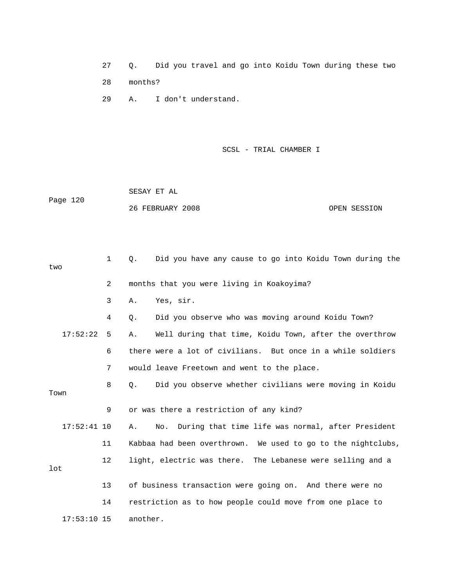27 Q. Did you travel and go into Koidu Town during these two 28 months?

29 A. I don't understand.

SCSL - TRIAL CHAMBER I

 26 FEBRUARY 2008 OPEN SESSION SESAY ET AL Page 120

1 Q. Did you have any cause to go into Koidu Town during the 2 months that you were living in Koakoyima? 3 A. Yes, sir. 4 Q. Did you observe who was moving around Koidu Town? 17:52:22 5 A. Well during that time, Koidu Town, after the overthrow 6 there were a lot of civilians. But once in a while soldiers 7 would leave Freetown and went to the place. 8 Q. Did you observe whether civilians were moving in Koidu Town 9 or was there a restriction of any kind? 17:52:41 10 A. No. During that time life was normal, after President 11 Kabbaa had been overthrown. We used to go to the nightclubs, 12 light, electric was there. The Lebanese were selling and a 14 restriction as to how people could move from one place to 17:53:10 15 another. two lot 13 of business transaction were going on. And there were no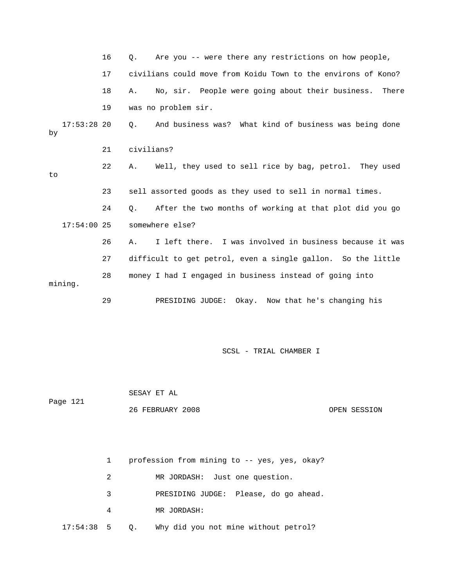|    |               | 16 | Are you -- were there any restrictions on how people,<br>О.          |
|----|---------------|----|----------------------------------------------------------------------|
|    |               | 17 | civilians could move from Koidu Town to the environs of Kono?        |
|    |               | 18 | No, sir. People were going about their business. There<br>Α.         |
|    |               | 19 | was no problem sir.                                                  |
| by | $17:53:28$ 20 |    | And business was? What kind of business was being done<br>0.         |
|    |               | 21 | civilians?                                                           |
| to |               | 22 | Well, they used to sell rice by bag, petrol. They used<br>Α.         |
|    |               | 23 | sell assorted goods as they used to sell in normal times.            |
|    |               |    |                                                                      |
|    |               | 24 | After the two months of working at that plot did you go<br>$\circ$ . |
|    | $17:54:00$ 25 |    | somewhere else?                                                      |
|    |               | 26 | I left there. I was involved in business because it was<br>Α.        |
|    |               | 27 | difficult to get petrol, even a single gallon. So the little         |
|    | mining.       | 28 | money I had I engaged in business instead of going into              |

 26 FEBRUARY 2008 OPEN SESSION SESAY ET AL Page 121

|              |   |           | profession from mining to -- yes, yes, okay? |
|--------------|---|-----------|----------------------------------------------|
|              | 2 |           | MR JORDASH: Just one question.               |
|              | 3 |           | PRESIDING JUDGE: Please, do go ahead.        |
|              | 4 |           | MR JORDASH:                                  |
| $17:54:38$ 5 |   | $\circ$ . | Why did you not mine without petrol?         |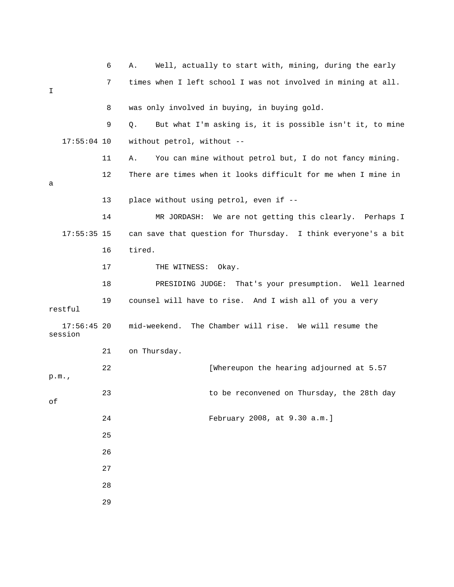|    |                          | 6  | Well, actually to start with, mining, during the early<br>Α.   |
|----|--------------------------|----|----------------------------------------------------------------|
| I  |                          | 7  | times when I left school I was not involved in mining at all.  |
|    |                          | 8  | was only involved in buying, in buying gold.                   |
|    |                          | 9  | But what I'm asking is, it is possible isn't it, to mine<br>Q. |
|    | $17:55:04$ 10            |    | without petrol, without --                                     |
|    |                          | 11 | You can mine without petrol but, I do not fancy mining.<br>Α.  |
| a  |                          | 12 | There are times when it looks difficult for me when I mine in  |
|    |                          | 13 | place without using petrol, even if --                         |
|    |                          | 14 | MR JORDASH: We are not getting this clearly. Perhaps I         |
|    | $17:55:35$ 15            |    | can save that question for Thursday. I think everyone's a bit  |
|    |                          | 16 | tired.                                                         |
|    |                          | 17 | THE WITNESS:<br>Okay.                                          |
|    |                          | 18 | PRESIDING JUDGE: That's your presumption. Well learned         |
|    | restful                  | 19 | counsel will have to rise. And I wish all of you a very        |
|    | $17:56:45$ 20<br>session |    | The Chamber will rise. We will resume the<br>mid-weekend.      |
|    |                          | 21 | on Thursday.                                                   |
|    | p.m.,                    | 22 | [Whereupon the hearing adjourned at 5.57                       |
| оf |                          | 23 | to be reconvened on Thursday, the 28th day                     |
|    |                          | 24 | February 2008, at 9.30 a.m.]                                   |
|    |                          | 25 |                                                                |
|    |                          | 26 |                                                                |
|    |                          | 27 |                                                                |
|    |                          | 28 |                                                                |
|    |                          | 29 |                                                                |